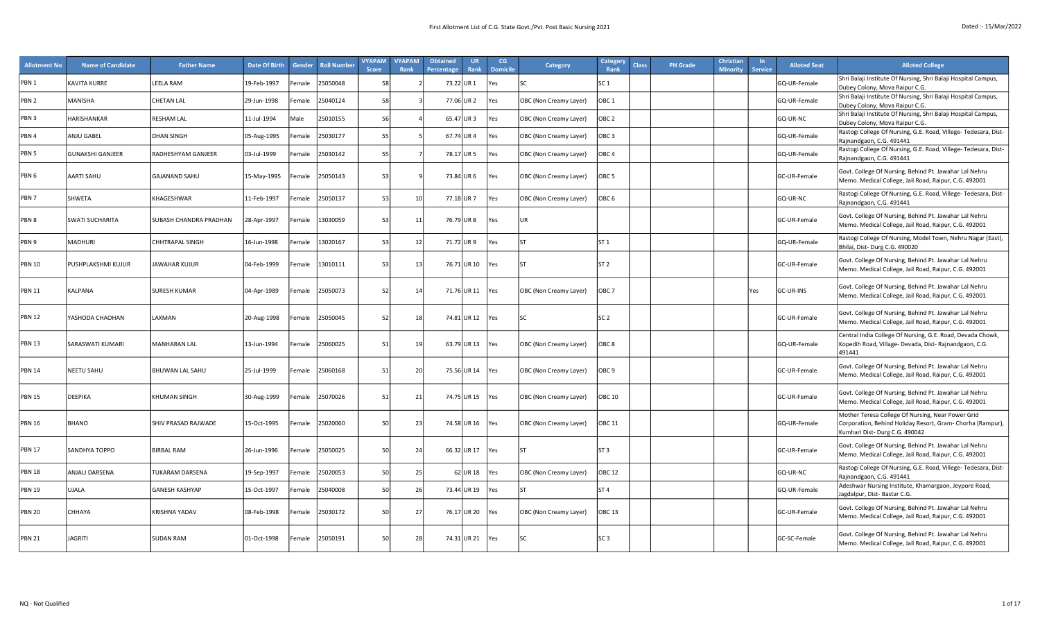| <b>Allotment No</b> | <b>Name of Candidate</b> | <b>Father Name</b>     | <b>Date Of Birth</b> | Gender | <b>Roll Number</b> | <b>VYAPAM</b><br><b>Score</b> | <b>VYAPAM</b><br>Rank | <b>Obtained</b><br>Percentage | <b>UR</b><br>Rank | CG<br><b>Domicile</b> | Category               | Category<br><b>Class</b><br>Rank | <b>PH</b> Grade | Christian<br><b>Minority</b> | <b>Service</b> | <b>Alloted Seat</b>  | <b>Alloted College</b>                                                                                                                           |
|---------------------|--------------------------|------------------------|----------------------|--------|--------------------|-------------------------------|-----------------------|-------------------------------|-------------------|-----------------------|------------------------|----------------------------------|-----------------|------------------------------|----------------|----------------------|--------------------------------------------------------------------------------------------------------------------------------------------------|
| PBN <sub>1</sub>    | KAVITA KURRE             | <b>LEELA RAM</b>       | 19-Feb-1997          | emale  | 25050048           | 58                            |                       |                               | 73.22 UR 1        | /es                   | <b>SC</b>              | SC <sub>1</sub>                  |                 |                              |                | GQ-UR-Female         | Shri Balaji Institute Of Nursing, Shri Balaji Hospital Campus,<br>Dubey Colony, Mova Raipur C.G.                                                 |
| PBN 2               | MANISHA                  | <b>CHETAN LAL</b>      | 29-Jun-1998          | emale  | 25040124           | 58                            |                       | 77.06 UR 2                    |                   | Yes                   | OBC (Non Creamy Layer) | OBC <sub>1</sub>                 |                 |                              |                | GQ-UR-Female         | Shri Balaji Institute Of Nursing, Shri Balaji Hospital Campus,<br>Dubey Colony, Mova Raipur C.G.                                                 |
| PBN 3               | HARISHANKAR              | RESHAM LAL             | 11-Jul-1994          | Male   | 25010155           | 56                            |                       |                               | 65.47 UR3         | Yes                   | OBC (Non Creamy Layer) | OBC <sub>2</sub>                 |                 |                              |                | GQ-UR-NC             | Shri Balaji Institute Of Nursing, Shri Balaji Hospital Campus,<br>Dubey Colony, Mova Raipur C.G.                                                 |
| PBN 4               | ANJU GABEL               | <b>DHAN SINGH</b>      | 05-Aug-1995          | emale  | 25030177           | 55                            |                       |                               | 67.74 UR4         | Yes                   | OBC (Non Creamy Layer) | OBC <sub>3</sub>                 |                 |                              |                | GQ-UR-Female         | Rastogi College Of Nursing, G.E. Road, Villege- Tedesara, Dist-<br>Rajnandgaon, C.G. 491441                                                      |
| PBN <sub>5</sub>    | <b>GUNAKSHI GANJEER</b>  | RADHESHYAM GANJEER     | 03-Jul-1999          | emale  | 25030142           | 55                            |                       | 78.17 UR 5                    |                   | Yes                   | OBC (Non Creamy Layer) | OBC <sub>4</sub>                 |                 |                              |                | GQ-UR-Female         | Rastogi College Of Nursing, G.E. Road, Villege- Tedesara, Dist-<br>Rajnandgaon, C.G. 491441                                                      |
| PBN <sub>6</sub>    | AARTI SAHU               | <b>GAJANAND SAHU</b>   | 15-May-1995          | emale  | 25050143           | 53                            |                       |                               | 73.84 UR 6        | <b>Yes</b>            | OBC (Non Creamy Layer) | OBC <sub>5</sub>                 |                 |                              |                | GC-UR-Female         | Govt. College Of Nursing, Behind Pt. Jawahar Lal Nehru<br>Memo. Medical College, Jail Road, Raipur, C.G. 492001                                  |
| PBN <sub>7</sub>    | SHWETA                   | KHAGESHWAR             | 11-Feb-1997          | emale  | 25050137           | 53                            | 10                    | 77.18 UR 7                    |                   | Yes                   | OBC (Non Creamy Layer) | OBC <sub>6</sub>                 |                 |                              |                | GQ-UR-NC             | Rastogi College Of Nursing, G.E. Road, Villege- Tedesara, Dist-<br>Rajnandgaon, C.G. 491441                                                      |
| PBN 8               | SWATI SUCHARITA          | SUBASH CHANDRA PRADHAN | 28-Apr-1997          | Female | 13030059           | 53                            | 11                    |                               | 76.79 UR 8        | Yes                   | UR                     |                                  |                 |                              |                | <b>IGC-UR-Female</b> | Govt. College Of Nursing, Behind Pt. Jawahar Lal Nehru<br>Memo. Medical College, Jail Road, Raipur, C.G. 492001                                  |
| PBN 9               | MADHURI                  | CHHTRAPAL SINGH        | 16-Jun-1998          | emale  | 13020167           | 53                            | 12                    | 71.72 UR 9                    |                   | Yes                   |                        | ST <sub>1</sub>                  |                 |                              |                | GQ-UR-Female         | Rastogi College Of Nursing, Model Town, Nehru Nagar (East),<br>Bhilai, Dist-Durg C.G. 490020                                                     |
| <b>PBN 10</b>       | PUSHPLAKSHMI KUJUR       | <b>JAWAHAR KUJUR</b>   | 04-Feb-1999          | emale  | 13010111           | 53                            | 13                    |                               | 76.71 UR 10       | Yes                   | ST                     | ST <sub>2</sub>                  |                 |                              |                | GC-UR-Female         | Govt. College Of Nursing, Behind Pt. Jawahar Lal Nehru<br>Memo. Medical College, Jail Road, Raipur, C.G. 492001                                  |
| <b>PBN 11</b>       | KALPANA                  | <b>SURESH KUMAR</b>    | 04-Apr-1989          | Female | 25050073           | 52                            | 14                    |                               | 71.76 UR 11       | Yes                   | OBC (Non Creamy Layer) | OBC <sub>7</sub>                 |                 |                              | Yes            | GC-UR-INS            | Govt. College Of Nursing, Behind Pt. Jawahar Lal Nehru<br>Memo. Medical College, Jail Road, Raipur, C.G. 492001                                  |
| <b>PBN 12</b>       | YASHODA CHAOHAN          | LAXMAN                 | 20-Aug-1998          | Female | 25050045           | 52                            | 18                    |                               | 74.81 UR 12       | Yes                   | <b>SC</b>              | SC <sub>2</sub>                  |                 |                              |                | GC-UR-Female         | Govt. College Of Nursing, Behind Pt. Jawahar Lal Nehru<br>Memo. Medical College, Jail Road, Raipur, C.G. 492001                                  |
| <b>PBN 13</b>       | SARASWATI KUMARI         | <b>MANHARAN LAL</b>    | 13-Jun-1994          | emale  | 25060025           | 51                            | 19                    |                               | 63.79 UR 13       | Yes                   | OBC (Non Creamy Layer) | OBC <sub>8</sub>                 |                 |                              |                | GQ-UR-Female         | Central India College Of Nursing, G.E. Road, Devada Chowk,<br>Kopedih Road, Village- Devada, Dist- Rajnandgaon, C.G.<br>491441                   |
| <b>PBN 14</b>       | NEETU SAHU               | <b>BHUWAN LAL SAHU</b> | 25-Jul-1999          | Female | 25060168           | 51                            | 20                    |                               | 75.56 UR 14       | Yes                   | OBC (Non Creamy Layer) | OBC <sub>9</sub>                 |                 |                              |                | GC-UR-Female         | Govt. College Of Nursing, Behind Pt. Jawahar Lal Nehru<br>Memo. Medical College, Jail Road, Raipur, C.G. 492001                                  |
| <b>PBN 15</b>       | DEEPIKA                  | <b>KHUMAN SINGH</b>    | 30-Aug-1999          | emale  | 25070026           | 51                            | 21                    |                               | 74.75 UR 15       | Yes                   | OBC (Non Creamy Layer) | <b>OBC 10</b>                    |                 |                              |                | GC-UR-Female         | Govt. College Of Nursing, Behind Pt. Jawahar Lal Nehru<br>Memo. Medical College, Jail Road, Raipur, C.G. 492001                                  |
| <b>PBN 16</b>       | BHANO                    | SHIV PRASAD RAJWADE    | 15-Oct-1995          | Female | 25020060           | 50                            | 23                    |                               | 74.58 UR 16       | Yes                   | OBC (Non Creamy Layer) | <b>OBC 11</b>                    |                 |                              |                | GQ-UR-Female         | Mother Teresa College Of Nursing, Near Power Grid<br>Corporation, Behind Holiday Resort, Gram- Chorha (Rampur),<br>Kumhari Dist-Durg C.G. 490042 |
| <b>PBN 17</b>       | SANDHYA TOPPO            | <b>BIRBAL RAM</b>      | 26-Jun-1996          | Female | 25050025           | 50                            | 24                    |                               | 66.32 UR 17       | Yes                   |                        | ST <sub>3</sub>                  |                 |                              |                | GC-UR-Female         | Govt. College Of Nursing, Behind Pt. Jawahar Lal Nehru<br>Memo. Medical College, Jail Road, Raipur, C.G. 492001                                  |
| <b>PBN 18</b>       | <b>ANJALI DARSENA</b>    | <b>TUKARAM DARSENA</b> | 19-Sep-1997          | emale  | 25020053           | 50                            | 25                    |                               | $62$ UR 18        | Yes                   | OBC (Non Creamy Layer) | <b>OBC 12</b>                    |                 |                              |                | GQ-UR-NC             | Rastogi College Of Nursing, G.E. Road, Villege- Tedesara, Dist-<br>Rajnandgaon, C.G. 491441                                                      |
| <b>PBN 19</b>       | <b>UJALA</b>             | <b>GANESH KASHYAP</b>  | 15-Oct-1997          | emale  | 25040008           | 50                            | 26                    |                               | 73.44 UR 19       | 'es                   |                        | ST <sub>4</sub>                  |                 |                              |                | GQ-UR-Female         | Adeshwar Nursing Institute, Khamargaon, Jeypore Road,<br>Jagdalpur, Dist-Bastar C.G.                                                             |
| <b>PBN 20</b>       | CHHAYA                   | <b>KRISHNA YADAV</b>   | 08-Feb-1998          | emale  | 25030172           | 50                            | 27                    |                               | 76.17 UR 20       | <b>Yes</b>            | OBC (Non Creamy Layer) | OBC <sub>13</sub>                |                 |                              |                | GC-UR-Female         | Govt. College Of Nursing, Behind Pt. Jawahar Lal Nehru<br>Memo. Medical College, Jail Road, Raipur, C.G. 492001                                  |
| <b>PBN 21</b>       | <b>JAGRITI</b>           | <b>SUDAN RAM</b>       | 01-Oct-1998          | Female | 25050191           | 50                            | 28                    |                               | 74.31 UR 21       | <b>Yes</b>            | lsc                    | SC <sub>3</sub>                  |                 |                              |                | GC-SC-Female         | Govt. College Of Nursing, Behind Pt. Jawahar Lal Nehru<br>Memo. Medical College, Jail Road, Raipur, C.G. 492001                                  |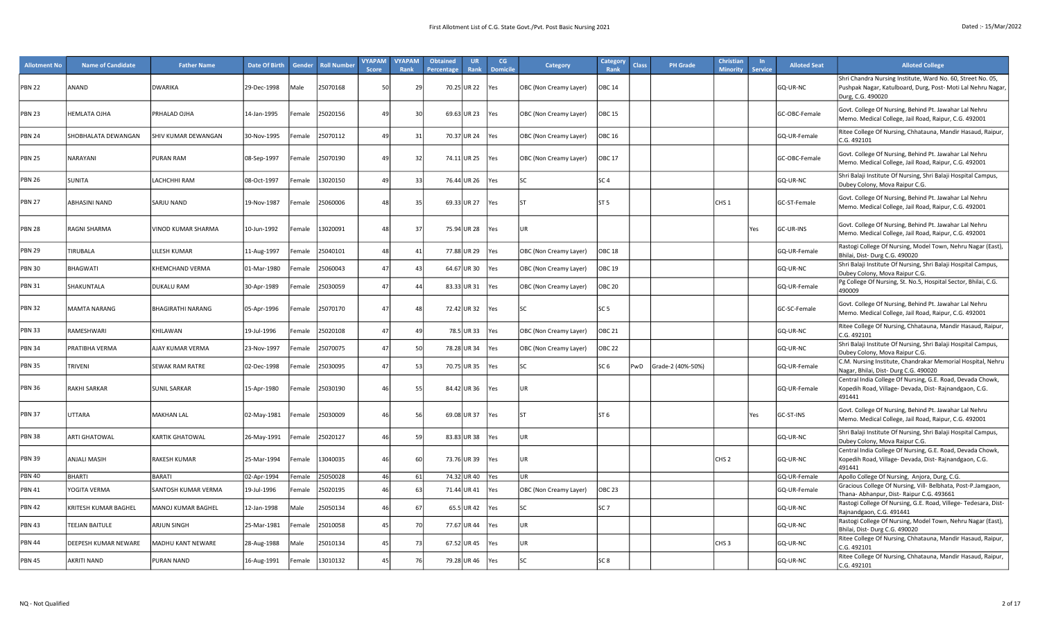| <b>Allotment No</b> | <b>Name of Candidate</b> | <b>Father Name</b>     | Date Of Birth | Gender             | <b>Roll Number</b> | <b>VYAPAM</b><br><b>Score</b> | <b>VYAPAM</b><br>Rank | <b>Obtained</b><br>Percentage | <b>UR</b><br>Rank | CG<br><b>Domicile</b> | Category               | <b>Category</b><br>Rank | <b>Class</b> | <b>PH</b> Grade   | Christian<br><b>Minority</b> | <b>Service</b> | <b>Alloted Seat</b> | <b>Alloted College</b>                                                                                                                           |
|---------------------|--------------------------|------------------------|---------------|--------------------|--------------------|-------------------------------|-----------------------|-------------------------------|-------------------|-----------------------|------------------------|-------------------------|--------------|-------------------|------------------------------|----------------|---------------------|--------------------------------------------------------------------------------------------------------------------------------------------------|
| <b>PBN 22</b>       | ANAND                    | <b>DWARIKA</b>         | 29-Dec-1998   | Male               | 25070168           | 50                            | 29                    |                               | 70.25 UR 22       | Yes                   | OBC (Non Creamy Layer) | OBC 14                  |              |                   |                              |                | GQ-UR-NC            | Shri Chandra Nursing Institute, Ward No. 60, Street No. 05,<br>Pushpak Nagar, Katulboard, Durg, Post- Moti Lal Nehru Nagar,<br>Durg, C.G. 490020 |
| <b>PBN 23</b>       | <b>HEMLATA OJHA</b>      | PRHALAD OJHA           | 14-Jan-1995   | Female             | 25020156           | 49                            | 30                    |                               | 69.63 UR 23       | Yes                   | OBC (Non Creamy Layer) | <b>OBC 15</b>           |              |                   |                              |                | GC-OBC-Female       | Govt. College Of Nursing, Behind Pt. Jawahar Lal Nehru<br>Memo. Medical College, Jail Road, Raipur, C.G. 492001                                  |
| <b>PBN 24</b>       | SHOBHALATA DEWANGAN      | SHIV KUMAR DEWANGAN    | 30-Nov-1995   | Female             | 25070112           | 49                            | 31                    |                               | 70.37 UR 24       | Yes                   | OBC (Non Creamy Layer) | OBC 16                  |              |                   |                              |                | GQ-UR-Female        | Ritee College Of Nursing, Chhatauna, Mandir Hasaud, Raipur,<br>C.G. 492101                                                                       |
| <b>PBN 25</b>       | NARAYANI                 | PURAN RAM              | 08-Sep-1997   | <sup>:</sup> emale | 25070190           | 49                            | 32                    |                               | 74.11 UR 25       | Yes                   | OBC (Non Creamy Layer) | <b>OBC 17</b>           |              |                   |                              |                | GC-OBC-Female       | Govt. College Of Nursing, Behind Pt. Jawahar Lal Nehru<br>Memo. Medical College, Jail Road, Raipur, C.G. 492001                                  |
| <b>PBN 26</b>       | SUNITA                   | LACHCHHI RAM           | 08-Oct-1997   | Female             | 3020150            | 4 <sup>c</sup>                | 33                    |                               | 76.44 UR 26       | Yes                   | SC                     | SC <sub>4</sub>         |              |                   |                              |                | GQ-UR-NC            | Shri Balaji Institute Of Nursing, Shri Balaji Hospital Campus,<br>Dubey Colony, Mova Raipur C.G.                                                 |
| <b>PBN 27</b>       | ABHASINI NAND            | SARJU NAND             | 19-Nov-1987   | Female             | 25060006           | 48                            | 35                    |                               | 69.33 UR 27       | Yes                   | <b>ST</b>              | lst 5                   |              |                   | CHS <sub>1</sub>             |                | GC-ST-Female        | Govt. College Of Nursing, Behind Pt. Jawahar Lal Nehru<br>Memo. Medical College, Jail Road, Raipur, C.G. 492001                                  |
| <b>PBN 28</b>       | RAGNI SHARMA             | VINOD KUMAR SHARMA     | 10-Jun-1992   | Female             | 13020091           | 48                            | 37                    |                               | 75.94 UR 28       | <b>Yes</b>            | UR                     |                         |              |                   |                              | Yes            | GC-UR-INS           | Govt. College Of Nursing, Behind Pt. Jawahar Lal Nehru<br>Memo. Medical College, Jail Road, Raipur, C.G. 492001                                  |
| <b>PBN 29</b>       | TIRUBALA                 | LILESH KUMAR           | 11-Aug-1997   | emale              | 25040101           | 48                            | 41                    |                               | 77.88 UR 29       | Yes                   | OBC (Non Creamy Layer) | OBC 18                  |              |                   |                              |                | GQ-UR-Female        | Rastogi College Of Nursing, Model Town, Nehru Nagar (East),<br>Bhilai, Dist-Durg C.G. 490020                                                     |
| <b>PBN 30</b>       | BHAGWATI                 | <b>KHEMCHAND VERMA</b> | 01-Mar-1980   | Female             | 15060043           | 47                            | 43                    |                               | 64.67 UR 30       | Yes                   | OBC (Non Creamy Layer) | OBC 19                  |              |                   |                              |                | GQ-UR-NC            | Shri Balaji Institute Of Nursing, Shri Balaji Hospital Campus,<br>Dubey Colony, Mova Raipur C.G.                                                 |
| <b>PBN 31</b>       | SHAKUNTALA               | <b>DUKALU RAM</b>      | 30-Apr-1989   | emale              | 25030059           | 47                            | 44                    |                               | 83.33 UR31        | Yes                   | OBC (Non Creamy Layer) | <b>OBC 20</b>           |              |                   |                              |                | GQ-UR-Female        | Pg College Of Nursing, St. No.5, Hospital Sector, Bhilai, C.G.<br>490009                                                                         |
| <b>PBN 32</b>       | MAMTA NARANG             | BHAGIRATHI NARANG      | 05-Apr-1996   | <sup>:</sup> emale | 25070170           | 47                            | 48                    |                               | 72.42 UR32        | <b>Yes</b>            | SC                     | SC <sub>5</sub>         |              |                   |                              |                | GC-SC-Female        | Govt. College Of Nursing, Behind Pt. Jawahar Lal Nehru<br>Memo. Medical College, Jail Road, Raipur, C.G. 492001                                  |
| <b>PBN 33</b>       | RAMESHWARI               | KHILAWAN               | 19-Jul-1996   | emale              | 25020108           | 47                            | 49                    |                               | 78.5 UR33         | Yes                   | OBC (Non Creamy Layer) | OBC 21                  |              |                   |                              |                | GQ-UR-NC            | Ritee College Of Nursing, Chhatauna, Mandir Hasaud, Raipur,<br>C.G. 492101                                                                       |
| <b>PBN 34</b>       | PRATIBHA VERMA           | AJAY KUMAR VERMA       | 23-Nov-1997   | emale <sup>:</sup> | 25070075           | 47                            | 50                    |                               | 78.28 UR34        | Yes                   | OBC (Non Creamy Layer) | OBC 22                  |              |                   |                              |                | GQ-UR-NC            | Shri Balaji Institute Of Nursing, Shri Balaji Hospital Campus,<br>Dubey Colony, Mova Raipur C.G.                                                 |
| <b>PBN 35</b>       | TRIVENI                  | <b>SEWAK RAM RATRE</b> | 02-Dec-1998   | emale              | 25030095           | 47                            | 53                    |                               | 70.75 UR35        | <b>Yes</b>            | SC                     | SC <sub>6</sub>         | PwD          | Grade-2 (40%-50%) |                              |                | GQ-UR-Female        | C.M. Nursing Institute, Chandrakar Memorial Hospital, Nehru<br>Nagar, Bhilai, Dist-Durg C.G. 490020                                              |
| <b>PBN 36</b>       | RAKHI SARKAR             | <b>SUNIL SARKAR</b>    | 15-Apr-1980   | emale              | 25030190           | 46                            | 55                    |                               | 84.42 UR 36       | Yes                   | UR                     |                         |              |                   |                              |                | GQ-UR-Female        | Central India College Of Nursing, G.E. Road, Devada Chowk,<br>Kopedih Road, Village- Devada, Dist- Rajnandgaon, C.G.<br>491441                   |
| <b>PBN 37</b>       | UTTARA                   | MAKHAN LAL             | 02-May-1981   | <sup>:</sup> emale | 25030009           | 46                            | 56                    |                               | 69.08 UR37        | <b>Yes</b>            | ST                     | ST <sub>6</sub>         |              |                   |                              | Yes            | GC-ST-INS           | Govt. College Of Nursing, Behind Pt. Jawahar Lal Nehru<br>Memo. Medical College, Jail Road, Raipur, C.G. 492001                                  |
| <b>PBN 38</b>       | <b>ARTI GHATOWAL</b>     | <b>KARTIK GHATOWAL</b> | 26-May-1991   | Female             | 25020127           | 46                            | 59                    |                               | 83.83 UR38        | <b>Yes</b>            | UR.                    |                         |              |                   |                              |                | GQ-UR-NC            | Shri Balaji Institute Of Nursing, Shri Balaji Hospital Campus,<br>Dubey Colony, Mova Raipur C.G.                                                 |
| <b>PBN 39</b>       | <b>ANJALI MASIH</b>      | <b>RAKESH KUMAR</b>    | 25-Mar-1994   | <sup>:</sup> emale | 13040035           | 46                            | 60                    |                               | 73.76 UR39        | Yes                   | UR                     |                         |              |                   | CHS <sub>2</sub>             |                | GQ-UR-NC            | Central India College Of Nursing, G.E. Road, Devada Chowk,<br>Kopedih Road, Village- Devada, Dist- Rajnandgaon, C.G.<br>491441                   |
| <b>PBN 40</b>       | <b>BHARTI</b>            | <b>BARATI</b>          | 02-Apr-1994   | emale              | 25050028           | 46                            | 61                    |                               | 74.32 UR 40       | <b>Yes</b>            | UR.                    |                         |              |                   |                              |                | GQ-UR-Female        | Apollo College Of Nursing, Anjora, Durg, C.G.                                                                                                    |
| <b>PBN 41</b>       | YOGITA VERMA             | SANTOSH KUMAR VERMA    | 19-Jul-1996   | emale              | 5020195            | 46                            | 63                    | 71.44                         | <b>UR41</b>       | Yes                   | OBC (Non Creamy Layer) | OBC 23                  |              |                   |                              |                | GQ-UR-Female        | Gracious College Of Nursing, Vill- Belbhata, Post-P.Jamgaon,<br>Thana- Abhanpur, Dist- Raipur C.G. 493661                                        |
| <b>PBN 42</b>       | KRITESH KUMAR BAGHEL     | MANOJ KUMAR BAGHEL     | 12-Jan-1998   | Male               | !5050134           | 46                            | 67                    |                               | 65.5 UR42         | Yes                   | SC                     | SC <sub>7</sub>         |              |                   |                              |                | GQ-UR-NC            | Rastogi College Of Nursing, G.E. Road, Villege- Tedesara, Dist-<br>Rajnandgaon, C.G. 491441                                                      |
| <b>PBN 43</b>       | <b>TEEJAN BAITULE</b>    | ARJUN SINGH            | 25-Mar-1981   | emale              | 25010058           | 45                            | 70                    |                               | 77.67 UR 44       | Yes                   | UR                     |                         |              |                   |                              |                | GQ-UR-NC            | Rastogi College Of Nursing, Model Town, Nehru Nagar (East),<br>Bhilai, Dist- Durg C.G. 490020                                                    |
| <b>PBN 44</b>       | DEEPESH KUMAR NEWARE     | MADHU KANT NEWARE      | 28-Aug-1988   | Male               | 25010134           | 45                            | 73                    |                               | 67.52 UR45        | Yes                   | UR.                    |                         |              |                   | CHS <sub>3</sub>             |                | GQ-UR-NC            | Ritee College Of Nursing, Chhatauna, Mandir Hasaud, Raipur,<br>C.G. 492101                                                                       |
| <b>PBN 45</b>       | <b>AKRITI NAND</b>       | <b>PURAN NAND</b>      | 16-Aug-1991   | Female             | 13010132           | 45                            | 76                    |                               | 79.28 UR 46       | <b>Yes</b>            | ٢C                     | SC <sub>8</sub>         |              |                   |                              |                | GQ-UR-NC            | Ritee College Of Nursing, Chhatauna, Mandir Hasaud, Raipur,<br>C.G. 492101                                                                       |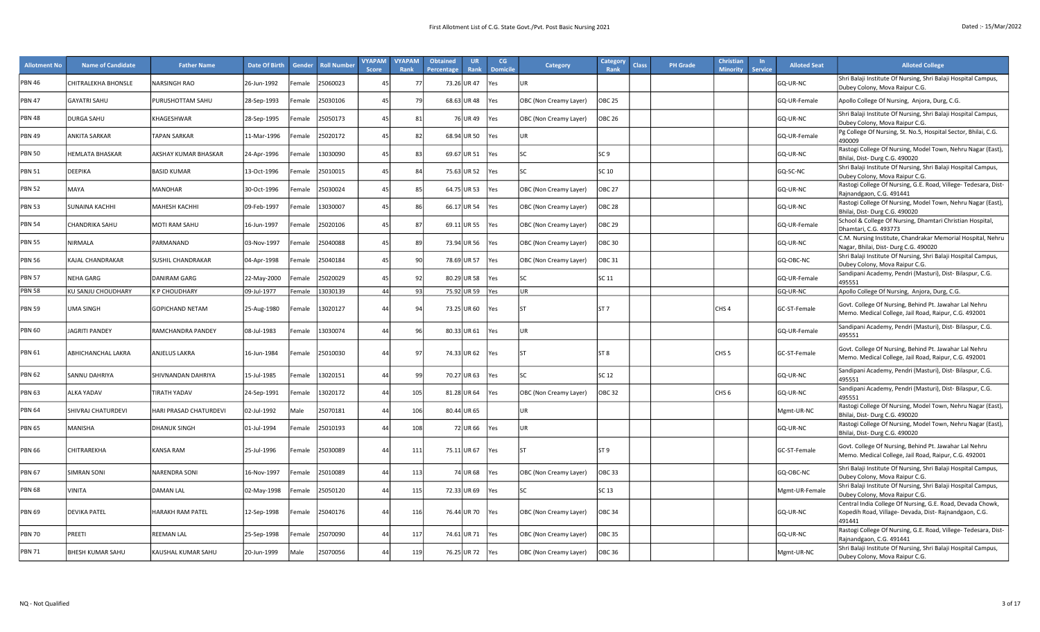| <b>Allotment No</b> | <b>Name of Candidate</b> | <b>Father Name</b>     | Date Of Birth | <b>Gender</b>      | <b>Roll Number</b> | <b>VYAPAM</b><br><b>Score</b> | <b>VYAPAM</b><br>Rank | <b>Obtained</b><br>Percentage | <b>UR</b><br>Rank | CG<br><b>Domicile</b> | Category               | Category<br><b>Class</b><br>Rank | <b>PH Grade</b> | <b>Christian</b><br><b>Minority</b> | <b>Service</b> | <b>Alloted Seat</b> | <b>Alloted College</b>                                                                                                         |
|---------------------|--------------------------|------------------------|---------------|--------------------|--------------------|-------------------------------|-----------------------|-------------------------------|-------------------|-----------------------|------------------------|----------------------------------|-----------------|-------------------------------------|----------------|---------------------|--------------------------------------------------------------------------------------------------------------------------------|
| <b>PBN 46</b>       | CHITRALEKHA BHONSLE      | <b>NARSINGH RAO</b>    | 26-Jun-1992   | emale              | 25060023           | 4 <sup>t</sup>                | - 77                  |                               | 73.26 UR47        | ⁄es                   |                        |                                  |                 |                                     |                | GQ-UR-NC            | Shri Balaji Institute Of Nursing, Shri Balaji Hospital Campus,<br>Dubey Colony, Mova Raipur C.G.                               |
| <b>PBN 47</b>       | <b>GAYATRI SAHU</b>      | PURUSHOTTAM SAHU       | 28-Sep-1993   | emale              | 25030106           | $\mathbf{A}^{\mathsf{r}}$     | 79                    |                               | 68.63 UR48        | Yes                   | OBC (Non Creamy Layer) | <b>OBC 25</b>                    |                 |                                     |                | GQ-UR-Female        | Apollo College Of Nursing, Anjora, Durg, C.G.                                                                                  |
| <b>PBN 48</b>       | DURGA SAHU               | KHAGESHWAR             | 28-Sep-1995   | emale              | 25050173           | $\mathbf{1}^{\mathfrak{c}}$   | 81                    |                               | 76 UR 49          | Yes                   | OBC (Non Creamy Layer) | <b>OBC 26</b>                    |                 |                                     |                | GQ-UR-NC            | Shri Balaji Institute Of Nursing, Shri Balaji Hospital Campus,<br>Dubey Colony, Mova Raipur C.G.                               |
| <b>PBN 49</b>       | ANKITA SARKAR            | <b>TAPAN SARKAR</b>    | 11-Mar-1996   | emale              | 25020172           | $\mathbf{1}^{\mathfrak{c}}$   | 82                    |                               | 68.94 UR 50       | Yes                   | <b>UR</b>              |                                  |                 |                                     |                | GQ-UR-Female        | Pg College Of Nursing, St. No.5, Hospital Sector, Bhilai, C.G.<br>490009                                                       |
| <b>PBN 50</b>       | HEMLATA BHASKAR          | AKSHAY KUMAR BHASKAR   | 24-Apr-1996   | emale              | 13030090           | 4 <sup>5</sup>                | 83                    |                               | 69.67 UR 51       | Yes                   | lsc                    | SC 9                             |                 |                                     |                | GQ-UR-NC            | Rastogi College Of Nursing, Model Town, Nehru Nagar (East),<br>Bhilai, Dist-Durg C.G. 490020                                   |
| <b>PBN 51</b>       | DEEPIKA                  | <b>BASID KUMAR</b>     | 13-Oct-1996   | emale              | 25010015           | $\mathbf{1}^{\mathfrak{c}}$   | 84                    |                               | 75.63 UR 52       | res                   | ۲C                     | SC 10                            |                 |                                     |                | GQ-SC-NC            | Shri Balaji Institute Of Nursing, Shri Balaji Hospital Campus,<br>Dubey Colony, Mova Raipur C.G.                               |
| <b>PBN 52</b>       | MAYA                     | MANOHAR                | 30-Oct-1996   | emale              | 25030024           |                               | 85                    |                               | 64.75 UR 53       | Yes                   | OBC (Non Creamy Layer) | OBC 27                           |                 |                                     |                | GQ-UR-NC            | Rastogi College Of Nursing, G.E. Road, Villege- Tedesara, Dist-<br>Rajnandgaon, C.G. 491441                                    |
| <b>PBN 53</b>       | SUNAINA KACHHI           | <b>МАНЕЅН КАСННІ</b>   | 09-Feb-1997   | emale              | 13030007           | $\mathbf{1}^{\mathfrak{c}}$   | 86                    |                               | 66.17 UR 54       | Yes                   | OBC (Non Creamy Layer) | <b>OBC 28</b>                    |                 |                                     |                | GQ-UR-NC            | Rastogi College Of Nursing, Model Town, Nehru Nagar (East),<br>Bhilai, Dist-Durg C.G. 490020                                   |
| <b>PBN 54</b>       | CHANDRIKA SAHU           | MOTI RAM SAHU          | 16-Jun-1997   | emale              | 25020106           | $\mathbf{A}^{\mathsf{r}}$     | 87                    |                               | 69.11 UR 55       | Yes                   | OBC (Non Creamy Layer) | OBC 29                           |                 |                                     |                | GQ-UR-Female        | School & College Of Nursing, Dhamtari Christian Hospital,<br>Dhamtari, C.G. 493773                                             |
| <b>PBN 55</b>       | NIRMALA                  | PARMANAND              | 03-Nov-1997   | emale              | 25040088           |                               | 89                    |                               | 73.94 UR 56       | Yes                   | OBC (Non Creamy Layer) | <b>OBC 30</b>                    |                 |                                     |                | GQ-UR-NC            | C.M. Nursing Institute, Chandrakar Memorial Hospital, Nehru<br>Nagar, Bhilai, Dist- Durg C.G. 490020                           |
| <b>PBN 56</b>       | KAJAL CHANDRAKAR         | SUSHIL CHANDRAKAR      | 04-Apr-1998   | emale              | 25040184           | $\mathbf{1}^{\mathfrak{c}}$   | 90                    |                               | 78.69 UR 57       | Yes                   | OBC (Non Creamy Layer) | OBC 31                           |                 |                                     |                | GQ-OBC-NC           | Shri Balaji Institute Of Nursing, Shri Balaji Hospital Campus,<br>Dubey Colony, Mova Raipur C.G.                               |
| <b>PBN 57</b>       | NEHA GARG                | DANIRAM GARG           | 22-May-2000   | emale              | 25020029           | 4 <sup>1</sup>                | 92                    |                               | 80.29 UR 58       | Yes                   | l۲                     | SC 11                            |                 |                                     |                | GQ-UR-Female        | Sandipani Academy, Pendri (Masturi), Dist- Bilaspur, C.G.<br>495551                                                            |
| <b>PBN 58</b>       | KU SANJU CHOUDHARY       | <b>K P CHOUDHARY</b>   | 09-Jul-1977   | Female             | 13030139           | 44                            | 93                    |                               | 75.92 UR 59       | Yes                   | UR                     |                                  |                 |                                     |                | GQ-UR-NC            | Apollo College Of Nursing, Anjora, Durg, C.G.                                                                                  |
| <b>PBN 59</b>       | UMA SINGH                | <b>GOPICHAND NETAM</b> | 25-Aug-1980   | emale              | 13020127           | $\overline{4}$                | 94                    |                               | 73.25 UR 60       | Yes                   | <b>ST</b>              | ST <sub>7</sub>                  |                 | CHS <sub>4</sub>                    |                | GC-ST-Female        | Govt. College Of Nursing, Behind Pt. Jawahar Lal Nehru<br>Memo. Medical College, Jail Road, Raipur, C.G. 492001                |
| <b>PBN 60</b>       | <b>AGRITI PANDEY</b>     | RAMCHANDRA PANDEY      | 08-Jul-1983   | emale <sup>:</sup> | 13030074           | $\overline{4}$                | 96                    |                               | 80.33 UR 61       | Yes                   | UR                     |                                  |                 |                                     |                | GQ-UR-Female        | Sandipani Academy, Pendri (Masturi), Dist- Bilaspur, C.G.<br>495551                                                            |
| <b>PBN 61</b>       | ABHICHANCHAL LAKRA       | <b>ANJELUS LAKRA</b>   | 16-Jun-1984   | emale              | 25010030           | $\Delta\ell$                  | 97                    |                               | 74.33 UR 62       | Yes                   | <b>IST</b>             | ST <sub>8</sub>                  |                 | CHS <sub>5</sub>                    |                | GC-ST-Female        | Govt. College Of Nursing, Behind Pt. Jawahar Lal Nehru<br>Memo. Medical College, Jail Road, Raipur, C.G. 492001                |
| <b>PBN 62</b>       | SANNU DAHRIYA            | SHIVNANDAN DAHRIYA     | 15-Jul-1985   | emale              | 13020151           |                               | 99                    |                               | 70.27 UR 63       | Yes                   | lsc                    | SC 12                            |                 |                                     |                | GQ-UR-NC            | Sandipani Academy, Pendri (Masturi), Dist- Bilaspur, C.G.<br>495551                                                            |
| <b>PBN 63</b>       | ALKA YADAV               | TIRATH YADAV           | 24-Sep-1991   | emale              | 13020172           | $\Delta\ell$                  | 105                   |                               | 81.28 UR 64       | res                   | OBC (Non Creamy Layer) | <b>OBC 32</b>                    |                 | CHS <sub>6</sub>                    |                | GQ-UR-NC            | Sandipani Academy, Pendri (Masturi), Dist- Bilaspur, C.G.<br>495551                                                            |
| <b>PBN 64</b>       | SHIVRAJ CHATURDEVI       | HARI PRASAD CHATURDEVI | 02-Jul-1992   | Male               | 25070181           |                               | 106                   |                               | 80.44 UR 65       |                       | UR                     |                                  |                 |                                     |                | Mgmt-UR-NC          | Rastogi College Of Nursing, Model Town, Nehru Nagar (East),<br>Bhilai, Dist-Durg C.G. 490020                                   |
| <b>PBN 65</b>       | MANISHA                  | <b>DHANUK SINGH</b>    | 01-Jul-1994   | emale              | 25010193           |                               | 108                   |                               | 72 UR 66          | res                   | UR                     |                                  |                 |                                     |                | GQ-UR-NC            | Rastogi College Of Nursing, Model Town, Nehru Nagar (East),<br>Bhilai, Dist-Durg C.G. 490020                                   |
| <b>PBN 66</b>       | CHITRAREKHA              | KANSA RAM              | 25-Jul-1996   | Female             | 25030089           | $\Delta l$                    | 111                   |                               | 75.11 UR 67       | Yes                   | lst                    | ST 9                             |                 |                                     |                | GC-ST-Female        | Govt. College Of Nursing, Behind Pt. Jawahar Lal Nehru<br>Memo. Medical College, Jail Road, Raipur, C.G. 492001                |
| <b>PBN 67</b>       | SIMRAN SONI              | NARENDRA SONI          | 16-Nov-1997   | emale              | 25010089           | $\Delta t$                    | 113                   |                               | 74 UR 68          | Yes                   | OBC (Non Creamy Layer) | OBC 33                           |                 |                                     |                | GQ-OBC-NC           | Shri Balaji Institute Of Nursing, Shri Balaji Hospital Campus,<br>Dubey Colony, Mova Raipur C.G.                               |
| <b>PBN 68</b>       | VINITA                   | DAMAN LAL              | 02-May-1998   | emale              | 25050120           |                               | 115                   |                               | 72.33 UR 69       | Yes                   |                        | SC 13                            |                 |                                     |                | Mgmt-UR-Female      | Shri Balaji Institute Of Nursing, Shri Balaji Hospital Campus,<br>Dubey Colony, Mova Raipur C.G.                               |
| <b>PBN 69</b>       | <b>DEVIKA PATEL</b>      | HARAKH RAM PATEL       | 12-Sep-1998   | -emale             | 25040176           | 44                            | 116                   |                               | 76.44 UR 70       | Yes                   | OBC (Non Creamy Layer) | <b>OBC 34</b>                    |                 |                                     |                | GQ-UR-NC            | Central India College Of Nursing, G.E. Road, Devada Chowk,<br>Kopedih Road, Village- Devada, Dist- Rajnandgaon, C.G.<br>491441 |
| <b>PBN 70</b>       | PREETI                   | REEMAN LAL             | 25-Sep-1998   | emale              | 25070090           |                               | 117                   |                               | 74.61 UR 71       | Yes                   | OBC (Non Creamy Layer) | OBC 35                           |                 |                                     |                | GQ-UR-NC            | Rastogi College Of Nursing, G.E. Road, Villege- Tedesara, Dist-<br>Rajnandgaon, C.G. 491441                                    |
| <b>PBN 71</b>       | BHESH KUMAR SAHU         | KAUSHAL KUMAR SAHU     | 20-Jun-1999   | Male               | 25070056           |                               | 119                   |                               | 76.25 UR 72       | Yes                   | OBC (Non Creamy Layer) | <b>OBC 36</b>                    |                 |                                     |                | Mgmt-UR-NC          | Shri Balaji Institute Of Nursing, Shri Balaji Hospital Campus,<br>Dubey Colony, Mova Raipur C.G.                               |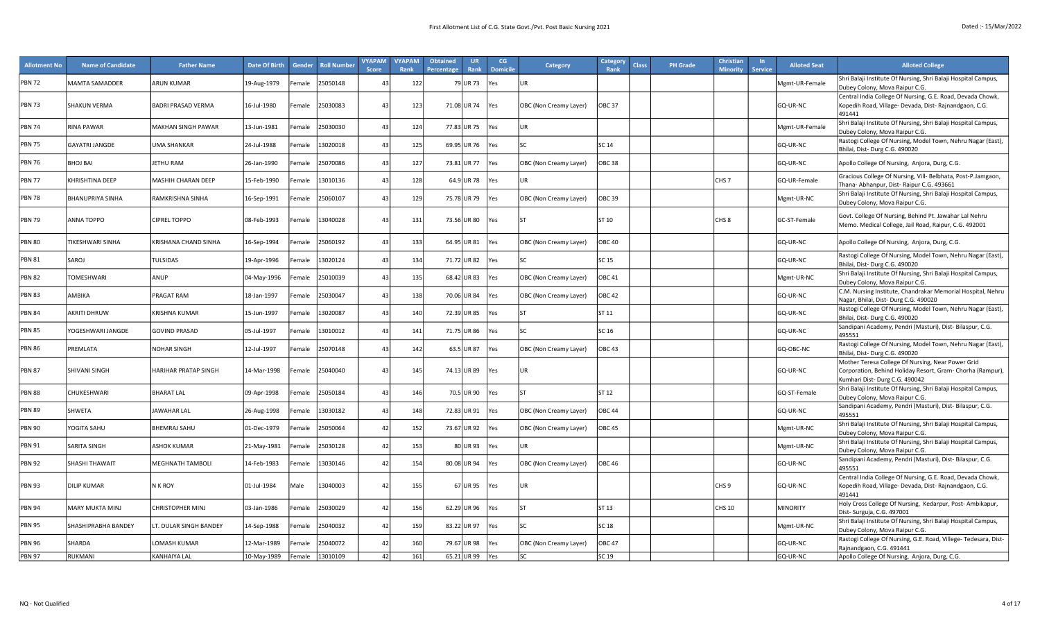| <b>Allotment No</b> | <b>Name of Candidate</b> | <b>Father Name</b>          | Date Of Birth | Gender             | <b>Roll Number</b> | <b>VYAPAM</b><br>Score | <b>VYAPAM</b><br>Rank | <b>Obtained</b><br><b>UR</b><br>Rank<br>Percentage | CG<br><b>Domicile</b> | <b>Category</b>        | Category<br><b>Class</b><br>Rank | <b>PH</b> Grade | Christian<br><b>Minority</b> | <b>Service</b> | <b>Alloted Seat</b> | <b>Alloted College</b>                                                                                                                           |
|---------------------|--------------------------|-----------------------------|---------------|--------------------|--------------------|------------------------|-----------------------|----------------------------------------------------|-----------------------|------------------------|----------------------------------|-----------------|------------------------------|----------------|---------------------|--------------------------------------------------------------------------------------------------------------------------------------------------|
| <b>PBN 72</b>       | <b>MAMTA SAMADDER</b>    | <b>ARUN KUMAR</b>           | 19-Aug-1979   | Female             | 25050148           | 4 <sup>5</sup>         | 122                   | 79 UR 73                                           | es/                   | <b>UR</b>              |                                  |                 |                              |                | Mgmt-UR-Female      | Shri Balaji Institute Of Nursing, Shri Balaji Hospital Campus,<br>Dubey Colony, Mova Raipur C.G.                                                 |
| <b>PBN 73</b>       | <b>SHAKUN VERMA</b>      | <b>BADRI PRASAD VERMA</b>   | 16-Jul-1980   | Female             | 25030083           | 43                     | 123                   | 71.08 UR 74                                        | Yes                   | OBC (Non Creamy Layer) | <b>OBC 37</b>                    |                 |                              |                | GQ-UR-NC            | Central India College Of Nursing, G.E. Road, Devada Chowk,<br>Kopedih Road, Village- Devada, Dist- Rajnandgaon, C.G.<br>491441                   |
| <b>PBN 74</b>       | RINA PAWAR               | MAKHAN SINGH PAWAR          | 13-Jun-1981   | emale <sup>:</sup> | 25030030           | 4 <sup>5</sup>         | 124                   | 77.83 UR 75                                        | es/                   | UR                     |                                  |                 |                              |                | Mgmt-UR-Female      | Shri Balaji Institute Of Nursing, Shri Balaji Hospital Campus,<br>Dubey Colony, Mova Raipur C.G.                                                 |
| <b>PBN 75</b>       | <b>GAYATRI JANGDE</b>    | <b>UMA SHANKAR</b>          | 24-Jul-1988   | emale              | 13020018           | 4 <sup>7</sup>         | 125                   | 69.95 UR 76                                        | ⁄es                   | lsc.                   | SC 14                            |                 |                              |                | GQ-UR-NC            | Rastogi College Of Nursing, Model Town, Nehru Nagar (East),<br>Bhilai, Dist-Durg C.G. 490020                                                     |
| <b>PBN 76</b>       | BHOJ BAI                 | JETHU RAM                   | 26-Jan-1990   | Female             | 25070086           |                        | 127                   | 73.81 UR 77                                        | Yes                   | OBC (Non Creamy Layer) | <b>OBC 38</b>                    |                 |                              |                | GQ-UR-NC            | Apollo College Of Nursing, Anjora, Durg, C.G.                                                                                                    |
| <b>PBN 77</b>       | <b>KHRISHTINA DEEP</b>   | <b>MASHIH CHARAN DEEP</b>   | 15-Feb-1990   | emale              | 13010136           | 4 <sup>5</sup>         | 128                   | 64.9 UR 78                                         | es                    | UR.                    |                                  |                 | CHS <sub>7</sub>             |                | GQ-UR-Female        | Gracious College Of Nursing, Vill- Belbhata, Post-P.Jamgaon,<br>Thana- Abhanpur, Dist- Raipur C.G. 493661                                        |
| <b>PBN 78</b>       | <b>BHANUPRIYA SINHA</b>  | RAMKRISHNA SINHA            | 16-Sep-1991   | emale              | 25060107           | 4 <sup>5</sup>         | 129                   | 75.78 UR 79                                        | Yes                   | OBC (Non Creamy Layer) | OBC 39                           |                 |                              |                | Mgmt-UR-NC          | Shri Balaji Institute Of Nursing, Shri Balaji Hospital Campus,<br>Dubey Colony, Mova Raipur C.G.                                                 |
| <b>PBN 79</b>       | <b>ANNA TOPPO</b>        | <b>CIPREL TOPPO</b>         | 08-Feb-1993   | Female             | 13040028           | 43                     | 131                   | 73.56 UR 80                                        | Yes                   | <b>ST</b>              | ST 10                            |                 | CHS 8                        |                | GC-ST-Female        | Govt. College Of Nursing, Behind Pt. Jawahar Lal Nehru<br>Memo. Medical College, Jail Road, Raipur, C.G. 492001                                  |
| <b>PBN 80</b>       | TIKESHWARI SINHA         | KRISHANA CHAND SINHA        | 16-Sep-1994   | emale              | 25060192           | 43                     | 133                   | 64.95 UR81                                         | Yes                   | OBC (Non Creamy Layer) | OBC 40                           |                 |                              |                | GQ-UR-NC            | Apollo College Of Nursing, Anjora, Durg, C.G.                                                                                                    |
| <b>PBN 81</b>       | SAROJ                    | <b>TULSIDAS</b>             | 19-Apr-1996   | emale              | 13020124           | 4 <sup>2</sup>         | 134                   | 71.72 UR 82                                        | es/                   | lsc                    | SC 15                            |                 |                              |                | GQ-UR-NC            | Rastogi College Of Nursing, Model Town, Nehru Nagar (East),<br>Bhilai, Dist-Durg C.G. 490020                                                     |
| <b>PBN 82</b>       | TOMESHWARI               | ANUP                        | 04-May-1996   | emale              | 25010039           | $\overline{4}$         | 135                   | 68.42 UR 83                                        | Yes                   | OBC (Non Creamy Layer) | OBC 41                           |                 |                              |                | Mgmt-UR-NC          | Shri Balaji Institute Of Nursing, Shri Balaji Hospital Campus,<br>Dubey Colony, Mova Raipur C.G.                                                 |
| <b>PBN 83</b>       | AMBIKA                   | <b>PRAGAT RAM</b>           | 18-Jan-1997   | emale              | 25030047           | 4 <sup>7</sup>         | 138                   | 70.06 UR 84                                        | Yes                   | OBC (Non Creamy Layer) | <b>OBC 42</b>                    |                 |                              |                | GQ-UR-NC            | C.M. Nursing Institute, Chandrakar Memorial Hospital, Nehru<br>Nagar, Bhilai, Dist-Durg C.G. 490020                                              |
| <b>PBN 84</b>       | <b>AKRITI DHRUW</b>      | KRISHNA KUMAR               | 15-Jun-1997   | emale              | 13020087           | 4 <sup>2</sup>         | 140                   | 72.39 UR 85                                        | 'es                   | <b>ST</b>              | ST 11                            |                 |                              |                | GQ-UR-NC            | Rastogi College Of Nursing, Model Town, Nehru Nagar (East),<br>Bhilai, Dist-Durg C.G. 490020                                                     |
| <b>PBN 85</b>       | YOGESHWARI JANGDE        | <b>GOVIND PRASAD</b>        | 05-Jul-1997   | emale              | 13010012           | $\mathbf{A}$           | 141                   | 71.75 UR 86                                        | Yes                   | <b>SC</b>              | SC 16                            |                 |                              |                | GQ-UR-NC            | Sandipani Academy, Pendri (Masturi), Dist- Bilaspur, C.G.<br>495551                                                                              |
| <b>PBN 86</b>       | PREMLATA                 | <b>NOHAR SINGH</b>          | 12-Jul-1997   | Female             | 25070148           | 4 <sup>5</sup>         | 142                   | 63.5 UR 87                                         | Yes                   | OBC (Non Creamy Layer) | OBC 43                           |                 |                              |                | GQ-OBC-NC           | Rastogi College Of Nursing, Model Town, Nehru Nagar (East),<br>Bhilai, Dist-Durg C.G. 490020                                                     |
| <b>PBN 87</b>       | SHIVANI SINGH            | <b>HARIHAR PRATAP SINGH</b> | 14-Mar-1998   | Female             | 25040040           | 4 <sup>5</sup>         | 145                   | 74.13 UR 89                                        | Yes                   | UR                     |                                  |                 |                              |                | GQ-UR-NC            | Mother Teresa College Of Nursing, Near Power Grid<br>Corporation, Behind Holiday Resort, Gram- Chorha (Rampur),<br>Kumhari Dist-Durg C.G. 490042 |
| <b>PBN 88</b>       | CHUKESHWARI              | <b>BHARAT LAL</b>           | 09-Apr-1998   | emale              | 25050184           | 4 <sup>7</sup>         | 146                   | 70.5 UR 90                                         | res                   | lsт                    | ST 12                            |                 |                              |                | GQ-ST-Female        | Shri Balaji Institute Of Nursing, Shri Balaji Hospital Campus,<br>Dubey Colony, Mova Raipur C.G.                                                 |
| <b>PBN 89</b>       | SHWETA                   | <b>AWAHAR LAL</b>           | 26-Aug-1998   | Female             | 13030182           | $\mathbf{A}$           | 148                   | 72.83 UR 91                                        | Yes                   | OBC (Non Creamy Layer) | <b>OBC 44</b>                    |                 |                              |                | GQ-UR-NC            | Sandipani Academy, Pendri (Masturi), Dist-Bilaspur, C.G.<br>495551                                                                               |
| <b>PBN 90</b>       | YOGITA SAHU              | <b>BHEMRAJ SAHU</b>         | 01-Dec-1979   | emale              | 25050064           | $\overline{4}$         | 152                   | 73.67 UR 92                                        | Yes                   | OBC (Non Creamy Layer) | OBC 45                           |                 |                              |                | Mgmt-UR-NC          | Shri Balaji Institute Of Nursing, Shri Balaji Hospital Campus,<br>Dubey Colony, Mova Raipur C.G.                                                 |
| <b>PBN 91</b>       | SARITA SINGH             | <b>ASHOK KUMAR</b>          | 21-May-1981   | Female             | 25030128           | 42                     | 153                   | 80 UR 93                                           | Yes                   | <b>UR</b>              |                                  |                 |                              |                | Mgmt-UR-NC          | Shri Balaji Institute Of Nursing, Shri Balaji Hospital Campus,<br>Dubey Colony, Mova Raipur C.G.                                                 |
| <b>PBN 92</b>       | SHASHI THAWAIT           | <b>MEGHNATH TAMBOLI</b>     | 14-Feb-1983   | emale              | 13030146           | $\Lambda$              | 154                   | 80.08 UR 94                                        | Yes                   | OBC (Non Creamy Layer) | OBC 46                           |                 |                              |                | GQ-UR-NC            | Sandipani Academy, Pendri (Masturi), Dist- Bilaspur, C.G.<br>495551                                                                              |
| <b>PBN 93</b>       | <b>DILIP KUMAR</b>       | N K ROY                     | 01-Jul-1984   | Male               | 13040003           | 42                     | 155                   | 67 UR 95                                           | Yes                   | UR                     |                                  |                 | CHS <sub>9</sub>             |                | GQ-UR-NC            | Central India College Of Nursing, G.E. Road, Devada Chowk,<br>Kopedih Road, Village- Devada, Dist- Rajnandgaon, C.G.<br>491441                   |
| <b>PBN 94</b>       | <b>MARY MUKTA MINJ</b>   | <b>CHRISTOPHER MINJ</b>     | 03-Jan-1986   | emale              | 25030029           | $\mathbf{A}^{\prime}$  | 156                   | 62.29 UR 96                                        | 'es                   | lsт                    | ST 13                            |                 | <b>CHS 10</b>                |                | <b>MINORITY</b>     | Holy Cross College Of Nursing, Kedarpur, Post-Ambikapur,<br>Dist-Surguja, C.G. 497001                                                            |
| <b>PBN 95</b>       | SHASHIPRABHA BANDEY      | LT. DULAR SINGH BANDEY      | 14-Sep-1988   | Female             | 25040032           | $\overline{4}$         | 159                   | 83.22 UR 97                                        | Yes                   | <b>SC</b>              | SC 18                            |                 |                              |                | Mgmt-UR-NC          | Shri Balaji Institute Of Nursing, Shri Balaji Hospital Campus,<br>Dubey Colony, Mova Raipur C.G.                                                 |
| <b>PBN 96</b>       | SHARDA                   | LOMASH KUMAR                | L2-Mar-1989   | ∶emale             | 25040072           | $\mathbf{A}$           | 160                   | 79.67 UR 98                                        | Yes                   | OBC (Non Creamy Layer) | <b>OBC 47</b>                    |                 |                              |                | GQ-UR-NC            | Rastogi College Of Nursing, G.E. Road, Villege- Tedesara, Dist-<br>Rajnandgaon, C.G. 491441                                                      |
| PBN 97              | RUKMANI                  | KANHAIYA LAL                | 10-May-1989   | Female             | 13010109           | 42                     | 161                   | 65.21 UR 99                                        | Yes                   | lsc                    | SC 19                            |                 |                              |                | GQ-UR-NC            | Apollo College Of Nursing, Anjora, Durg, C.G.                                                                                                    |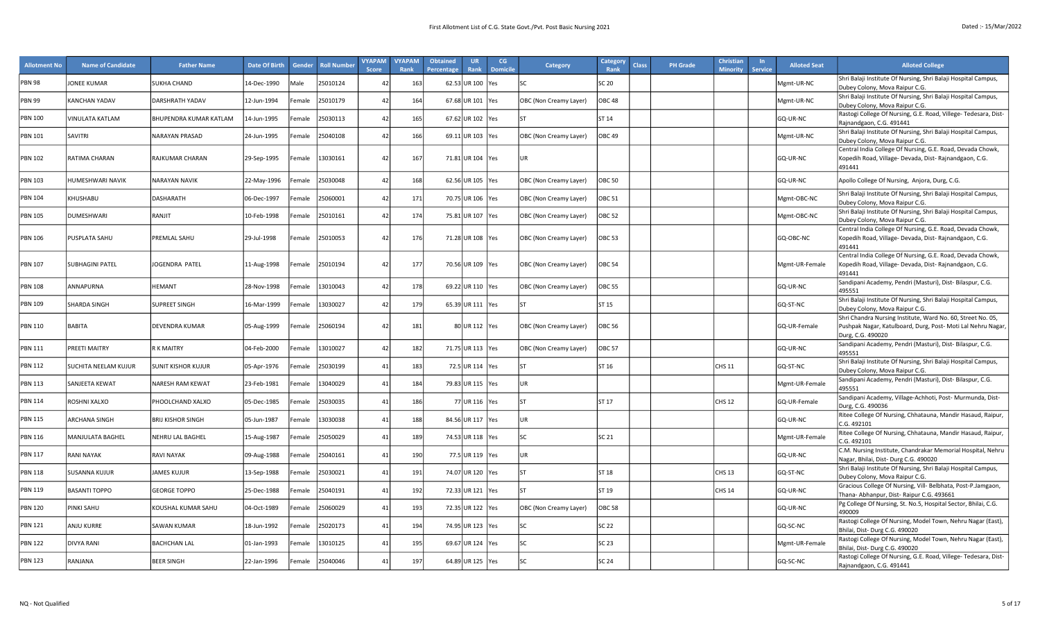| <b>Allotment No</b>       | <b>Name of Candidate</b> | <b>Father Name</b>       | Date Of Birth | Gender | <b>Roll Numbe</b> | <b>VYAPAM</b><br><b>Score</b> | <b>VYAPAM</b><br>Rank | <b>Obtained</b><br>Percentage | <b>UR</b><br>Rank  | CG<br><b>Domicile</b> | <b>Category</b>        | Category<br><b>Class</b><br>Rank | <b>PH Grade</b> | <b>Christian</b><br><b>Minority</b> | <b>Service</b> | <b>Alloted Seat</b> | <b>Alloted College</b>                                                                                                      |
|---------------------------|--------------------------|--------------------------|---------------|--------|-------------------|-------------------------------|-----------------------|-------------------------------|--------------------|-----------------------|------------------------|----------------------------------|-----------------|-------------------------------------|----------------|---------------------|-----------------------------------------------------------------------------------------------------------------------------|
| <b>PBN 98</b>             | <b>JONEE KUMAR</b>       | SUKHA CHAND              | 14-Dec-1990   | Male   | 25010124          | $\overline{4}$                | 163                   |                               | 62.53 UR 100 Yes   |                       | l۲C                    | SC 20                            |                 |                                     |                | Mgmt-UR-NC          | Shri Balaji Institute Of Nursing, Shri Balaji Hospital Campus,<br>Dubey Colony, Mova Raipur C.G.                            |
| <b>PBN 99</b>             | <b>KANCHAN YADAV</b>     | DARSHRATH YADAV          | 12-Jun-1994   | Female | 25010179          | $\overline{4}$                | 164                   |                               | 67.68 UR 101 Yes   |                       | OBC (Non Creamy Layer) | <b>OBC 48</b>                    |                 |                                     |                | Mgmt-UR-NC          | Shri Balaji Institute Of Nursing, Shri Balaji Hospital Campus,                                                              |
|                           |                          |                          |               |        |                   |                               |                       |                               |                    |                       |                        |                                  |                 |                                     |                |                     | Dubey Colony, Mova Raipur C.G.<br>Rastogi College Of Nursing, G.E. Road, Villege- Tedesara, Dist-                           |
| <b>PBN 100</b>            | VINULATA KATLAM          | BHUPENDRA KUMAR KATLAM   | 14-Jun-1995   | Female | 25030113          | $\overline{4}$                | 165                   |                               | 67.62 UR 102 Yes   |                       | l۲                     | ST 14                            |                 |                                     |                | GQ-UR-NC            | Rajnandgaon, C.G. 491441                                                                                                    |
| <b>PBN 101</b>            | SAVITRI                  | NARAYAN PRASAD           | 24-Jun-1995   | Female | 25040108          | $\overline{4}$                | 166                   |                               | 69.11 UR 103 Yes   |                       | OBC (Non Creamy Layer) | <b>OBC 49</b>                    |                 |                                     |                | Mgmt-UR-NC          | Shri Balaji Institute Of Nursing, Shri Balaji Hospital Campus,<br>Dubey Colony, Mova Raipur C.G.                            |
|                           |                          |                          |               |        |                   |                               |                       |                               |                    |                       |                        |                                  |                 |                                     |                |                     | Central India College Of Nursing, G.E. Road, Devada Chowk,                                                                  |
| <b>PBN 102</b>            | RATIMA CHARAN            | RAJKUMAR CHARAN          | 29-Sep-1995   | Female | 13030161          | $\overline{4}$                | 167                   |                               | 71.81 UR 104 Yes   |                       | UR                     |                                  |                 |                                     |                | GQ-UR-NC            | Kopedih Road, Village- Devada, Dist- Rajnandgaon, C.G.<br>491441                                                            |
| <b>PBN 103</b>            | HUMESHWARI NAVIK         | NARAYAN NAVIK            | 22-May-1996   | Female | 25030048          | $\overline{4}$                | 168                   |                               | 62.56 UR 105   Yes |                       | OBC (Non Creamy Layer) | <b>OBC 50</b>                    |                 |                                     |                | GQ-UR-NC            | Apollo College Of Nursing, Anjora, Durg, C.G.                                                                               |
|                           |                          |                          |               |        |                   |                               |                       |                               |                    |                       |                        |                                  |                 |                                     |                |                     | Shri Balaji Institute Of Nursing, Shri Balaji Hospital Campus,                                                              |
| <b>PBN 104</b>            | KHUSHABU                 | DASHARATH                | 06-Dec-1997   | Female | 25060001          | $\mathbf{A}$                  | 171                   |                               | 70.75 UR 106 Yes   |                       | OBC (Non Creamy Layer) | <b>OBC 51</b>                    |                 |                                     |                | Mgmt-OBC-NC         | Dubey Colony, Mova Raipur C.G.                                                                                              |
| <b>PBN 105</b>            | <b>DUMESHWARI</b>        | RANJIT                   | 10-Feb-1998   | Female | 25010161          | $\overline{4}$                | 174                   |                               | 75.81 UR 107 Yes   |                       | OBC (Non Creamy Layer) | <b>OBC 52</b>                    |                 |                                     |                | Mgmt-OBC-NC         | Shri Balaji Institute Of Nursing, Shri Balaji Hospital Campus,<br>Dubey Colony, Mova Raipur C.G.                            |
|                           |                          |                          |               |        |                   |                               |                       |                               |                    |                       |                        |                                  |                 |                                     |                |                     | Central India College Of Nursing, G.E. Road, Devada Chowk,                                                                  |
| <b>PBN 106</b>            | PUSPLATA SAHU            | PREMLAL SAHU             | 29-Jul-1998   | Female | 25010053          | $\overline{4}$                | 176                   |                               | 71.28 UR 108 Yes   |                       | OBC (Non Creamy Layer) | <b>OBC 53</b>                    |                 |                                     |                | GQ-OBC-NC           | Kopedih Road, Village- Devada, Dist- Rajnandgaon, C.G.<br>491441                                                            |
|                           |                          |                          |               |        |                   |                               |                       |                               |                    |                       |                        |                                  |                 |                                     |                |                     | Central India College Of Nursing, G.E. Road, Devada Chowk,                                                                  |
| <b>PBN 107</b>            | <b>SUBHAGINI PATEL</b>   | <b>IOGENDRA PATEL</b>    | 11-Aug-1998   | Female | 25010194          | $\overline{4}$                | 177                   |                               | 70.56 UR 109 Yes   |                       | OBC (Non Creamy Layer) | <b>OBC 54</b>                    |                 |                                     |                | Mgmt-UR-Female      | Kopedih Road, Village- Devada, Dist-Rajnandgaon, C.G.<br>491441                                                             |
| <b>PBN 108</b>            | ANNAPURNA                | HEMANT                   | 28-Nov-1998   | Female | 13010043          | $\mathbf{A}$                  | 178                   |                               | 69.22 UR 110 Yes   |                       | OBC (Non Creamy Layer) | <b>OBC 55</b>                    |                 |                                     |                | GQ-UR-NC            | Sandipani Academy, Pendri (Masturi), Dist- Bilaspur, C.G.                                                                   |
|                           |                          |                          |               |        |                   |                               |                       |                               |                    |                       |                        |                                  |                 |                                     |                |                     | 495551<br>Shri Balaji Institute Of Nursing, Shri Balaji Hospital Campus,                                                    |
| <b>PBN 109</b>            | <b>SHARDA SINGH</b>      | SUPREET SINGH            | 16-Mar-1999   | Female | 13030027          | $\overline{4}$                | 179                   |                               | 65.39 UR 111 Yes   |                       | <b>ST</b>              | ST 15                            |                 |                                     |                | GQ-ST-NC            | Dubey Colony, Mova Raipur C.G.                                                                                              |
| <b>PBN 110</b>            | <b>BABITA</b>            | DEVENDRA KUMAR           | 05-Aug-1999   | Female | 25060194          | $\overline{4}$                | 181                   |                               | 80 UR 112 Yes      |                       | OBC (Non Creamy Layer) | <b>OBC 56</b>                    |                 |                                     |                | GQ-UR-Female        | Shri Chandra Nursing Institute, Ward No. 60, Street No. 05,<br>Pushpak Nagar, Katulboard, Durg, Post- Moti Lal Nehru Nagar, |
|                           |                          |                          |               |        |                   |                               |                       |                               |                    |                       |                        |                                  |                 |                                     |                |                     | Durg, C.G. 490020                                                                                                           |
| <b>PBN 111</b>            | PREETI MAITRY            | R K MAITRY               | 04-Feb-2000   | Female | 13010027          | $\overline{4}$                | 182                   |                               | 71.75 UR 113 Yes   |                       | OBC (Non Creamy Layer) | <b>OBC 57</b>                    |                 |                                     |                | GQ-UR-NC            | Sandipani Academy, Pendri (Masturi), Dist- Bilaspur, C.G.<br>495551                                                         |
| <b>PBN 112</b>            | SUCHITA NEELAM KUJUR     | SUNIT KISHOR KUJUR       | 05-Apr-1976   | Female | 25030199          | 4 <sup>2</sup>                | 183                   |                               | 72.5 UR 114 Yes    |                       | lst                    | ST 16                            |                 | <b>CHS 11</b>                       |                | GQ-ST-NC            | Shri Balaji Institute Of Nursing, Shri Balaji Hospital Campus,                                                              |
|                           |                          |                          |               |        |                   |                               |                       |                               |                    |                       |                        |                                  |                 |                                     |                |                     | Dubey Colony, Mova Raipur C.G.<br>Sandipani Academy, Pendri (Masturi), Dist-Bilaspur, C.G.                                  |
| <b>PBN 113</b>            | SANJEETA KEWAT           | NARESH RAM KEWAT         | 23-Feb-1981   | Female | 13040029          | 41                            | 184                   |                               | 79.83 UR 115 Yes   |                       | UR                     |                                  |                 |                                     |                | Mgmt-UR-Female      | 495551                                                                                                                      |
| <b>PBN 114</b>            | ROSHNI XALXO             | PHOOLCHAND XALXO         | 05-Dec-1985   | emale  | 25030035          | $\overline{4}$                | 186                   |                               | 77 UR 116 Yes      |                       | lst                    | ST 17                            |                 | <b>CHS 12</b>                       |                | GQ-UR-Female        | Sandipani Academy, Village-Achhoti, Post- Murmunda, Dist-<br>Durg, C.G. 490036                                              |
| <b>PBN 115</b>            | <b>ARCHANA SINGH</b>     | <b>BRIJ KISHOR SINGH</b> | 05-Jun-1987   | Female | 13030038          | 41                            | 188                   |                               | 84.56 UR 117   Yes |                       | <b>UR</b>              |                                  |                 |                                     |                | GQ-UR-NC            | Ritee College Of Nursing, Chhatauna, Mandir Hasaud, Raipur,                                                                 |
|                           |                          |                          |               |        |                   |                               |                       |                               |                    |                       |                        |                                  |                 |                                     |                |                     | C.G. 492101<br>Ritee College Of Nursing, Chhatauna, Mandir Hasaud, Raipur,                                                  |
| <b>PBN 116</b>            | MANJULATA BAGHEL         | NEHRU LAL BAGHEL         | 15-Aug-1987   | Female | 25050029          | $\mathbf{A}$                  | 189                   |                               | 74.53 UR 118 Yes   |                       | <b>SC</b>              | SC 21                            |                 |                                     |                | Mgmt-UR-Female      | C.G. 492101                                                                                                                 |
| <b>PBN 117</b>            | <b>RANI NAYAK</b>        | RAVI NAYAK               | 09-Aug-1988   | Female | 25040161          | 4 <sup>1</sup>                | 190                   |                               | 77.5 UR 119 Yes    |                       | UR                     |                                  |                 |                                     |                | GQ-UR-NC            | C.M. Nursing Institute, Chandrakar Memorial Hospital, Nehru<br>Nagar, Bhilai, Dist-Durg C.G. 490020                         |
| <b>PBN 118</b>            | <b>SUSANNA KUJUR</b>     | <b>IAMES KUJUR</b>       | 13-Sep-1988   | Female | 25030021          | 4 <sup>2</sup>                | 191                   |                               | 74.07 UR 120 Yes   |                       | l۲                     | ST 18                            |                 | CHS 13                              |                | GQ-ST-NC            | Shri Balaji Institute Of Nursing, Shri Balaji Hospital Campus,                                                              |
|                           |                          |                          |               |        |                   |                               |                       |                               |                    |                       |                        |                                  |                 |                                     |                |                     | Dubey Colony, Mova Raipur C.G.<br>Gracious College Of Nursing, Vill- Belbhata, Post-P.Jamgaon,                              |
| <b>PBN 119</b>            | <b>BASANTI TOPPO</b>     | <b>GEORGE TOPPO</b>      | 25-Dec-1988   | Female | 25040191          | $\overline{4}$                | 192                   |                               | 72.33 UR 121 Yes   |                       | lst                    | ST 19                            |                 | <b>CHS 14</b>                       |                | GQ-UR-NC            | Thana- Abhanpur, Dist- Raipur C.G. 493661                                                                                   |
| <b>PBN 120</b>            | PINKI SAHU               | KOUSHAL KUMAR SAHU       | 04-Oct-1989   | Female | 25060029          | $\mathbf{A}$                  | 193                   |                               | 72.35 UR 122 Yes   |                       | OBC (Non Creamy Layer) | <b>OBC 58</b>                    |                 |                                     |                | GQ-UR-NC            | Pg College Of Nursing, St. No.5, Hospital Sector, Bhilai, C.G.<br>490009                                                    |
| <b>PBN 121</b>            |                          |                          |               |        |                   | $\overline{4}$                |                       |                               |                    |                       |                        |                                  |                 |                                     |                |                     | Rastogi College Of Nursing, Model Town, Nehru Nagar (East),                                                                 |
|                           | ANJU KURRE               | SAWAN KUMAR              | 18-Jun-1992   | Female | 25020173          |                               | 194                   |                               | 74.95 UR 123 Yes   |                       | <b>SC</b>              | SC 22                            |                 |                                     |                | GQ-SC-NC            | Bhilai, Dist-Durg C.G. 490020                                                                                               |
| <b>PBN 122</b>            | <b>DIVYA RANI</b>        | BACHCHAN LAL             | 01-Jan-1993   | Female | 13010125          | $\overline{4}$                | 195                   |                               | 69.67 UR 124       | Yes                   | <b>SC</b>              | SC 23                            |                 |                                     |                | Mgmt-UR-Female      | Rastogi College Of Nursing, Model Town, Nehru Nagar (East),<br>Bhilai, Dist-Durg C.G. 490020                                |
| <b>PBN 123</b><br>RANJANA |                          | <b>BEER SINGH</b>        | 22-Jan-1996   | Female | 25040046          | $\overline{4}$                | 197                   |                               | 64.89 UR 125 Yes   |                       | lsc.                   | <b>SC 24</b>                     |                 |                                     |                | GQ-SC-NC            | Rastogi College Of Nursing, G.E. Road, Villege- Tedesara, Dist-                                                             |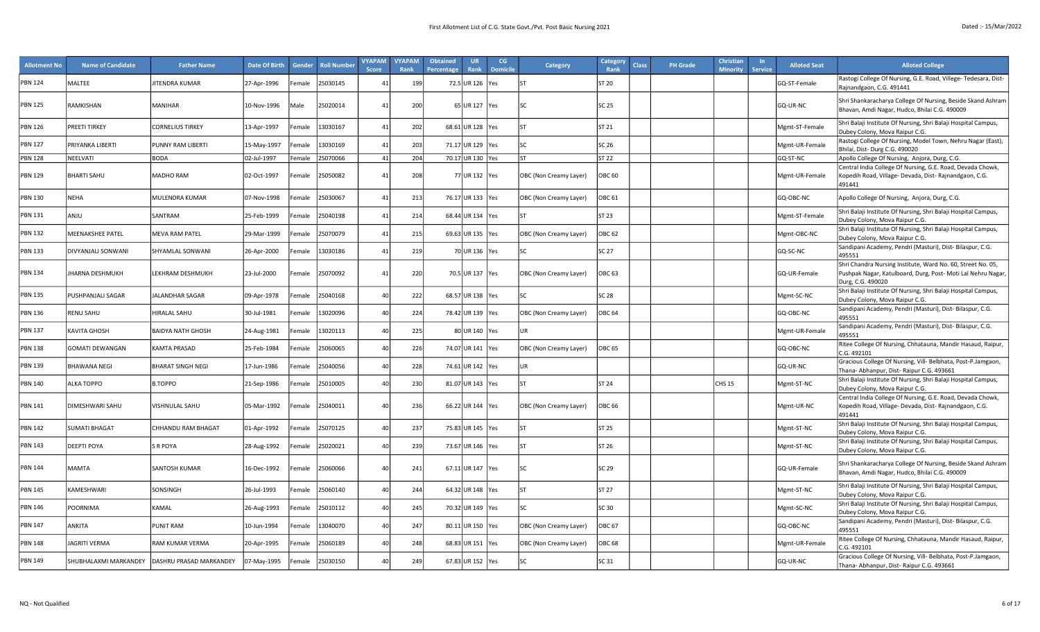| <b>Allotment No</b> | <b>Name of Candidate</b> | <b>Father Name</b>                              | <b>Date Of Birth</b> | Gender             | <b>Roll Numbe</b> | <b>VYAPAM</b><br><b>Score</b> | <b>VYAPAM</b><br>Rank | <b>Obtained</b><br>Percentage | <b>UR</b><br>Rank  | CG<br><b>Domicile</b> | <b>Category</b>        | Category<br>Class<br>Rank | <b>PH Grade</b> | <b>Christian</b><br><b>Minority</b> | $\mathsf{In}$<br><b>Service</b> | <b>Alloted Seat</b> | <b>Alloted College</b>                                                                                                                           |
|---------------------|--------------------------|-------------------------------------------------|----------------------|--------------------|-------------------|-------------------------------|-----------------------|-------------------------------|--------------------|-----------------------|------------------------|---------------------------|-----------------|-------------------------------------|---------------------------------|---------------------|--------------------------------------------------------------------------------------------------------------------------------------------------|
| <b>PBN 124</b>      | MALTEE                   | JITENDRA KUMAR                                  | 27-Apr-1996          | emale              | 25030145          |                               | 199                   |                               | 72.5 UR 126 Yes    |                       | <b>ST</b>              | ST 20                     |                 |                                     |                                 | GQ-ST-Female        | Rastogi College Of Nursing, G.E. Road, Villege- Tedesara, Dist-<br>Rajnandgaon, C.G. 491441                                                      |
| <b>PBN 125</b>      | RAMKISHAN                | MANIHAR                                         | 10-Nov-1996          | Male               | 25020014          | $\mathbf{4}^{\prime}$         | 200                   |                               | 65 UR 127 Yes      |                       | lsc                    | SC 25                     |                 |                                     |                                 | GQ-UR-NC            | Shri Shankaracharya College Of Nursing, Beside Skand Ashram<br>Bhavan, Amdi Nagar, Hudco, Bhilai C.G. 490009                                     |
| <b>PBN 126</b>      | PREETI TIRKEY            | <b>CORNELIUS TIRKEY</b>                         | 13-Apr-1997          | emale              | 13030167          | $\mathbf{A}^{\prime}$         | 202                   |                               | 68.61 UR 128 Yes   |                       | l۶т                    | ST 21                     |                 |                                     |                                 | Mgmt-ST-Female      | Shri Balaji Institute Of Nursing, Shri Balaji Hospital Campus,<br>Dubey Colony, Mova Raipur C.G.                                                 |
| <b>PBN 127</b>      | PRIYANKA LIBERTI         | PUNNY RAM LIBERTI                               | 15-May-1997          | emale              | 13030169          | $\mathbf{A}$                  | 203                   |                               | 71.17 UR 129   Yes |                       |                        | SC 26                     |                 |                                     |                                 | Mgmt-UR-Female      | Rastogi College Of Nursing, Model Town, Nehru Nagar (East),<br>Bhilai, Dist-Durg C.G. 490020                                                     |
| <b>PBN 128</b>      | NEELVATI                 | <b>BODA</b>                                     | 02-Jul-1997          | emale              | 25070066          | $\mathbf{4}^{\prime}$         | 204                   |                               | 70.17 UR 130 Yes   |                       | <b>ST</b>              | ST 22                     |                 |                                     |                                 | GQ-ST-NC            | Apollo College Of Nursing, Anjora, Durg, C.G.                                                                                                    |
| <b>PBN 129</b>      | <b>BHARTI SAHU</b>       | MADHO RAM                                       | 02-Oct-1997          | emale <sup>-</sup> | 25050082          | $\overline{4}$                | 208                   |                               | 77 UR 132   Yes    |                       | OBC (Non Creamy Layer) | OBC 60                    |                 |                                     |                                 | Mgmt-UR-Female      | Central India College Of Nursing, G.E. Road, Devada Chowk,<br>Kopedih Road, Village- Devada, Dist- Rajnandgaon, C.G.<br>491441                   |
| <b>PBN 130</b>      | NEHA                     | MULENDRA KUMAR                                  | 07-Nov-1998          | <sup>=</sup> emale | 25030067          | $\mathbf{4}^{\prime}$         | 213                   |                               | 76.17 UR 133   Yes |                       | OBC (Non Creamy Layer) | OBC 61                    |                 |                                     |                                 | GQ-OBC-NC           | Apollo College Of Nursing, Anjora, Durg, C.G.                                                                                                    |
| <b>PBN 131</b>      | ANJU                     | SANTRAM                                         | 25-Feb-1999          | emale              | 25040198          | $\mathbf{4}^{\prime}$         | 214                   |                               | 68.44 UR 134 Yes   |                       |                        | ST 23                     |                 |                                     |                                 | Mgmt-ST-Female      | Shri Balaji Institute Of Nursing, Shri Balaji Hospital Campus,<br>Dubey Colony, Mova Raipur C.G.                                                 |
| <b>PBN 132</b>      | <b>MEENAKSHEE PATEL</b>  | <b>MEVA RAM PATEL</b>                           | 29-Mar-1999          | emale              | 25070079          | $\mathbf{4}^{\prime}$         | 215                   |                               | 69.63 UR 135   Yes |                       | OBC (Non Creamy Layer) | <b>OBC 62</b>             |                 |                                     |                                 | Mgmt-OBC-NC         | Shri Balaji Institute Of Nursing, Shri Balaji Hospital Campus,<br>Dubey Colony, Mova Raipur C.G.                                                 |
| <b>PBN 133</b>      | DIVYANJALI SONWANI       | SHYAMLAL SONWANI                                | 26-Apr-2000          | emale              | 13030186          | $\mathbf{A}^*$                | 219                   |                               | 70 UR 136 Yes      |                       |                        | SC 27                     |                 |                                     |                                 | GQ-SC-NC            | Sandipani Academy, Pendri (Masturi), Dist- Bilaspur, C.G.<br>495551                                                                              |
| <b>PBN 134</b>      | JHARNA DESHMUKH          | LEKHRAM DESHMUKH                                | 23-Jul-2000          | Female             | 25070092          | 4 <sup>1</sup>                | 220                   |                               | 70.5 UR 137 Yes    |                       | OBC (Non Creamy Layer) | <b>OBC 63</b>             |                 |                                     |                                 | GQ-UR-Female        | Shri Chandra Nursing Institute, Ward No. 60, Street No. 05,<br>Pushpak Nagar, Katulboard, Durg, Post- Moti Lal Nehru Nagar,<br>Durg, C.G. 490020 |
| <b>PBN 135</b>      | PUSHPANJALI SAGAR        | JALANDHAR SAGAR                                 | 09-Apr-1978          | emale              | 25040168          | $\Delta$                      | 222                   |                               | 68.57 UR 138   Yes |                       |                        | SC 28                     |                 |                                     |                                 | Mgmt-SC-NC          | Shri Balaji Institute Of Nursing, Shri Balaji Hospital Campus,<br>Dubey Colony, Mova Raipur C.G.                                                 |
| <b>PBN 136</b>      | RENU SAHU                | HIRALAL SAHU                                    | 30-Jul-1981          | emale              | 13020096          |                               | 224                   |                               | 78.42 UR 139   Yes |                       | OBC (Non Creamy Layer) | <b>OBC 64</b>             |                 |                                     |                                 | GQ-OBC-NC           | Sandipani Academy, Pendri (Masturi), Dist- Bilaspur, C.G.<br>495551                                                                              |
| <b>PBN 137</b>      | <b>KAVITA GHOSH</b>      | <b>BAIDYA NATH GHOSH</b>                        | 24-Aug-1981          | emale              | 13020113          |                               | 225                   |                               | 80 UR 140 Yes      |                       | UR                     |                           |                 |                                     |                                 | Mgmt-UR-Female      | Sandipani Academy, Pendri (Masturi), Dist- Bilaspur, C.G.<br>495551                                                                              |
| <b>PBN 138</b>      | GOMATI DEWANGAN          | <b>KAMTA PRASAD</b>                             | 25-Feb-1984          | emale              | 25060065          |                               | 226                   |                               | 74.07 UR 141   Yes |                       | OBC (Non Creamy Layer) | OBC 65                    |                 |                                     |                                 | GQ-OBC-NC           | Ritee College Of Nursing, Chhatauna, Mandir Hasaud, Raipur,<br>C.G. 492101                                                                       |
| <b>PBN 139</b>      | BHAWANA NEGI             | BHARAT SINGH NEGI                               | 17-Jun-1986          | emale              | 25040056          | $\Delta$                      | 228                   |                               | 74.61 UR 142 Yes   |                       | <b>UR</b>              |                           |                 |                                     |                                 | GQ-UR-NC            | Gracious College Of Nursing, Vill- Belbhata, Post-P.Jamgaon,<br>Thana- Abhanpur, Dist- Raipur C.G. 493661                                        |
| <b>PBN 140</b>      | <b>ALKA TOPPO</b>        | <b>B.TOPPO</b>                                  | 21-Sep-1986          | emale              | 25010005          | $\Delta$                      | 230                   |                               | 81.07 UR 143   Yes |                       | <b>ST</b>              | ST 24                     |                 | <b>CHS 15</b>                       |                                 | Mgmt-ST-NC          | Shri Balaji Institute Of Nursing, Shri Balaji Hospital Campus,<br>Dubey Colony, Mova Raipur C.G.                                                 |
| <b>PBN 141</b>      | DIMESHWARI SAHU          | VISHNULAL SAHU                                  | 05-Mar-1992          | emale              | 25040011          | 40                            | 236                   |                               | 66.22 UR 144 Yes   |                       | OBC (Non Creamy Layer) | OBC 66                    |                 |                                     |                                 | Mgmt-UR-NC          | Central India College Of Nursing, G.E. Road, Devada Chowk,<br>Kopedih Road, Village- Devada, Dist- Rajnandgaon, C.G.<br>491441                   |
| <b>PBN 142</b>      | SUMATI BHAGAT            | CHHANDU RAM BHAGAT                              | 01-Apr-1992          | emale              | 25070125          | $\Delta($                     | 237                   |                               | 75.83 UR 145 Yes   |                       | <b>ST</b>              | ST 25                     |                 |                                     |                                 | Mgmt-ST-NC          | Shri Balaji Institute Of Nursing, Shri Balaji Hospital Campus,<br>Dubey Colony, Mova Raipur C.G.                                                 |
| <b>PBN 143</b>      | DEEPTI POYA              | S R POYA                                        | 28-Aug-1992          | emale              | 25020021          | $\Delta($                     | 239                   |                               | 73.67 UR 146   Yes |                       | <b>ST</b>              | ST 26                     |                 |                                     |                                 | Mgmt-ST-NC          | Shri Balaji Institute Of Nursing, Shri Balaji Hospital Campus,<br>Dubey Colony, Mova Raipur C.G.                                                 |
| <b>PBN 144</b>      | <b>MAMTA</b>             | SANTOSH KUMAR                                   | 16-Dec-1992          | Female             | 25060066          | $\Delta($                     | 241                   |                               | 67.11 UR 147 Yes   |                       | <b>SC</b>              | SC 29                     |                 |                                     |                                 | GQ-UR-Female        | Shri Shankaracharya College Of Nursing, Beside Skand Ashram<br>Bhavan, Amdi Nagar, Hudco, Bhilai C.G. 490009                                     |
| <b>PBN 145</b>      | <b>KAMESHWARI</b>        | SONSINGH                                        | 26-Jul-1993          | emale              | 25060140          | $\Delta$                      | 244                   |                               | 64.32 UR 148   Yes |                       | <b>ST</b>              | ST 27                     |                 |                                     |                                 | Mgmt-ST-NC          | Shri Balaji Institute Of Nursing, Shri Balaji Hospital Campus,<br>Dubey Colony, Mova Raipur C.G.                                                 |
| <b>PBN 146</b>      | POORNIMA                 | KAMAL                                           | 26-Aug-1993          | emale              | 25010112          |                               | 245                   |                               | 70.32 UR 149 Yes   |                       | l۲c                    | SC 30                     |                 |                                     |                                 | Mgmt-SC-NC          | Shri Balaji Institute Of Nursing, Shri Balaji Hospital Campus,<br>Dubey Colony, Mova Raipur C.G.                                                 |
| <b>PBN 147</b>      | ANKITA                   | PUNIT RAM                                       | 10-Jun-1994          | emale              | 13040070          |                               | 247                   |                               | 80.11 UR 150   Yes |                       | OBC (Non Creamy Layer) | OBC 67                    |                 |                                     |                                 | GQ-OBC-NC           | Sandipani Academy, Pendri (Masturi), Dist- Bilaspur, C.G.<br>495551                                                                              |
| <b>PBN 148</b>      | <b>IAGRITI VERMA</b>     | RAM KUMAR VERMA                                 | 20-Apr-1995          | emale              | 25060189          |                               | 248                   |                               | 68.83 UR 151 Yes   |                       | OBC (Non Creamy Layer) | OBC 68                    |                 |                                     |                                 | Mgmt-UR-Female      | Ritee College Of Nursing, Chhatauna, Mandir Hasaud, Raipur,<br>C.G. 492101                                                                       |
| <b>PBN 149</b>      |                          | SHUBHALAXMI MARKANDEY   DASHRU PRASAD MARKANDEY | 07-May-1995          | emale              | 25030150          |                               | 249                   |                               | 67.83 UR 152 Yes   |                       |                        | SC 31                     |                 |                                     |                                 | GQ-UR-NC            | Gracious College Of Nursing, Vill- Belbhata, Post-P.Jamgaon,<br>Thana- Abhanpur, Dist- Raipur C.G. 493661                                        |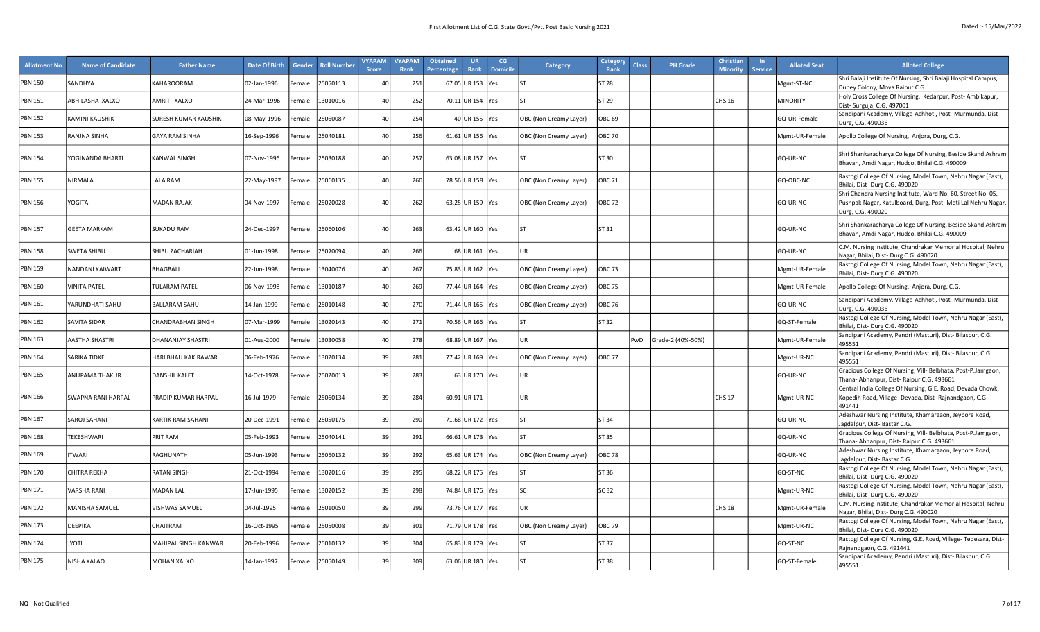| <b>Allotment No</b> | <b>Name of Candidate</b>  | <b>Father Name</b>       | <b>Date Of Birth</b> | Gender             | <b>Roll Numbe</b> | <b>VYAPAM</b><br><b>Score</b> | <b>VYAPAM</b><br>Rank | <b>Obtained</b><br><b>Percentage</b> | <b>UR</b><br>Rank  | CG<br><b>Domicil</b> | <b>Category</b>        | Category<br>Rank  | Class | <b>PH Grade</b>   | <b>Christian</b><br><b>Minority</b> | $\ln$<br><b>Service</b> | <b>Alloted Seat</b> | <b>Alloted College</b>                                                                                                                           |
|---------------------|---------------------------|--------------------------|----------------------|--------------------|-------------------|-------------------------------|-----------------------|--------------------------------------|--------------------|----------------------|------------------------|-------------------|-------|-------------------|-------------------------------------|-------------------------|---------------------|--------------------------------------------------------------------------------------------------------------------------------------------------|
| <b>PBN 150</b>      | SANDHYA                   | KAHAROORAM               | 02-Jan-1996          | emale              | 25050113          |                               | 251                   |                                      | 67.05 UR 153       | res                  | Ist                    | <b>ST 28</b>      |       |                   |                                     |                         | Mgmt-ST-NC          | Shri Balaji Institute Of Nursing, Shri Balaji Hospital Campus,<br>Dubey Colony, Mova Raipur C.G.                                                 |
| <b>PBN 151</b>      | ABHILASHA XALXO           | AMRIT XALXO              | 24-Mar-1996          | emale              | 13010016          |                               | 252                   |                                      | 70.11 UR 154 Yes   |                      | lst                    | ST 29             |       |                   | <b>CHS 16</b>                       |                         | <b>MINORITY</b>     | Holy Cross College Of Nursing, Kedarpur, Post- Ambikapur,<br>Dist- Surguja, C.G. 497001                                                          |
| <b>PBN 152</b>      | KAMINI KAUSHIK            | SURESH KUMAR KAUSHIK     | 08-May-1996          | emale              | 25060087          |                               | 254                   |                                      | 40 UR 155 Yes      |                      | OBC (Non Creamy Layer) | OBC <sub>69</sub> |       |                   |                                     |                         | GQ-UR-Female        | Sandipani Academy, Village-Achhoti, Post- Murmunda, Dist-<br>Durg, C.G. 490036                                                                   |
| <b>PBN 153</b>      | RANJNA SINHA              | <b>GAYA RAM SINHA</b>    | 16-Sep-1996          | emale              | 25040181          |                               | 256                   |                                      | 61.61 UR 156 Yes   |                      | OBC (Non Creamy Layer) | <b>OBC 70</b>     |       |                   |                                     |                         | Mgmt-UR-Female      | Apollo College Of Nursing, Anjora, Durg, C.G.                                                                                                    |
| <b>PBN 154</b>      | YOGINANDA BHARTI          | <b>KANWAL SINGH</b>      | 07-Nov-1996          | emale              | 25030188          | $\Delta f$                    | 257                   |                                      | 63.08 UR 157   Yes |                      | l۲                     | ST 30             |       |                   |                                     |                         | GQ-UR-NC            | Shri Shankaracharya College Of Nursing, Beside Skand Ashram<br>Bhavan, Amdi Nagar, Hudco, Bhilai C.G. 490009                                     |
| <b>PBN 155</b>      | NIRMALA                   | ALA RAM                  | 22-May-1997          | emale              | 25060135          |                               | 260                   |                                      | 78.56 UR 158 Yes   |                      | OBC (Non Creamy Layer) | <b>OBC 71</b>     |       |                   |                                     |                         | GQ-OBC-NC           | Rastogi College Of Nursing, Model Town, Nehru Nagar (East),<br>Bhilai, Dist- Durg C.G. 490020                                                    |
| <b>PBN 156</b>      | YOGITA                    | <b>MADAN RAJAK</b>       | 04-Nov-1997          | emale <sup>:</sup> | 25020028          | $\Delta f$                    | 262                   |                                      | 63.25 UR 159 Yes   |                      | OBC (Non Creamy Layer) | <b>OBC 72</b>     |       |                   |                                     |                         | GQ-UR-NC            | Shri Chandra Nursing Institute, Ward No. 60, Street No. 05,<br>Pushpak Nagar, Katulboard, Durg, Post- Moti Lal Nehru Nagar,<br>Durg, C.G. 490020 |
| <b>PBN 157</b>      | <b>GEETA MARKAM</b>       | <b>SUKADU RAM</b>        | 24-Dec-1997          | Female             | 25060106          | $\Delta f$                    | 263                   |                                      | 63.42 UR 160 Yes   |                      | l۲                     | ST 31             |       |                   |                                     |                         | GQ-UR-NC            | Shri Shankaracharya College Of Nursing, Beside Skand Ashram<br>Bhavan, Amdi Nagar, Hudco, Bhilai C.G. 490009                                     |
| <b>PBN 158</b>      | SWETA SHIBU               | SHIBU ZACHARIAH          | 01-Jun-1998          | emale              | 25070094          | $\Lambda$                     | 266                   |                                      | 68 UR 161 Yes      |                      | IUR.                   |                   |       |                   |                                     |                         | GQ-UR-NC            | C.M. Nursing Institute, Chandrakar Memorial Hospital, Nehru<br>Nagar, Bhilai, Dist-Durg C.G. 490020                                              |
| <b>PBN 159</b>      | NANDANI KAIWART           | BHAGBALI                 | 22-Jun-1998          | emale              | 13040076          |                               | 267                   |                                      | 75.83 UR 162 Yes   |                      | OBC (Non Creamy Layer) | <b>OBC 73</b>     |       |                   |                                     |                         | Mgmt-UR-Female      | Rastogi College Of Nursing, Model Town, Nehru Nagar (East),<br>Bhilai, Dist-Durg C.G. 490020                                                     |
| <b>PBN 160</b>      | VINITA PATEL              | TULARAM PATEL            | 06-Nov-1998          | emale              | 13010187          |                               | 269                   |                                      | 77.44 UR 164 Yes   |                      | OBC (Non Creamy Layer) | <b>OBC 75</b>     |       |                   |                                     |                         | Mgmt-UR-Female      | Apollo College Of Nursing, Anjora, Durg, C.G.                                                                                                    |
| <b>PBN 161</b>      | YARUNDHATI SAHU           | <b>BALLARAM SAHU</b>     | 14-Jan-1999          | emale              | 25010148          |                               | 270                   |                                      | 71.44 UR 165 Yes   |                      | OBC (Non Creamy Layer) | <b>OBC 76</b>     |       |                   |                                     |                         | GQ-UR-NC            | Sandipani Academy, Village-Achhoti, Post- Murmunda, Dist-<br>Durg, C.G. 490036                                                                   |
| <b>PBN 162</b>      | SAVITA SIDAR              | <b>CHANDRABHAN SINGH</b> | 07-Mar-1999          | emale              | 13020143          |                               | 271                   |                                      | 70.56 UR 166 Yes   |                      | lsт                    | ST 32             |       |                   |                                     |                         | GQ-ST-Female        | Rastogi College Of Nursing, Model Town, Nehru Nagar (East),<br>Bhilai, Dist-Durg C.G. 490020                                                     |
| <b>PBN 163</b>      | AASTHA SHASTRI            | DHANANJAY SHASTRI        | 01-Aug-2000          | emale              | 13030058          | $\Lambda$                     | 278                   |                                      | 68.89 UR 167   Yes |                      | lur                    |                   | PwD   | Grade-2 (40%-50%) |                                     |                         | Mgmt-UR-Female      | Sandipani Academy, Pendri (Masturi), Dist- Bilaspur, C.G.<br>495551                                                                              |
| <b>PBN 164</b>      | SARIKA TIDKE              | HARI BHAU KAKIRAWAR      | 06-Feb-1976          | emale              | 13020134          | 39                            | 281                   |                                      | 77.42 UR 169       | res                  | OBC (Non Creamy Layer) | <b>OBC 77</b>     |       |                   |                                     |                         | Mgmt-UR-NC          | Sandipani Academy, Pendri (Masturi), Dist- Bilaspur, C.G.<br>495551                                                                              |
| <b>PBN 165</b>      | ANUPAMA THAKUR            | <b>DANSHIL KALET</b>     | 14-Oct-1978          | emale              | 25020013          | 3 <sup>c</sup>                | 283                   |                                      | 63 UR 170 Yes      |                      | UR.                    |                   |       |                   |                                     |                         | GQ-UR-NC            | Gracious College Of Nursing, Vill- Belbhata, Post-P.Jamgaon,<br>Thana- Abhanpur, Dist- Raipur C.G. 493661                                        |
| <b>PBN 166</b>      | <b>SWAPNA RANI HARPAL</b> | PRADIP KUMAR HARPAL      | 16-Jul-1979          | Female             | 25060134          | 39                            | 284                   |                                      | 60.91 UR 171       |                      | IUR.                   |                   |       |                   | CHS <sub>17</sub>                   |                         | Mgmt-UR-NC          | Central India College Of Nursing, G.E. Road, Devada Chowk,<br>Kopedih Road, Village- Devada, Dist- Rajnandgaon, C.G.<br>491441                   |
| <b>PBN 167</b>      | SAROJ SAHANI              | KARTIK RAM SAHANI        | 20-Dec-1991          | emale              | 25050175          | 39                            | 290                   |                                      | 71.68 UR 172 Yes   |                      | lst                    | ST 34             |       |                   |                                     |                         | GQ-UR-NC            | Adeshwar Nursing Institute, Khamargaon, Jeypore Road,<br>Jagdalpur, Dist-Bastar C.G.                                                             |
| <b>PBN 168</b>      | TEKESHWARI                | PRIT RAM                 | 05-Feb-1993          | emale              | 25040141          | зc                            | 291                   |                                      | 66.61 UR 173 Yes   |                      | lst                    | ST 35             |       |                   |                                     |                         | GQ-UR-NC            | Gracious College Of Nursing, Vill- Belbhata, Post-P.Jamgaon,<br>Thana- Abhanpur, Dist- Raipur C.G. 493661                                        |
| <b>PBN 169</b>      | <b>TWARI</b>              | RAGHUNATH                | 05-Jun-1993          | emale              | 25050132          | 39                            | 292                   |                                      | 65.63 UR 174       | Yes                  | OBC (Non Creamy Layer) | <b>OBC 78</b>     |       |                   |                                     |                         | GQ-UR-NC            | Adeshwar Nursing Institute, Khamargaon, Jeypore Road,<br>Jagdalpur, Dist-Bastar C.G.                                                             |
| <b>PBN 170</b>      | CHITRA REKHA              | <b>RATAN SINGH</b>       | 21-Oct-1994          | emale              | 13020116          | 3 <sup>c</sup>                | 295                   |                                      | 68.22 UR 175 Yes   |                      | lsт                    | ST 36             |       |                   |                                     |                         | GQ-ST-NC            | Rastogi College Of Nursing, Model Town, Nehru Nagar (East),<br>Bhilai, Dist-Durg C.G. 490020                                                     |
| <b>PBN 171</b>      | /ARSHA RANI               | <b>MADAN LAL</b>         | 17-Jun-1995          | emale              | 13020152          | 39                            | 298                   |                                      | 74.84 UR 176 Yes   |                      | lsc                    | SC 32             |       |                   |                                     |                         | Mgmt-UR-NC          | Rastogi College Of Nursing, Model Town, Nehru Nagar (East),<br>Bhilai, Dist-Durg C.G. 490020                                                     |
| <b>PBN 172</b>      | MANISHA SAMUEL            | /ISHWAS SAMUEL           | 04-Jul-1995          | emale              | 25010050          | 3 <sup>c</sup>                | 299                   |                                      | 73.76 UR 177       | Yes                  |                        |                   |       |                   | <b>CHS 18</b>                       |                         | Mgmt-UR-Female      | C.M. Nursing Institute, Chandrakar Memorial Hospital, Nehru<br>Nagar, Bhilai, Dist-Durg C.G. 490020                                              |
| <b>PBN 173</b>      | DEEPIKA                   | CHAITRAM                 | 16-Oct-1995          | emale              | 25050008          | 3 <sup>c</sup>                | 301                   |                                      | 71.79 UR 178 Yes   |                      | OBC (Non Creamy Layer) | <b>OBC 79</b>     |       |                   |                                     |                         | Mgmt-UR-NC          | Rastogi College Of Nursing, Model Town, Nehru Nagar (East),<br>Bhilai, Dist- Durg C.G. 490020                                                    |
| <b>PBN 174</b>      | <b>ITOYI</b>              | MAHIPAL SINGH KANWAR     | 20-Feb-1996          | emale              | 25010132          | -39                           | 304                   |                                      | 65.83 UR 179       | Yes                  | Ist                    | ST 37             |       |                   |                                     |                         | GQ-ST-NC            | Rastogi College Of Nursing, G.E. Road, Villege- Tedesara, Dist-<br>Rajnandgaon, C.G. 491441                                                      |
| <b>PBN 175</b>      | NISHA XALAO               | MOHAN XALXO              | 14-Jan-1997          | emale <sup>:</sup> | 25050149          | 39                            | 309                   |                                      | 63.06 UR 180 Yes   |                      | l۲                     | ST 38             |       |                   |                                     |                         | GQ-ST-Female        | Sandipani Academy, Pendri (Masturi), Dist- Bilaspur, C.G.<br>495551                                                                              |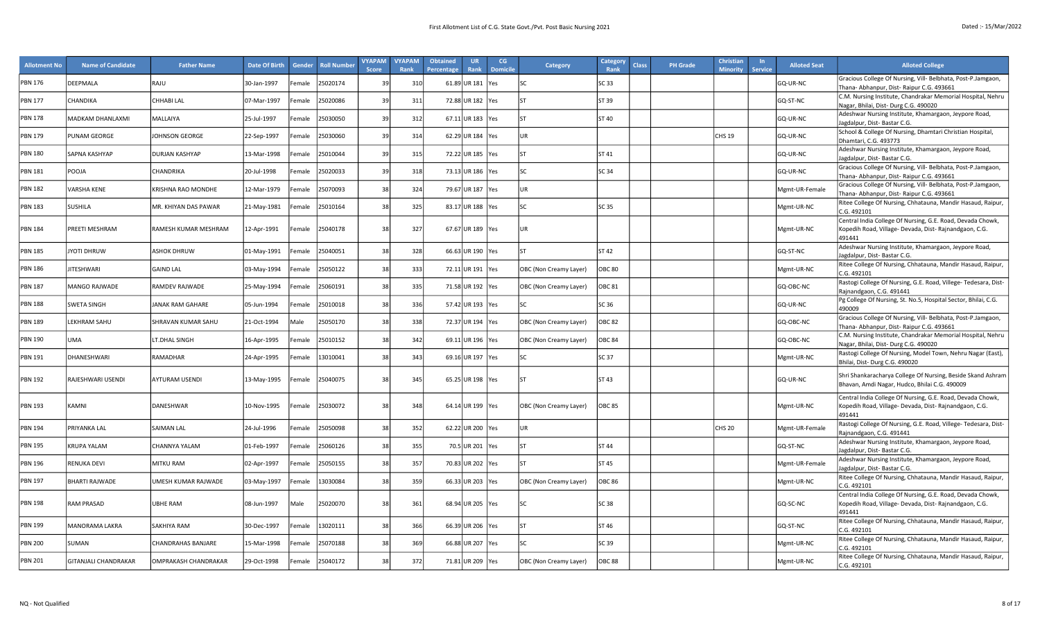| <b>Allotment No</b> | <b>Name of Candidate</b>    | <b>Father Name</b>    | <b>Date Of Birth</b> | Gender | <b>Roll Numbe</b> | <b>VYAPAM</b><br><b>Score</b> | <b>VYAPAM</b><br>Rank | <b>Obtained</b><br>Percentage | <b>UR</b><br>Rank  | CG<br><b>Domicile</b> | <b>Category</b>        | <b>Category</b><br>Rank | <b>Class</b> | <b>PH Grade</b> | <b>Christian</b><br><b>Minority</b> | $\ln$<br><b>Service</b> | <b>Alloted Seat</b> | <b>Alloted College</b>                                                                                                         |
|---------------------|-----------------------------|-----------------------|----------------------|--------|-------------------|-------------------------------|-----------------------|-------------------------------|--------------------|-----------------------|------------------------|-------------------------|--------------|-----------------|-------------------------------------|-------------------------|---------------------|--------------------------------------------------------------------------------------------------------------------------------|
| <b>PBN 176</b>      | DEEPMALA                    | RAJU                  | 30-Jan-1997          | Female | 25020174          | 39                            | 310                   |                               | 61.89 UR 181 Yes   |                       |                        | SC 33                   |              |                 |                                     |                         | GQ-UR-NC            | Gracious College Of Nursing, Vill- Belbhata, Post-P.Jamgaon,                                                                   |
|                     |                             |                       |                      |        |                   |                               |                       |                               |                    |                       |                        |                         |              |                 |                                     |                         |                     | Fhana- Abhanpur, Dist- Raipur C.G. 493661<br>C.M. Nursing Institute, Chandrakar Memorial Hospital, Nehru                       |
| <b>PBN 177</b>      | <b>CHANDIKA</b>             | <b>CHHABILAL</b>      | 07-Mar-1997          | Female | 25020086          | $\mathbf{3}$                  | 311                   |                               | 72.88 UR 182 Yes   |                       | Ist                    | ST 39                   |              |                 |                                     |                         | GQ-ST-NC            | Nagar, Bhilai, Dist- Durg C.G. 490020                                                                                          |
| <b>PBN 178</b>      | MADKAM DHANLAXMI            | MALLAIYA              | 25-Jul-1997          | Female | 25030050          | 3 <sup>c</sup>                | 312                   |                               | 67.11 UR 183   Yes |                       | lsт                    | ST 40                   |              |                 |                                     |                         | GQ-UR-NC            | Adeshwar Nursing Institute, Khamargaon, Jeypore Road,<br>Jagdalpur, Dist-Bastar C.G.                                           |
| <b>PBN 179</b>      | PUNAM GEORGE                | JOHNSON GEORGE        | 22-Sep-1997          | Female | 25030060          | 3 <sup>0</sup>                | 314                   |                               | 62.29 UR 184 Yes   |                       | UR                     |                         |              |                 | <b>CHS 19</b>                       |                         | GQ-UR-NC            | School & College Of Nursing, Dhamtari Christian Hospital,<br>Dhamtari, C.G. 493773                                             |
| PBN 180             | SAPNA KASHYAP               | <b>DURJAN KASHYAP</b> | 13-Mar-1998          | Female | 25010044          | 39                            | 315                   |                               | 72.22 UR 185 Yes   |                       | Ist                    | ST 41                   |              |                 |                                     |                         | GQ-UR-NC            | Adeshwar Nursing Institute, Khamargaon, Jeypore Road,<br>lagdalpur, Dist-Bastar C.G.                                           |
| <b>PBN 181</b>      | POOJA                       | CHANDRIKA             | 20-Jul-1998          | Female | 25020033          | 3 <sup>0</sup>                | 318                   |                               | 73.13 UR 186 Yes   |                       | <b>SC</b>              | <b>SC 34</b>            |              |                 |                                     |                         | GQ-UR-NC            | Gracious College Of Nursing, Vill- Belbhata, Post-P.Jamgaon,<br>Fhana- Abhanpur, Dist- Raipur C.G. 493661                      |
| <b>PBN 182</b>      | <b>VARSHA KENE</b>          | KRISHNA RAO MONDHE    | 12-Mar-1979          | Female | 25070093          | 38                            | 324                   |                               | 79.67 UR 187   Yes |                       | <b>UR</b>              |                         |              |                 |                                     |                         | Mgmt-UR-Female      | Gracious College Of Nursing, Vill- Belbhata, Post-P.Jamgaon,                                                                   |
|                     |                             |                       |                      |        |                   |                               |                       |                               |                    |                       |                        |                         |              |                 |                                     |                         |                     | Fhana- Abhanpur, Dist- Raipur C.G. 493661<br>Ritee College Of Nursing, Chhatauna, Mandir Hasaud, Raipur,                       |
| <b>PBN 183</b>      | <b>SUSHILA</b>              | MR. KHIYAN DAS PAWAR  | 21-May-1981          | Female | 25010164          | 38                            | 325                   |                               | 83.17 UR 188 Yes   |                       | lsc.                   | SC 35                   |              |                 |                                     |                         | Mgmt-UR-NC          | C.G. 492101                                                                                                                    |
| <b>PBN 184</b>      | PREETI MESHRAM              | RAMESH KUMAR MESHRAM  |                      | Female | 25040178          | 38                            | 327                   |                               | 67.67 UR 189   Yes |                       | <b>JUR</b>             |                         |              |                 |                                     |                         | Mgmt-UR-NC          | Central India College Of Nursing, G.E. Road, Devada Chowk,                                                                     |
|                     |                             |                       | 12-Apr-1991          |        |                   |                               |                       |                               |                    |                       |                        |                         |              |                 |                                     |                         |                     | Kopedih Road, Village- Devada, Dist- Rajnandgaon, C.G.<br>491441                                                               |
| <b>PBN 185</b>      | JYOTI DHRUW                 | <b>ASHOK DHRUW</b>    | 01-May-1991          | Female | 25040051          | 38                            | 328                   |                               | 66.63 UR 190 Yes   |                       | Ist                    | ST 42                   |              |                 |                                     |                         | GQ-ST-NC            | Adeshwar Nursing Institute, Khamargaon, Jeypore Road,                                                                          |
|                     |                             |                       |                      |        |                   |                               |                       |                               |                    |                       |                        |                         |              |                 |                                     |                         |                     | lagdalpur, Dist-Bastar C.G.<br>Ritee College Of Nursing, Chhatauna, Mandir Hasaud, Raipur,                                     |
| <b>PBN 186</b>      | <b>JITESHWARI</b>           | <b>GAIND LAL</b>      | 03-May-1994          | Female | 25050122          | 38                            | 333                   |                               | 72.11 UR 191 Yes   |                       | OBC (Non Creamy Layer) | <b>OBC 80</b>           |              |                 |                                     |                         | Mgmt-UR-NC          | C.G. 492101                                                                                                                    |
| <b>PBN 187</b>      | MANGO RAJWADE               | RAMDEV RAJWADE        | 25-May-1994          | Female | 25060191          | 38                            | 335                   |                               | 71.58 UR 192 Yes   |                       | OBC (Non Creamy Layer) | <b>OBC 81</b>           |              |                 |                                     |                         | GQ-OBC-NC           | Rastogi College Of Nursing, G.E. Road, Villege- Tedesara, Dist-<br>Rajnandgaon, C.G. 491441                                    |
| <b>PBN 188</b>      | <b>SWETA SINGH</b>          | JANAK RAM GAHARE      | 05-Jun-1994          | Female | 25010018          | 38                            | 336                   |                               | 57.42 UR 193 Yes   |                       |                        | SC 36                   |              |                 |                                     |                         | GQ-UR-NC            | Pg College Of Nursing, St. No.5, Hospital Sector, Bhilai, C.G.<br>490009                                                       |
| <b>PBN 189</b>      | LEKHRAM SAHU                | SHRAVAN KUMAR SAHU    | 21-Oct-1994          | Male   | 25050170          | 38                            | 338                   |                               | 72.37 UR 194   Yes |                       | OBC (Non Creamy Layer) | <b>OBC 82</b>           |              |                 |                                     |                         | GQ-OBC-NC           | Gracious College Of Nursing, Vill- Belbhata, Post-P.Jamgaon,<br>Fhana- Abhanpur, Dist- Raipur C.G. 493661                      |
| <b>PBN 190</b>      | <b>UMA</b>                  | LT.DHAL SINGH         | 16-Apr-1995          | Female | 25010152          | 38                            | 342                   |                               | 69.11 UR 196 Yes   |                       | OBC (Non Creamy Layer) | OBC <sub>84</sub>       |              |                 |                                     |                         | GQ-OBC-NC           | C.M. Nursing Institute, Chandrakar Memorial Hospital, Nehru<br>Nagar, Bhilai, Dist- Durg C.G. 490020                           |
| <b>PBN 191</b>      | DHANESHWARI                 | RAMADHAR              | 24-Apr-1995          | Female | 13010041          | 38                            | 343                   |                               | 69.16 UR 197 Yes   |                       | lsc.                   | SC 37                   |              |                 |                                     |                         | Mgmt-UR-NC          | Rastogi College Of Nursing, Model Town, Nehru Nagar (East),<br>Bhilai, Dist-Durg C.G. 490020                                   |
| <b>PBN 192</b>      | RAJESHWARI USENDI           | <b>AYTURAM USENDI</b> | 13-May-1995          | Female | 25040075          | 38                            | 345                   |                               | 65.25 UR 198 Yes   |                       | l۲                     | ST 43                   |              |                 |                                     |                         | GQ-UR-NC            | Shri Shankaracharya College Of Nursing, Beside Skand Ashram<br>Bhavan, Amdi Nagar, Hudco, Bhilai C.G. 490009                   |
| <b>PBN 193</b>      | KAMNI                       | <b>DANESHWAR</b>      | 10-Nov-1995          | Female | 25030072          | 38                            | 348                   |                               | 64.14 UR 199   Yes |                       | OBC (Non Creamy Layer) | <b>OBC 85</b>           |              |                 |                                     |                         | Mgmt-UR-NC          | Central India College Of Nursing, G.E. Road, Devada Chowk,<br>Kopedih Road, Village- Devada, Dist- Rajnandgaon, C.G.<br>491441 |
| <b>PBN 194</b>      | PRIYANKA LAL                | <b>SAIMAN LAL</b>     | 24-Jul-1996          | Female | 25050098          | 38                            | 352                   |                               | 62.22 UR 200 Yes   |                       | UR                     |                         |              |                 | <b>CHS 20</b>                       |                         | Mgmt-UR-Female      | Rastogi College Of Nursing, G.E. Road, Villege- Tedesara, Dist-<br>Rajnandgaon, C.G. 491441                                    |
| <b>PBN 195</b>      | <b>KRUPA YALAM</b>          | CHANNYA YALAM         | 01-Feb-1997          | emale  | 25060126          | 38                            | 355                   |                               | 70.5 UR 201   Yes  |                       | lsт                    | ST <sub>44</sub>        |              |                 |                                     |                         | GQ-ST-NC            | Adeshwar Nursing Institute, Khamargaon, Jeypore Road,<br>lagdalpur, Dist-Bastar C.G.                                           |
| <b>PBN 196</b>      | <b>RENUKA DEVI</b>          | MITKU RAM             | 02-Apr-1997          | Female | 25050155          | 38                            | 357                   |                               | 70.83 UR 202 Yes   |                       | Ist                    | ST 45                   |              |                 |                                     |                         | Mgmt-UR-Female      | Adeshwar Nursing Institute, Khamargaon, Jeypore Road,<br>lagdalpur, Dist-Bastar C.G.                                           |
| <b>PBN 197</b>      | <b>BHARTI RAJWADE</b>       | JMESH KUMAR RAJWADE   | 03-May-1997          | Female | 13030084          | 3 <sup>i</sup>                | 359                   |                               | 66.33 UR 203 Yes   |                       | OBC (Non Creamy Layer) | <b>OBC 86</b>           |              |                 |                                     |                         | Mgmt-UR-NC          | Ritee College Of Nursing, Chhatauna, Mandir Hasaud, Raipur,<br>C.G. 492101                                                     |
| <b>PBN 198</b>      | RAM PRASAD                  | UBHE RAM              | 08-Jun-1997          | Male   | 25020070          | 38                            | 361                   |                               | 68.94 UR 205 Yes   |                       |                        | <b>SC 38</b>            |              |                 |                                     |                         | GQ-SC-NC            | Central India College Of Nursing, G.E. Road, Devada Chowk,<br>Kopedih Road, Village- Devada, Dist- Rajnandgaon, C.G.<br>491441 |
| <b>PBN 199</b>      | <b>MANORAMA LAKRA</b>       | SAKHIYA RAM           | 30-Dec-1997          | Female | 13020111          | 38                            | 366                   |                               | 66.39 UR 206 Yes   |                       | lsт                    | ST 46                   |              |                 |                                     |                         | GQ-ST-NC            | Ritee College Of Nursing, Chhatauna, Mandir Hasaud, Raipur,<br>C.G. 492101                                                     |
| <b>PBN 200</b>      | SUMAN                       | CHANDRAHAS BANJARE    | 15-Mar-1998          | Female | 25070188          | 38                            | 369                   |                               | 66.88 UR 207   Yes |                       | lsc                    | SC 39                   |              |                 |                                     |                         | Mgmt-UR-NC          | Ritee College Of Nursing, Chhatauna, Mandir Hasaud, Raipur,<br>C.G. 492101                                                     |
| <b>PBN 201</b>      | <b>GITANJALI CHANDRAKAR</b> | OMPRAKASH CHANDRAKAR  | 29-Oct-1998          | Female | 25040172          | 38                            | 372                   |                               | 71.81 UR 209 Yes   |                       | OBC (Non Creamy Layer) | <b>OBC 88</b>           |              |                 |                                     |                         | Mgmt-UR-NC          | Ritee College Of Nursing, Chhatauna, Mandir Hasaud, Raipur,<br>C.G. 492101                                                     |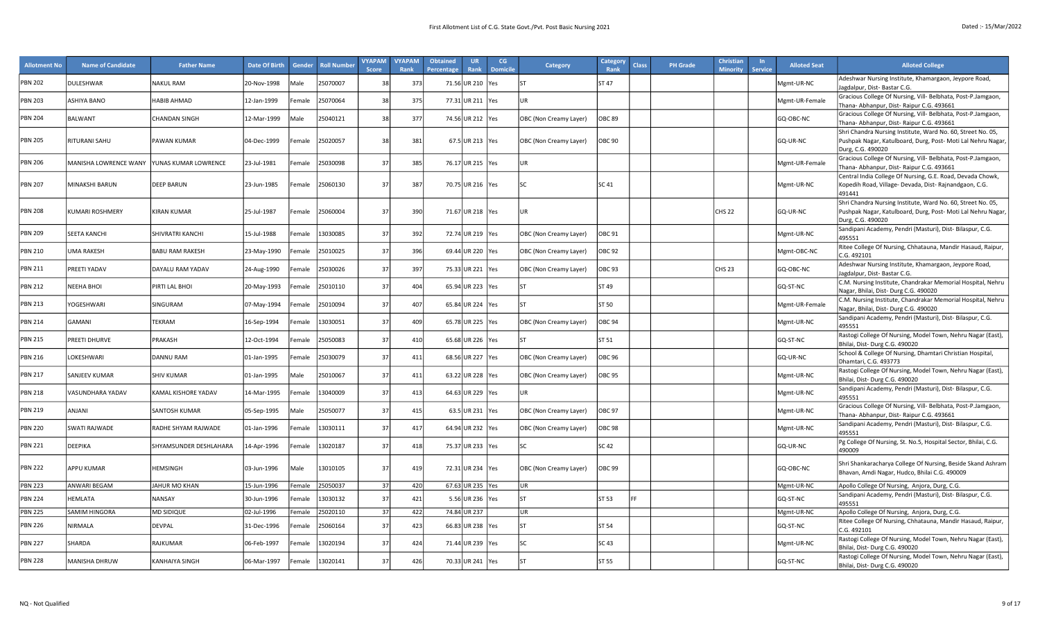| <b>Allotment No</b> | <b>Name of Candidate</b> | <b>Father Name</b>     | Date Of Birth | Gender             | <b>Roll Number</b> | <b>VYAPAM</b><br><b>Score</b> | <b>VYAPAM</b><br>Rank | <b>Obtained</b><br>Percentage | <b>UR</b><br>Rank  | CG<br><b>Domicile</b> | Category               | Category<br><b>Rank</b> | <b>Class</b> | <b>PH</b> Grade | Christiar<br><b>Minority</b> | <b>Service</b> | <b>Alloted Seat</b> | <b>Alloted College</b>                                                                                       |
|---------------------|--------------------------|------------------------|---------------|--------------------|--------------------|-------------------------------|-----------------------|-------------------------------|--------------------|-----------------------|------------------------|-------------------------|--------------|-----------------|------------------------------|----------------|---------------------|--------------------------------------------------------------------------------------------------------------|
| <b>PBN 202</b>      | DULESHWAR                | <b>NAKUL RAM</b>       | 20-Nov-1998   | Male               | 25070007           | 38                            | 373                   |                               | 71.56 UR 210 Yes   |                       |                        | ST 47                   |              |                 |                              |                | Mgmt-UR-NC          | Adeshwar Nursing Institute, Khamargaon, Jeypore Road,<br>Jagdalpur, Dist-Bastar C.G.                         |
| PBN 203             | ASHIYA BANO              | HABIB AHMAD            | 12-Jan-1999   | emale              | 25070064           | 38                            | 375                   |                               | 77.31 UR 211 Yes   |                       | UR                     |                         |              |                 |                              |                | Mgmt-UR-Female      | Gracious College Of Nursing, Vill- Belbhata, Post-P.Jamgaon,<br>Thana- Abhanpur, Dist- Raipur C.G. 493661    |
| <b>PBN 204</b>      | <b>BALWANT</b>           | <b>CHANDAN SINGH</b>   | 12-Mar-1999   | Male               | 15040121           | 38                            | 377                   |                               | 74.56 UR 212   Yes |                       | OBC (Non Creamy Layer) | <b>DBC 89</b>           |              |                 |                              |                | GQ-OBC-NC           | Gracious College Of Nursing, Vill- Belbhata, Post-P.Jamgaon,                                                 |
|                     |                          |                        |               |                    |                    |                               |                       |                               |                    |                       |                        |                         |              |                 |                              |                |                     | Thana- Abhanpur, Dist- Raipur C.G. 493661<br>Shri Chandra Nursing Institute, Ward No. 60, Street No. 05,     |
| <b>PBN 205</b>      | RITURANI SAHU            | PAWAN KUMAR            | 04-Dec-1999   | -emale             | 25020057           | 38                            | 381                   |                               | 67.5 UR 213 Yes    |                       | OBC (Non Creamy Layer) | OBC 90                  |              |                 |                              |                | GQ-UR-NC            | Pushpak Nagar, Katulboard, Durg, Post- Moti Lal Nehru Nagar,<br>Durg, C.G. 490020                            |
| <b>PBN 206</b>      | MANISHA LOWRENCE WANY    | YUNAS KUMAR LOWRENCE   | 23-Jul-1981   | emale              | 25030098           | 37                            | 385                   |                               | 76.17 UR 215 Yes   |                       | <b>UR</b>              |                         |              |                 |                              |                | Mgmt-UR-Female      | Gracious College Of Nursing, Vill- Belbhata, Post-P.Jamgaon,                                                 |
|                     |                          |                        |               |                    |                    |                               |                       |                               |                    |                       |                        |                         |              |                 |                              |                |                     | Thana- Abhanpur, Dist- Raipur C.G. 493661<br>Central India College Of Nursing, G.E. Road, Devada Chowk,      |
| <b>PBN 207</b>      | MINAKSHI BARUN           | <b>DEEP BARUN</b>      | 23-Jun-1985   | emale              | 25060130           | 37                            | 387                   |                               | 70.75 UR 216   Yes |                       | <b>SC</b>              | SC 41                   |              |                 |                              |                | Mgmt-UR-NC          | Kopedih Road, Village- Devada, Dist- Rajnandgaon, C.G.<br>491441                                             |
|                     |                          |                        |               |                    |                    |                               |                       |                               |                    |                       |                        |                         |              |                 |                              |                |                     | Shri Chandra Nursing Institute, Ward No. 60, Street No. 05,                                                  |
| <b>PBN 208</b>      | KUMARI ROSHMERY          | <b>KIRAN KUMAR</b>     | 25-Jul-1987   | emale              | 25060004           | 37                            | 390                   |                               | 71.67 UR 218 Yes   |                       | UR                     |                         |              | <b>CHS 22</b>   |                              |                | GQ-UR-NC            | Pushpak Nagar, Katulboard, Durg, Post- Moti Lal Nehru Nagar,<br>Durg, C.G. 490020                            |
| <b>PBN 209</b>      | SEETA KANCHI             | SHIVRATRI KANCHI       | 15-Jul-1988   | Female             | 13030085           | 37                            | 392                   |                               | 72.74 UR 219   Yes |                       | OBC (Non Creamy Layer) | OBC 91                  |              |                 |                              |                | Mgmt-UR-NC          | Sandipani Academy, Pendri (Masturi), Dist- Bilaspur, C.G.<br>495551                                          |
| <b>PBN 210</b>      | UMA RAKESH               | <b>BABU RAM RAKESH</b> | 23-May-1990   | emale              | 25010025           | 37                            | 396                   |                               | 69.44 UR 220 Yes   |                       | OBC (Non Creamy Layer) | OBC 92                  |              |                 |                              |                | Mgmt-OBC-NC         | Ritee College Of Nursing, Chhatauna, Mandir Hasaud, Raipur,<br>C.G. 492101                                   |
| <b>PBN 211</b>      | PREETI YADAV             | DAYALU RAM YADAV       | 24-Aug-1990   | emale              | 25030026           | 37                            | 397                   |                               | 75.33 UR 221 Yes   |                       | OBC (Non Creamy Layer) | OBC 93                  |              | CHS 23          |                              |                | GQ-OBC-NC           | Adeshwar Nursing Institute, Khamargaon, Jeypore Road,<br>lagdalpur, Dist-Bastar C.G.                         |
| <b>PBN 212</b>      | <b>NEEHA BHOI</b>        | PIRTI LAL BHOI         | 20-May-1993   | emale              | 25010110           | 37                            | 404                   |                               | 65.94 UR 223 Yes   |                       | ST                     | ST 49                   |              |                 |                              |                | GQ-ST-NC            | C.M. Nursing Institute, Chandrakar Memorial Hospital, Nehru<br>Nagar, Bhilai, Dist- Durg C.G. 490020         |
| <b>PBN 213</b>      | YOGESHWARI               | SINGURAM               | 07-May-1994   | emale              | 25010094           | 37                            | 407                   |                               | 65.84 UR 224 Yes   |                       |                        | ST 50                   |              |                 |                              |                | Mgmt-UR-Female      | C.M. Nursing Institute, Chandrakar Memorial Hospital, Nehru<br>Nagar, Bhilai, Dist- Durg C.G. 490020         |
| <b>PBN 214</b>      | GAMANI                   | <b><i>EKRAM</i></b>    | 16-Sep-1994   | emale              | 13030051           | 37                            | 409                   |                               | 65.78 UR 225   Yes |                       | OBC (Non Creamy Layer) | <b>OBC 94</b>           |              |                 |                              |                | Mgmt-UR-NC          | Sandipani Academy, Pendri (Masturi), Dist- Bilaspur, C.G.<br>495551                                          |
| <b>PBN 215</b>      | PREETI DHURVE            | PRAKASH                | 12-Oct-1994   | emale              | 25050083           | 37                            | 410                   |                               | 65.68 UR 226 Yes   |                       |                        | ST 51                   |              |                 |                              |                | GQ-ST-NC            | Rastogi College Of Nursing, Model Town, Nehru Nagar (East),<br>Bhilai, Dist-Durg C.G. 490020                 |
| <b>PBN 216</b>      | LOKESHWARI               | DANNU RAM              | 01-Jan-1995   | emale              | 25030079           | -37                           | 411                   |                               | 68.56 UR 227 Yes   |                       | OBC (Non Creamy Layer) | OBC 96                  |              |                 |                              |                | GQ-UR-NC            | School & College Of Nursing, Dhamtari Christian Hospital,<br>Dhamtari, C.G. 493773                           |
| <b>PBN 217</b>      | SANJEEV KUMAR            | <b>SHIV KUMAR</b>      | 01-Jan-1995   | Male               | 25010067           | 37                            | 411                   |                               | 63.22 UR 228 Yes   |                       | OBC (Non Creamy Layer) | OBC 95                  |              |                 |                              |                | Mgmt-UR-NC          | Rastogi College Of Nursing, Model Town, Nehru Nagar (East),<br>Bhilai, Dist- Durg C.G. 490020                |
| <b>PBN 218</b>      | VASUNDHARA YADAV         | KAMAL KISHORE YADAV    | 14-Mar-1995   | emale              | 13040009           | 37                            | 413                   |                               | 64.63 UR 229 Yes   |                       | UR                     |                         |              |                 |                              |                | Mgmt-UR-NC          | Sandipani Academy, Pendri (Masturi), Dist- Bilaspur, C.G.<br>495551                                          |
| <b>PBN 219</b>      | ANJANI                   | SANTOSH KUMAR          | 05-Sep-1995   | Male               | 25050077           | 37                            | 415                   |                               | 63.5 UR 231 Yes    |                       | OBC (Non Creamy Layer) | OBC 97                  |              |                 |                              |                | Mgmt-UR-NC          | Gracious College Of Nursing, Vill- Belbhata, Post-P.Jamgaon,<br>Thana- Abhanpur, Dist- Raipur C.G. 493661    |
| <b>PBN 220</b>      | SWATI RAJWADE            | RADHE SHYAM RAJWADE    | 01-Jan-1996   | emale              | 13030111           | 37                            | 417                   |                               | 64.94 UR 232 Yes   |                       | OBC (Non Creamy Layer) | OBC 98                  |              |                 |                              |                | Mgmt-UR-NC          | Sandipani Academy, Pendri (Masturi), Dist- Bilaspur, C.G.<br>495551                                          |
| <b>PBN 221</b>      | DEEPIKA                  | SHYAMSUNDER DESHLAHARA | 14-Apr-1996   | emale              | 13020187           | 37                            | 418                   |                               | 75.37 UR 233 Yes   |                       | <b>SC</b>              | SC 42                   |              |                 |                              |                | GQ-UR-NC            | Pg College Of Nursing, St. No.5, Hospital Sector, Bhilai, C.G.<br>490009                                     |
| <b>PBN 222</b>      | APPU KUMAR               | <b>HEMSINGH</b>        | 03-Jun-1996   | Male               | 13010105           | 37                            | 419                   |                               | 72.31 UR 234 Yes   |                       | OBC (Non Creamy Layer) | OBC 99                  |              |                 |                              |                | GQ-OBC-NC           | Shri Shankaracharya College Of Nursing, Beside Skand Ashram<br>Bhavan, Amdi Nagar, Hudco, Bhilai C.G. 490009 |
| <b>PBN 223</b>      | ANWARI BEGAM             | JAHUR MO KHAN          | 15-Jun-1996   | emale              | 25050037           | 37                            | 420                   |                               | 67.63 UR 235 Yes   |                       | UR                     |                         |              |                 |                              |                | Mgmt-UR-NC          | Apollo College Of Nursing, Anjora, Durg, C.G.                                                                |
| <b>PBN 224</b>      | HEMLATA                  | NANSAY                 | 30-Jun-1996   | emale              | 13030132           | 37                            | 421                   |                               | 5.56 UR 236 Yes    |                       | <b>ST</b>              | ST 53                   |              |                 |                              |                | GQ-ST-NC            | Sandipani Academy, Pendri (Masturi), Dist- Bilaspur, C.G.<br>495551                                          |
| <b>PBN 225</b>      | SAMIM HINGORA            | <b>MD SIDIQUE</b>      | 02-Jul-1996   | emale              | 25020110           | 37                            | 422                   |                               | 74.84 UR 237       |                       | UR                     |                         |              |                 |                              |                | Mgmt-UR-NC          | Apollo College Of Nursing, Anjora, Durg, C.G.                                                                |
| <b>PBN 226</b>      | NIRMALA                  | <b>DEVPAL</b>          | 31-Dec-1996   | emale              | 25060164           | 37                            | 423                   |                               | 66.83 UR 238   Yes |                       | ST                     | ST 54                   |              |                 |                              |                | GQ-ST-NC            | Ritee College Of Nursing, Chhatauna, Mandir Hasaud, Raipur,<br>C.G. 492101                                   |
| <b>PBN 227</b>      | SHARDA                   | RAJKUMAR               | 06-Feb-1997   | emale              | 13020194           | 37                            | 424                   |                               | 71.44 UR 239 Yes   |                       | <b>SC</b>              | SC 43                   |              |                 |                              |                | Mgmt-UR-NC          | Rastogi College Of Nursing, Model Town, Nehru Nagar (East),<br>Bhilai, Dist-Durg C.G. 490020                 |
| <b>PBN 228</b>      | MANISHA DHRUW            | KANHAIYA SINGH         | 06-Mar-1997   | emale <sup>:</sup> | 13020141           | 37                            | 426                   |                               | 70.33 UR 241 Yes   |                       | l۲                     | ST 55                   |              |                 |                              |                | GQ-ST-NC            | Rastogi College Of Nursing, Model Town, Nehru Nagar (East),<br>Bhilai, Dist-Durg C.G. 490020                 |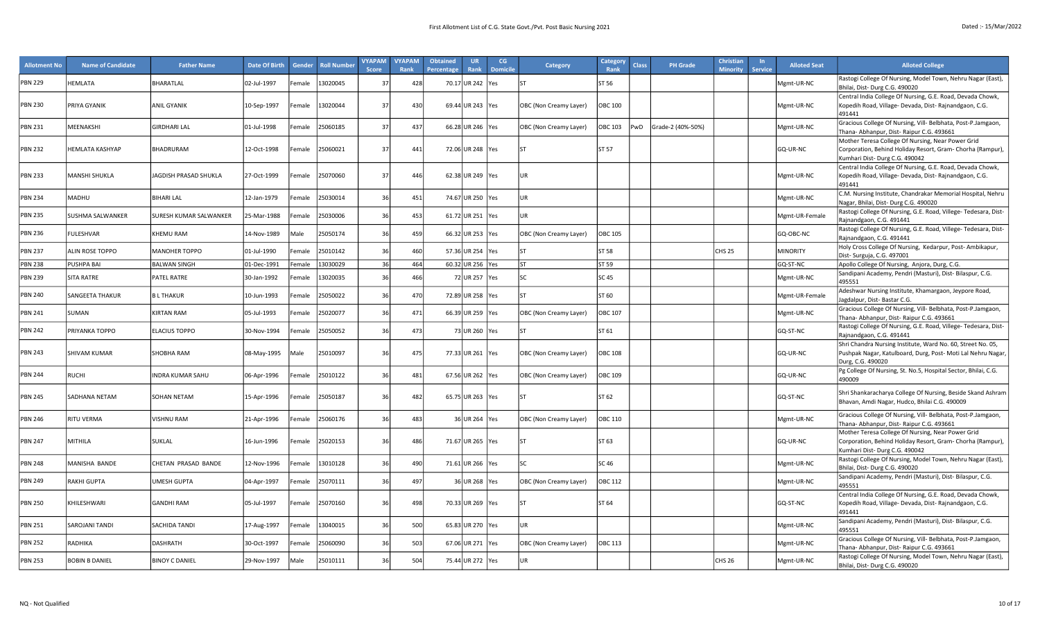| <b>Allotment No</b> | <b>Name of Candidate</b> | <b>Father Name</b>            | Date Of Birth | Gender             | <b>Roll Number</b> | <b>VYAPAM</b><br><b>Score</b> | <b>VYAPAM</b><br>Rank | <b>Obtained</b><br>Percentage | <b>UR</b><br>Rank  | CG<br><b>Domicile</b> | Category               | Category<br>Rank | Class | <b>PH Grade</b>   | Christian<br><b>Minority</b> | <b>Service</b> | <b>Alloted Seat</b> | <b>Alloted College</b>                                                                                                                                          |
|---------------------|--------------------------|-------------------------------|---------------|--------------------|--------------------|-------------------------------|-----------------------|-------------------------------|--------------------|-----------------------|------------------------|------------------|-------|-------------------|------------------------------|----------------|---------------------|-----------------------------------------------------------------------------------------------------------------------------------------------------------------|
| <b>PBN 229</b>      | HEMLATA                  | BHARATLAL                     | 02-Jul-1997   | Female             | 13020045           | -37                           | 428                   |                               | 70.17 UR 242       | Yes                   | l ST                   | ST 56            |       |                   |                              |                | Mgmt-UR-NC          | Rastogi College Of Nursing, Model Town, Nehru Nagar (East),                                                                                                     |
| <b>PBN 230</b>      | PRIYA GYANIK             | <b>ANIL GYANIK</b>            | 10-Sep-1997   | emale <sup>:</sup> | 13020044           | 37                            | 430                   |                               | 69.44 UR 243 Yes   |                       | OBC (Non Creamy Layer) | <b>OBC 100</b>   |       |                   |                              |                | Mgmt-UR-NC          | Bhilai, Dist-Durg C.G. 490020<br>Central India College Of Nursing, G.E. Road, Devada Chowk,<br>Kopedih Road, Village- Devada, Dist- Rajnandgaon, C.G.<br>491441 |
| PBN 231             | MEENAKSHI                | GIRDHARI LAL                  | 01-Jul-1998   | Female             | 25060185           | 37                            | 437                   |                               | 66.28 UR 246       | Yes                   | OBC (Non Creamy Layer) | OBC 103          | PwD   | Grade-2 (40%-50%) |                              |                | Mgmt-UR-NC          | Gracious College Of Nursing, Vill- Belbhata, Post-P.Jamgaon,<br>Thana- Abhanpur, Dist- Raipur C.G. 493661                                                       |
| <b>PBN 232</b>      | HEMLATA KASHYAP          | BHADRURAM                     | 12-Oct-1998   | Female             | 25060021           | 37                            | 441                   |                               | 72.06 UR 248 Yes   |                       | lsт                    | ST 57            |       |                   |                              |                | GQ-UR-NC            | Mother Teresa College Of Nursing, Near Power Grid<br>Corporation, Behind Holiday Resort, Gram- Chorha (Rampur),<br>Kumhari Dist-Durg C.G. 490042                |
| PBN 233             | MANSHI SHUKLA            | JAGDISH PRASAD SHUKLA         | 27-Oct-1999   | Female             | 25070060           | 37                            | 446                   |                               | 62.38 UR 249 Yes   |                       | UR                     |                  |       |                   |                              |                | Mgmt-UR-NC          | Central India College Of Nursing, G.E. Road, Devada Chowk,<br>Kopedih Road, Village- Devada, Dist- Rajnandgaon, C.G.<br>491441                                  |
| <b>PBN 234</b>      | MADHU                    | <b>BIHARI LAL</b>             | 12-Jan-1979   | emale <sup>:</sup> | 25030014           | 36                            | 451                   |                               | 74.67 UR 250   Yes |                       | UR                     |                  |       |                   |                              |                | Mgmt-UR-NC          | C.M. Nursing Institute, Chandrakar Memorial Hospital, Nehru<br>Nagar, Bhilai, Dist- Durg C.G. 490020                                                            |
| <b>PBN 235</b>      | SUSHMA SALWANKER         | <b>SURESH KUMAR SALWANKER</b> | 25-Mar-1988   | Female             | 25030006           | 36                            | 453                   |                               | 61.72 UR 251       | <b>Yes</b>            | UR                     |                  |       |                   |                              |                | Mgmt-UR-Female      | Rastogi College Of Nursing, G.E. Road, Villege- Tedesara, Dist-<br>Rajnandgaon, C.G. 491441                                                                     |
| <b>PBN 236</b>      | <b>FULESHVAR</b>         | <b>KHEMU RAM</b>              | 14-Nov-1989   | Vlale              | 25050174           | 36                            | 459                   |                               | 66.32 UR 253 Yes   |                       | OBC (Non Creamy Layer) | <b>OBC 105</b>   |       |                   |                              |                | GQ-OBC-NC           | Rastogi College Of Nursing, G.E. Road, Villege- Tedesara, Dist-<br>Rajnandgaon, C.G. 491441                                                                     |
| <b>PBN 237</b>      | ALIN ROSE TOPPO          | <b>MANOHER TOPPO</b>          | 01-Jul-1990   | Female             | 25010142           | 36                            | 460                   |                               | 57.36 UR 254       | <b>Yes</b>            | lsт                    | ST 58            |       |                   | CHS 25                       |                | <b>MINORITY</b>     | Holy Cross College Of Nursing, Kedarpur, Post-Ambikapur,<br>Dist-Surguja, C.G. 497001                                                                           |
| <b>PBN 238</b>      | PUSHPA BAI               | <b>BALWAN SINGH</b>           | 01-Dec-1991   | Female             | 13030029           | 36                            | 464                   |                               | 60.32 UR 256 Yes   |                       | <b>ST</b>              | ST 59            |       |                   |                              |                | GQ-ST-NC            | Apollo College Of Nursing, Anjora, Durg, C.G.                                                                                                                   |
| PBN 239             | <b>SITA RATRE</b>        | PATEL RATRE                   | 30-Jan-1992   | emale <sup>:</sup> | 13020035           | 36                            | 466                   |                               | 72 UR 257 Yes      |                       | <b>SC</b>              | SC 45            |       |                   |                              |                | Mgmt-UR-NC          | Sandipani Academy, Pendri (Masturi), Dist-Bilaspur, C.G.<br>495551                                                                                              |
| <b>PBN 240</b>      | SANGEETA THAKUR          | <b>BL THAKUR</b>              | 10-Jun-1993   | emale <sup>:</sup> | 25050022           | 36                            | 470                   |                               | 72.89 UR 258   Yes |                       | l۲                     | ST 60            |       |                   |                              |                | Mgmt-UR-Female      | Adeshwar Nursing Institute, Khamargaon, Jeypore Road,<br>Jagdalpur, Dist-Bastar C.G.                                                                            |
| PBN 241             | SUMAN                    | KIRTAN RAM                    | 05-Jul-1993   | emale <sup>:</sup> | 25020077           | 36                            | 471                   |                               | 66.39 UR 259 Yes   |                       | OBC (Non Creamy Layer) | <b>OBC 107</b>   |       |                   |                              |                | Mgmt-UR-NC          | Gracious College Of Nursing, Vill- Belbhata, Post-P.Jamgaon,<br>Thana- Abhanpur, Dist- Raipur C.G. 493661                                                       |
| <b>PBN 242</b>      | PRIYANKA TOPPO           | <b>ELACIUS TOPPO</b>          | 30-Nov-1994   | emale              | 25050052           | 36                            | 473                   |                               | 73 UR 260 Yes      |                       | l۲                     | ST 61            |       |                   |                              |                | GQ-ST-NC            | Rastogi College Of Nursing, G.E. Road, Villege- Tedesara, Dist-<br>Rajnandgaon, C.G. 491441                                                                     |
| <b>PBN 243</b>      | SHIVAM KUMAR             | <b>SHOBHA RAM</b>             | 08-May-1995   | Male               | 25010097           | 36                            | 475                   |                               | 77.33 UR 261   Yes |                       | OBC (Non Creamy Layer) | <b>OBC 108</b>   |       |                   |                              |                | GQ-UR-NC            | Shri Chandra Nursing Institute, Ward No. 60, Street No. 05,<br>Pushpak Nagar, Katulboard, Durg, Post- Moti Lal Nehru Nagar,<br>Durg, C.G. 490020                |
| <b>PBN 244</b>      | <b>RUCHI</b>             | INDRA KUMAR SAHU              | 06-Apr-1996   | emale              | 25010122           | 36                            | 481                   |                               | 67.56 UR 262 Yes   |                       | OBC (Non Creamy Layer) | OBC 109          |       |                   |                              |                | GQ-UR-NC            | Pg College Of Nursing, St. No.5, Hospital Sector, Bhilai, C.G.<br>490009                                                                                        |
| <b>PBN 245</b>      | SADHANA NETAM            | <b>SOHAN NETAM</b>            | 15-Apr-1996   | Female             | 25050187           | 36                            | 482                   |                               | 65.75 UR 263 Yes   |                       |                        | ST 62            |       |                   |                              |                | GQ-ST-NC            | Shri Shankaracharya College Of Nursing, Beside Skand Ashram<br>Bhavan, Amdi Nagar, Hudco, Bhilai C.G. 490009                                                    |
| PBN 246             | <b>RITU VERMA</b>        | <b>VISHNU RAM</b>             | 21-Apr-1996   | emale <sup>:</sup> | 25060176           | 36                            | 483                   |                               | 36 UR 264 Yes      |                       | OBC (Non Creamy Layer) | OBC 110          |       |                   |                              |                | Mgmt-UR-NC          | Gracious College Of Nursing, Vill- Belbhata, Post-P.Jamgaon,<br>Thana- Abhanpur, Dist- Raipur C.G. 493661                                                       |
| <b>PBN 247</b>      | <b>MITHILA</b>           | SUKLAL                        | 16-Jun-1996   | Female             | 25020153           | 36                            | 486                   |                               | 71.67 UR 265 Yes   |                       | <b>ST</b>              | ST 63            |       |                   |                              |                | GQ-UR-NC            | Mother Teresa College Of Nursing, Near Power Grid<br>Corporation, Behind Holiday Resort, Gram- Chorha (Rampur),<br>Kumhari Dist- Durg C.G. 490042               |
| <b>PBN 248</b>      | MANISHA BANDE            | CHETAN PRASAD BANDE           | 12-Nov-1996   | Female             | 13010128           | 36                            | 490                   |                               | 71.61 UR 266 Yes   |                       | lsc.                   | SC 46            |       |                   |                              |                | Mgmt-UR-NC          | Rastogi College Of Nursing, Model Town, Nehru Nagar (East),<br>Bhilai, Dist-Durg C.G. 490020                                                                    |
| PBN 249             | <b>RAKHI GUPTA</b>       | UMESH GUPTA                   | 04-Apr-1997   | emale              | 25070111           | 36                            | 497                   |                               | 36 UR 268 Yes      |                       | OBC (Non Creamy Layer) | OBC 112          |       |                   |                              |                | Mgmt-UR-NC          | Sandipani Academy, Pendri (Masturi), Dist- Bilaspur, C.G.<br>495551                                                                                             |
| <b>PBN 250</b>      | KHILESHWARI              | <b>GANDHI RAM</b>             | 05-Jul-1997   | Female             | 25070160           | 36                            | 498                   |                               | 70.33 UR 269 Yes   |                       | lsт                    | ST 64            |       |                   |                              |                | GQ-ST-NC            | Central India College Of Nursing, G.E. Road, Devada Chowk,<br>Kopedih Road, Village- Devada, Dist- Rajnandgaon, C.G.<br>491441                                  |
| <b>PBN 251</b>      | SAROJANI TANDI           | <b>SACHIDA TANDI</b>          | 17-Aug-1997   | Female             | 13040015           |                               | 500                   |                               | 65.83 UR 270 Yes   |                       | UR                     |                  |       |                   |                              |                | Mgmt-UR-NC          | Sandipani Academy, Pendri (Masturi), Dist- Bilaspur, C.G.<br>495551                                                                                             |
| <b>PBN 252</b>      | RADHIKA                  | <b>DASHRATH</b>               | 30-Oct-1997   | <sup>-</sup> emale | 25060090           | 36                            | 503                   |                               | 67.06 UR 271 Yes   |                       | OBC (Non Creamy Layer) | OBC 113          |       |                   |                              |                | Mgmt-UR-NC          | Gracious College Of Nursing, Vill- Belbhata, Post-P.Jamgaon,<br>Thana- Abhanpur, Dist- Raipur C.G. 493661                                                       |
| <b>PBN 253</b>      | <b>BOBIN B DANIEL</b>    | <b>BINOY C DANIEL</b>         | 29-Nov-1997   | Male               | 25010111           | 36                            | 504                   |                               | 75.44 UR 272 Yes   |                       | UR                     |                  |       |                   | <b>CHS 26</b>                |                | Mgmt-UR-NC          | Rastogi College Of Nursing, Model Town, Nehru Nagar (East),<br>Bhilai, Dist-Durg C.G. 490020                                                                    |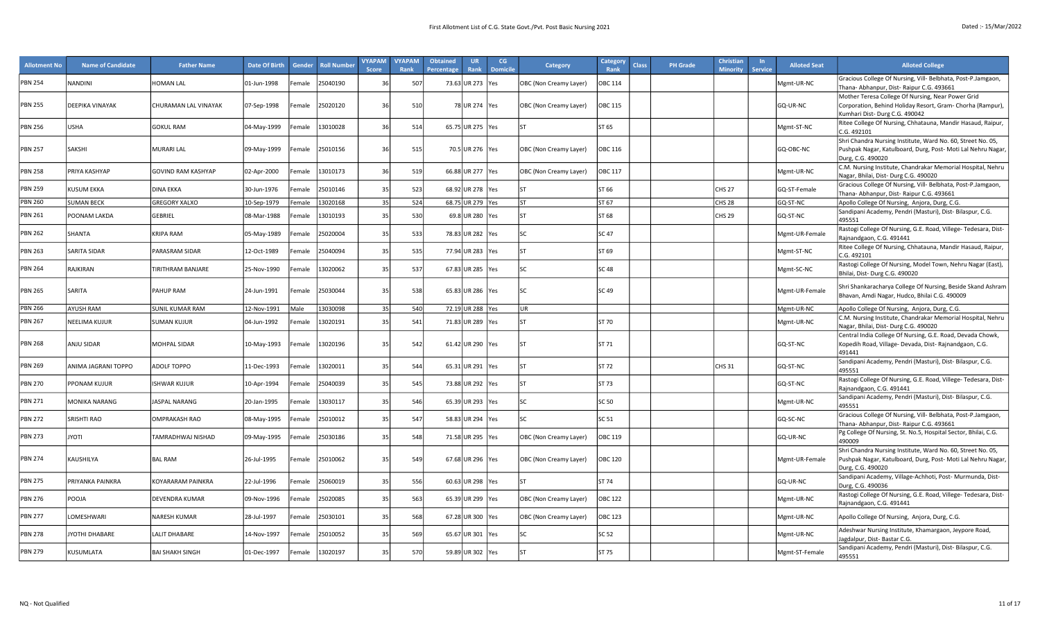| <b>Allotment No</b> | <b>Name of Candidate</b> | <b>Father Name</b>        | Date Of Birth | Gender             | <b>Roll Number</b> | <b>VYAPAM</b><br><b>Score</b> | <b>VYAPAM</b><br>Rank | <b>Obtained</b><br>Percentage | UR.<br>Rank        | CG<br><b>Domicile</b> | <b>Category</b>        | Category<br>Rank | <b>Class</b> | <b>PH</b> Grade | Christian<br><b>Minority</b> | <b>Service</b> | <b>Alloted Seat</b> | <b>Alloted College</b>                                                                                                                          |
|---------------------|--------------------------|---------------------------|---------------|--------------------|--------------------|-------------------------------|-----------------------|-------------------------------|--------------------|-----------------------|------------------------|------------------|--------------|-----------------|------------------------------|----------------|---------------------|-------------------------------------------------------------------------------------------------------------------------------------------------|
| <b>PBN 254</b>      | <b>NANDINI</b>           | <b>HOMAN LAL</b>          | 01-Jun-1998   | emale              | 25040190           | $\mathcal{R}$                 | 507                   |                               | 73.63 UR 273       | Yes                   | OBC (Non Creamy Layer) | OBC 114          |              |                 |                              |                | Mgmt-UR-NC          | Gracious College Of Nursing, Vill- Belbhata, Post-P.Jamgaon,<br>Thana- Abhanpur, Dist- Raipur C.G. 493661                                       |
|                     |                          |                           |               |                    |                    |                               |                       |                               |                    |                       |                        |                  |              |                 |                              |                |                     | Mother Teresa College Of Nursing, Near Power Grid                                                                                               |
| <b>PBN 255</b>      | DEEPIKA VINAYAK          | CHURAMAN LAL VINAYAK      | 07-Sep-1998   | Female             | 25020120           | - 36                          | 510                   |                               | 78 UR 274 Yes      |                       | OBC (Non Creamy Layer) | OBC 115          |              |                 |                              |                | GQ-UR-NC            | Corporation, Behind Holiday Resort, Gram- Chorha (Rampur),<br>Kumhari Dist-Durg C.G. 490042                                                     |
| <b>PBN 256</b>      | <b>USHA</b>              | <b>GOKUL RAM</b>          | 04-May-1999   | emale              | 13010028           | 36                            | 514                   |                               | 65.75 UR 275   Yes |                       | <b>ST</b>              | ST 65            |              |                 |                              |                | Mgmt-ST-NC          | Ritee College Of Nursing, Chhatauna, Mandir Hasaud, Raipur,<br>C.G. 492101                                                                      |
| <b>PBN 257</b>      | SAKSHI                   | <b>MURARI LAL</b>         | 09-May-1999   | Female             | 25010156           | 36                            | 515                   |                               | 70.5 UR 276 Yes    |                       | OBC (Non Creamy Layer) | <b>OBC 116</b>   |              |                 |                              |                | GQ-OBC-NC           | Shri Chandra Nursing Institute, Ward No. 60, Street No. 05,<br>Pushpak Nagar, Katulboard, Durg, Post- Moti Lal Nehru Nagar                      |
|                     |                          |                           |               |                    |                    |                               |                       |                               |                    |                       |                        |                  |              |                 |                              |                |                     | Durg, C.G. 490020                                                                                                                               |
| <b>PBN 258</b>      | PRIYA KASHYAP            | <b>GOVIND RAM KASHYAP</b> | 02-Apr-2000   | Female             | 13010173           | $\overline{3}$                | 519                   |                               | 66.88 UR 277 Yes   |                       | OBC (Non Creamy Layer) | <b>OBC 117</b>   |              |                 |                              |                | Mgmt-UR-NC          | C.M. Nursing Institute, Chandrakar Memorial Hospital, Nehru<br>Nagar, Bhilai, Dist-Durg C.G. 490020                                             |
| <b>PBN 259</b>      | <b>KUSUM EKKA</b>        | <b>DINA EKKA</b>          | 30-Jun-1976   | Female             | 25010146           | 35                            | 523                   |                               | 68.92 UR 278 Yes   |                       | <b>ST</b>              | ST 66            |              |                 | <b>CHS 27</b>                |                | GQ-ST-Female        | Gracious College Of Nursing, Vill- Belbhata, Post-P.Jamgaon,<br>Thana- Abhanpur, Dist- Raipur C.G. 493661                                       |
| <b>PBN 260</b>      | <b>SUMAN BECK</b>        | <b>GREGORY XALXO</b>      | 10-Sep-1979   | Female             | 13020168           | 35                            | 524                   |                               | 68.75 UR 279 Yes   |                       | ST                     | ST 67            |              |                 | <b>CHS 28</b>                |                | GQ-ST-NC            | Apollo College Of Nursing, Anjora, Durg, C.G.                                                                                                   |
| <b>PBN 261</b>      | POONAM LAKDA             | <b>GEBRIEL</b>            | 08-Mar-1988   | emale              | 13010193           | 35                            | 530                   |                               | 69.8 UR 280   Yes  |                       | lςτ                    | ST 68            |              |                 | <b>CHS 29</b>                |                | GQ-ST-NC            | Sandipani Academy, Pendri (Masturi), Dist- Bilaspur, C.G.<br>495551                                                                             |
| <b>PBN 262</b>      | SHANTA                   | <b>KRIPA RAM</b>          | 05-May-1989   | emale              | 25020004           | 35                            | 533                   |                               | 78.83 UR 282       | <b>Yes</b>            | ۱s٢                    | SC 47            |              |                 |                              |                | Mgmt-UR-Female      | Rastogi College Of Nursing, G.E. Road, Villege- Tedesara, Dist-<br>Rajnandgaon, C.G. 491441                                                     |
| <b>PBN 263</b>      | SARITA SIDAR             | PARASRAM SIDAR            | 12-Oct-1989   | emale              | 25040094           | 3!                            | 535                   |                               | 77.94 UR 283       | <b>Yes</b>            | <b>ST</b>              | ST 69            |              |                 |                              |                | Mgmt-ST-NC          | Ritee College Of Nursing, Chhatauna, Mandir Hasaud, Raipur,<br>C.G. 492101                                                                      |
| <b>PBN 264</b>      | RAJKIRAN                 | <b>TIRITHRAM BANJARE</b>  | 25-Nov-1990   | emale              | 13020062           | 3!                            | 537                   |                               | 67.83 UR 285 Yes   |                       | SC.                    | SC 48            |              |                 |                              |                | Mgmt-SC-NC          | Rastogi College Of Nursing, Model Town, Nehru Nagar (East),<br>Bhilai, Dist-Durg C.G. 490020                                                    |
| <b>PBN 265</b>      | SARITA                   | PAHUP RAM                 | 24-Jun-1991   | Female             | 25030044           | 35                            | 538                   |                               | 65.83 UR 286 Yes   |                       | <b>SC</b>              | SC 49            |              |                 |                              |                | Mgmt-UR-Female      | Shri Shankaracharya College Of Nursing, Beside Skand Ashram<br>Bhavan, Amdi Nagar, Hudco, Bhilai C.G. 490009                                    |
| <b>PBN 266</b>      | AYUSH RAM                | <b>SUNIL KUMAR RAM</b>    | 12-Nov-1991   | Male               | 13030098           | 35                            | 540                   |                               | 72.19 UR 288       | Yes                   | UR                     |                  |              |                 |                              |                | Mgmt-UR-NC          | Apollo College Of Nursing, Anjora, Durg, C.G.                                                                                                   |
| <b>PBN 267</b>      | <b>NEELIMA KUJUR</b>     | <b>SUMAN KUJUR</b>        | 04-Jun-1992   | emale              | 13020191           | 35                            | 541                   |                               | 71.83 UR 289 Yes   |                       | ST                     | ST 70            |              |                 |                              |                | Mgmt-UR-NC          | C.M. Nursing Institute, Chandrakar Memorial Hospital, Nehru<br>Nagar, Bhilai, Dist-Durg C.G. 490020                                             |
| <b>PBN 268</b>      | ANJU SIDAR               | <b>MOHPAL SIDAR</b>       | 10-May-1993   | Female             | 13020196           | 35                            | 542                   |                               | 61.42 UR 290 Yes   |                       | lςτ                    | ST 71            |              |                 |                              |                | GQ-ST-NC            | Central India College Of Nursing, G.E. Road, Devada Chowk,<br>Kopedih Road, Village- Devada, Dist- Rajnandgaon, C.G.<br>491441                  |
| <b>PBN 269</b>      | ANIMA JAGRANI TOPPO      | <b>ADOLF TOPPO</b>        | 11-Dec-1993   | emale <sup>:</sup> | 13020011           | 35                            | 544                   |                               | 65.31 UR 291       | <b>Yes</b>            | SΤ                     | ST 72            |              |                 | <b>CHS 31</b>                |                | GQ-ST-NC            | Sandipani Academy, Pendri (Masturi), Dist-Bilaspur, C.G.<br>495551                                                                              |
| <b>PBN 270</b>      | PPONAM KUJUR             | <b>ISHWAR KUJUR</b>       | 10-Apr-1994   | emale              | 25040039           | 3!                            | 545                   |                               | 73.88 UR 292   Yes |                       | ST                     | ST 73            |              |                 |                              |                | GQ-ST-NC            | Rastogi College Of Nursing, G.E. Road, Villege- Tedesara, Dist-<br>Rajnandgaon, C.G. 491441                                                     |
| <b>PBN 271</b>      | <b>MONIKA NARANG</b>     | <b>ASPAL NARANG</b>       | 20-Jan-1995   | emale              | 13030117           | 35                            | 546                   |                               | 65.39 UR 293 Yes   |                       | lsc                    | SC 50            |              |                 |                              |                | Mgmt-UR-NC          | Sandipani Academy, Pendri (Masturi), Dist- Bilaspur, C.G.<br>495551                                                                             |
| <b>PBN 272</b>      | SRISHTI RAO              | <b>OMPRAKASH RAO</b>      | 08-May-1995   | emale              | 25010012           | 3!                            | 547                   |                               | 58.83 UR 294       | <b>Yes</b>            |                        | SC 51            |              |                 |                              |                | GQ-SC-NC            | Gracious College Of Nursing, Vill- Belbhata, Post-P.Jamgaon,<br>Thana- Abhanpur, Dist- Raipur C.G. 493661                                       |
| <b>PBN 273</b>      | <b>ITOYL</b>             | TAMRADHWAJ NISHAD         | 09-May-1995   | emale              | 25030186           | 3!                            | 548                   |                               | 71.58 UR 295 Yes   |                       | OBC (Non Creamy Layer) | OBC 119          |              |                 |                              |                | GQ-UR-NC            | Pg College Of Nursing, St. No.5, Hospital Sector, Bhilai, C.G.<br>490009                                                                        |
| <b>PBN 274</b>      | KAUSHILYA                | <b>BAL RAM</b>            | 26-Jul-1995   | Female             | 25010062           | 35                            | 549                   |                               | 67.68 UR 296 Yes   |                       | OBC (Non Creamy Layer) | <b>OBC 120</b>   |              |                 |                              |                | Mgmt-UR-Female      | Shri Chandra Nursing Institute, Ward No. 60, Street No. 05,<br>Pushpak Nagar, Katulboard, Durg, Post- Moti Lal Nehru Nagar<br>Durg, C.G. 490020 |
| <b>PBN 275</b>      | PRIYANKA PAINKRA         | KOYARARAM PAINKRA         | 22-Jul-1996   | emale              | 25060019           | 35                            | 556                   |                               | 60.63 UR 298 Yes   |                       | lSΤ                    | ST 74            |              |                 |                              |                | GQ-UR-NC            | Sandipani Academy, Village-Achhoti, Post- Murmunda, Dist-<br>Durg, C.G. 490036                                                                  |
| <b>PBN 276</b>      | POOJA                    | <b>DEVENDRA KUMAR</b>     | 09-Nov-1996   | emale              | 25020085           | 3!                            | 563                   |                               | 65.39 UR 299   Yes |                       | OBC (Non Creamy Layer) | <b>OBC 122</b>   |              |                 |                              |                | Mgmt-UR-NC          | Rastogi College Of Nursing, G.E. Road, Villege- Tedesara, Dist-<br>Rajnandgaon, C.G. 491441                                                     |
| <b>PBN 277</b>      | LOMESHWARI               | <b>NARESH KUMAR</b>       | 28-Jul-1997   | emale              | 25030101           | 35                            | 568                   |                               | 67.28 UR 300 Yes   |                       | OBC (Non Creamy Layer) | OBC 123          |              |                 |                              |                | Mgmt-UR-NC          | Apollo College Of Nursing, Anjora, Durg, C.G.                                                                                                   |
| <b>PBN 278</b>      | JYOTHI DHABARE           | LALIT DHABARE             | 14-Nov-1997   | emale              | 25010052           | $\mathbf{3}$                  | 569                   |                               | 65.67 UR 301       | <b>Yes</b>            |                        | SC 52            |              |                 |                              |                | Mgmt-UR-NC          | Adeshwar Nursing Institute, Khamargaon, Jeypore Road,<br>Jagdalpur, Dist-Bastar C.G.                                                            |
| <b>PBN 279</b>      | KUSUMLATA                | <b>BAI SHAKH SINGH</b>    | 01-Dec-1997   | Female             | 13020197           | 3!                            | 570                   |                               | 59.89 UR 302 Yes   |                       | <b>ST</b>              | ST 75            |              |                 |                              |                | Mgmt-ST-Female      | Sandipani Academy, Pendri (Masturi), Dist- Bilaspur, C.G.<br>495551                                                                             |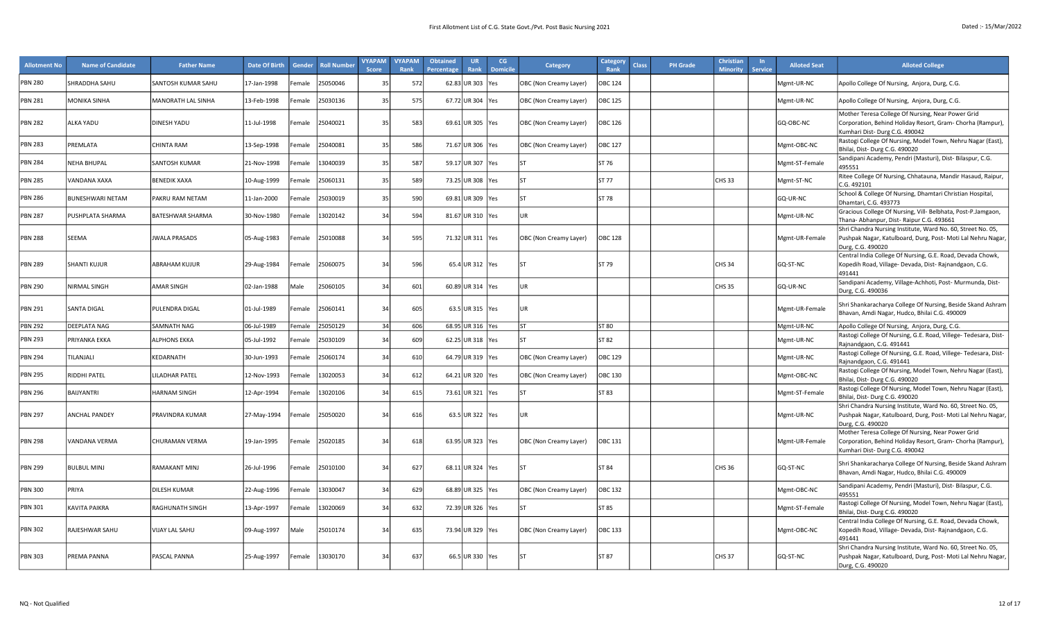| <b>Allotment No</b> | <b>Name of Candidate</b> | <b>Father Name</b>   | Date Of Birth | Gender | <b>Roll Number</b> | <b>VYAPAM</b><br>Score | <b>VYAPAM</b><br>Rank | <b>Obtained</b><br><b>Percentage</b> | <b>UR</b><br><b>Rank</b> | CG<br><b>Domicile</b> | Category               | Categor<br><b>Class</b><br>Rank | <b>PH</b> Grade | <b>Christiar</b><br><b>Minority</b> | <b>Service</b> | <b>Alloted Seat</b> | <b>Alloted College</b>                                                                                                                           |
|---------------------|--------------------------|----------------------|---------------|--------|--------------------|------------------------|-----------------------|--------------------------------------|--------------------------|-----------------------|------------------------|---------------------------------|-----------------|-------------------------------------|----------------|---------------------|--------------------------------------------------------------------------------------------------------------------------------------------------|
| <b>PBN 280</b>      | SHRADDHA SAHU            | SANTOSH KUMAR SAHU   | 17-Jan-1998   | Female | 5050046            | 35                     | 572                   |                                      | 62.83 UR 303             | <b>Yes</b>            | OBC (Non Creamy Layer) | <b>OBC 124</b>                  |                 |                                     |                | Mgmt-UR-NC          | Apollo College Of Nursing, Anjora, Durg, C.G.                                                                                                    |
| <b>PBN 281</b>      | MONIKA SINHA             | MANORATH LAL SINHA   | 13-Feb-1998   | emale  | 25030136           | 35                     | 575                   |                                      | 67.72 UR 304 Yes         |                       | OBC (Non Creamy Layer) | <b>OBC 125</b>                  |                 |                                     |                | Mgmt-UR-NC          | Apollo College Of Nursing, Anjora, Durg, C.G.                                                                                                    |
| <b>PBN 282</b>      | ALKA YADU                | <b>DINESH YADU</b>   | 11-Jul-1998   | Female | 25040021           | 35                     | 583                   |                                      | 69.61 UR 305 Yes         |                       | OBC (Non Creamy Layer) | <b>OBC 126</b>                  |                 |                                     |                | GQ-OBC-NC           | Mother Teresa College Of Nursing, Near Power Grid<br>Corporation, Behind Holiday Resort, Gram- Chorha (Rampur),<br>Kumhari Dist-Durg C.G. 490042 |
| <b>PBN 283</b>      | PREMLATA                 | CHINTA RAM           | 13-Sep-1998   | emale  | 25040081           | 35                     | 586                   |                                      | 71.67 UR 306 Yes         |                       | OBC (Non Creamy Layer) | <b>OBC 127</b>                  |                 |                                     |                | Mgmt-OBC-NC         | Rastogi College Of Nursing, Model Town, Nehru Nagar (East),<br>Bhilai, Dist-Durg C.G. 490020                                                     |
| <b>PBN 284</b>      | NEHA BHUPAL              | SANTOSH KUMAR        | 21-Nov-1998   | emale  | 3040039            | 35                     | 587                   |                                      | 59.17 UR 307 Yes         |                       |                        | ST 76                           |                 |                                     |                | Mgmt-ST-Female      | Sandipani Academy, Pendri (Masturi), Dist-Bilaspur, C.G.<br>495551                                                                               |
| <b>PBN 285</b>      | <b>VANDANA XAXA</b>      | BENEDIK XAXA         | 10-Aug-1999   | emale  | !5060131           | 35                     | 589                   |                                      | 73.25 UR 308             | <b>Yes</b>            |                        | ST 77                           |                 | CHS <sub>33</sub>                   |                | Mgmt-ST-NC          | Ritee College Of Nursing, Chhatauna, Mandir Hasaud, Raipur,<br>C.G. 492101                                                                       |
| <b>PBN 286</b>      | <b>BUNESHWARI NETAM</b>  | PAKRU RAM NETAM      | 11-Jan-2000   | Female | 25030019           | 35                     | 590                   |                                      | 69.81 UR 309 Yes         |                       | $\mathsf{C}$           | ST 78                           |                 |                                     |                | GQ-UR-NC            | School & College Of Nursing, Dhamtari Christian Hospital,<br>Dhamtari, C.G. 493773                                                               |
| <b>PBN 287</b>      | PUSHPLATA SHARMA         | BATESHWAR SHARMA     | 30-Nov-1980   | Female | 3020142            | 34                     | 594                   |                                      | 81.67 UR 310 Yes         |                       | UR                     |                                 |                 |                                     |                | Mgmt-UR-NC          | Gracious College Of Nursing, Vill- Belbhata, Post-P.Jamgaon,<br>Thana- Abhanpur, Dist- Raipur C.G. 493661                                        |
| <b>PBN 288</b>      | <b>SEEMA</b>             | JWALA PRASADS        | 05-Aug-1983   | Female | 25010088           | 34                     | 595                   |                                      | 71.32 UR 311 Yes         |                       | OBC (Non Creamy Layer) | <b>OBC 128</b>                  |                 |                                     |                | Mgmt-UR-Female      | Shri Chandra Nursing Institute, Ward No. 60, Street No. 05,<br>Pushpak Nagar, Katulboard, Durg, Post- Moti Lal Nehru Nagar,<br>Durg, C.G. 490020 |
| <b>PBN 289</b>      | <b>SHANTI KUJUR</b>      | ABRAHAM KUJUR        | 29-Aug-1984   | Female | 25060075           | 34                     | 596                   |                                      | 65.4 UR 312 Yes          |                       |                        | ST 79                           |                 | CHS 34                              |                | GQ-ST-NC            | Central India College Of Nursing, G.E. Road, Devada Chowk,<br>Kopedih Road, Village- Devada, Dist- Rajnandgaon, C.G.<br>491441                   |
| <b>PBN 290</b>      | NIRMAL SINGH             | AMAR SINGH           | 02-Jan-1988   | Male   | 25060105           | 34                     | 601                   |                                      | 60.89 UR 314 Yes         |                       | UR                     |                                 |                 | CHS <sub>35</sub>                   |                | GQ-UR-NC            | Sandipani Academy, Village-Achhoti, Post- Murmunda, Dist-<br>Durg, C.G. 490036                                                                   |
| <b>PBN 291</b>      | <b>SANTA DIGAL</b>       | PULENDRA DIGAL       | 01-Jul-1989   | Female | 25060141           | 34                     | 605                   |                                      | 63.5 UR 315 Yes          |                       | UR                     |                                 |                 |                                     |                | Mgmt-UR-Female      | Shri Shankaracharya College Of Nursing, Beside Skand Ashram<br>Bhavan, Amdi Nagar, Hudco, Bhilai C.G. 490009                                     |
| <b>PBN 292</b>      | <b>DEEPLATA NAG</b>      | SAMNATH NAG          | 06-Jul-1989   | Female | 15050129           | 34                     | 606                   |                                      | 68.95 UR 316   Yes       |                       | <b>ST</b>              | ST 80                           |                 |                                     |                | Mgmt-UR-NC          | Apollo College Of Nursing, Anjora, Durg, C.G.                                                                                                    |
| <b>PBN 293</b>      | PRIYANKA EKKA            | ALPHONS EKKA         | 05-Jul-1992   | emale  | !5030109           | 34                     | 609                   |                                      | 62.25 UR 318 Yes         |                       | <b>ST</b>              | ST 82                           |                 |                                     |                | Mgmt-UR-NC          | Rastogi College Of Nursing, G.E. Road, Villege- Tedesara, Dist-<br>Rajnandgaon, C.G. 491441                                                      |
| <b>PBN 294</b>      | TILANJALI                | KEDARNATH            | 30-Jun-1993   | emale  | !5060174           | 34                     | 610                   |                                      | 64.79 UR 319   Yes       |                       | OBC (Non Creamy Layer) | <b>OBC 129</b>                  |                 |                                     |                | Mgmt-UR-NC          | Rastogi College Of Nursing, G.E. Road, Villege- Tedesara, Dist-<br>Rajnandgaon, C.G. 491441                                                      |
| <b>PBN 295</b>      | RIDDHI PATEL             | <b>ILADHAR PATEL</b> | 12-Nov-1993   | Female | 13020053           | 34                     | 612                   |                                      | 64.21 UR 320 Yes         |                       | OBC (Non Creamy Layer) | <b>OBC 130</b>                  |                 |                                     |                | Mgmt-OBC-NC         | Rastogi College Of Nursing, Model Town, Nehru Nagar (East),<br>Bhilai, Dist-Durg C.G. 490020                                                     |
| <b>PBN 296</b>      | BAIJYANTRI               | HARNAM SINGH         | 12-Apr-1994   | Female | 3020106            | 34                     | 615                   |                                      | 73.61 UR 321 Yes         |                       | SΤ                     | ST 83                           |                 |                                     |                | Mgmt-ST-Female      | Rastogi College Of Nursing, Model Town, Nehru Nagar (East),<br>Bhilai, Dist- Durg C.G. 490020                                                    |
| <b>PBN 297</b>      | ANCHAL PANDEY            | PRAVINDRA KUMAR      | 27-May-1994   | Female | 25050020           | 34                     | 616                   |                                      | 63.5 UR 322 Yes          |                       | UR                     |                                 |                 |                                     |                | Mgmt-UR-NC          | Shri Chandra Nursing Institute, Ward No. 60, Street No. 05,<br>Pushpak Nagar, Katulboard, Durg, Post- Moti Lal Nehru Nagar,<br>Durg, C.G. 490020 |
| <b>PBN 298</b>      | VANDANA VERMA            | CHURAMAN VERMA       | 19-Jan-1995   | Female | 25020185           | 34                     | 618                   |                                      | 63.95 UR 323 Yes         |                       | OBC (Non Creamy Layer) | OBC 131                         |                 |                                     |                | Mgmt-UR-Female      | Mother Teresa College Of Nursing, Near Power Grid<br>Corporation, Behind Holiday Resort, Gram- Chorha (Rampur),<br>Kumhari Dist-Durg C.G. 490042 |
| <b>PBN 299</b>      | <b>BULBUL MINJ</b>       | RAMAKANT MINJ        | 26-Jul-1996   | Female | 25010100           | 34                     | 627                   |                                      | 68.11 UR 324 Yes         |                       |                        | ST 84                           |                 | CHS 36                              |                | GQ-ST-NC            | Shri Shankaracharya College Of Nursing, Beside Skand Ashram<br>Bhavan, Amdi Nagar, Hudco, Bhilai C.G. 490009                                     |
| <b>PBN 300</b>      | PRIYA                    | DILESH KUMAR         | 22-Aug-1996   | emale  | 13030047           | 34                     | 629                   |                                      | 68.89 UR 325 Yes         |                       | OBC (Non Creamy Layer) | <b>OBC 132</b>                  |                 |                                     |                | Mgmt-OBC-NC         | Sandipani Academy, Pendri (Masturi), Dist- Bilaspur, C.G.<br>495551                                                                              |
| <b>PBN 301</b>      | KAVITA PAIKRA            | RAGHUNATH SINGH      | 13-Apr-1997   | Female | 3020069            | 34                     | 632                   |                                      | 72.39 UR 326 Yes         |                       |                        | ST 85                           |                 |                                     |                | Mgmt-ST-Female      | Rastogi College Of Nursing, Model Town, Nehru Nagar (East),<br>Bhilai, Dist-Durg C.G. 490020                                                     |
| <b>PBN 302</b>      | RAJESHWAR SAHU           | VIJAY LAL SAHU       | 09-Aug-1997   | Male   | 25010174           | 34                     | 635                   |                                      | 73.94 UR 329 Yes         |                       | OBC (Non Creamy Layer) | <b>OBC 133</b>                  |                 |                                     |                | Mgmt-OBC-NC         | Central India College Of Nursing, G.E. Road, Devada Chowk,<br>Kopedih Road, Village- Devada, Dist- Rajnandgaon, C.G.<br>491441                   |
| <b>PBN 303</b>      | PREMA PANNA              | PASCAL PANNA         | 25-Aug-1997   | Female | 13030170           | 34                     | 637                   |                                      | 66.5 UR 330 Yes          |                       |                        | ST 87                           |                 | CHS 37                              |                | GQ-ST-NC            | Shri Chandra Nursing Institute, Ward No. 60, Street No. 05,<br>Pushpak Nagar, Katulboard, Durg, Post- Moti Lal Nehru Nagar,<br>Durg, C.G. 490020 |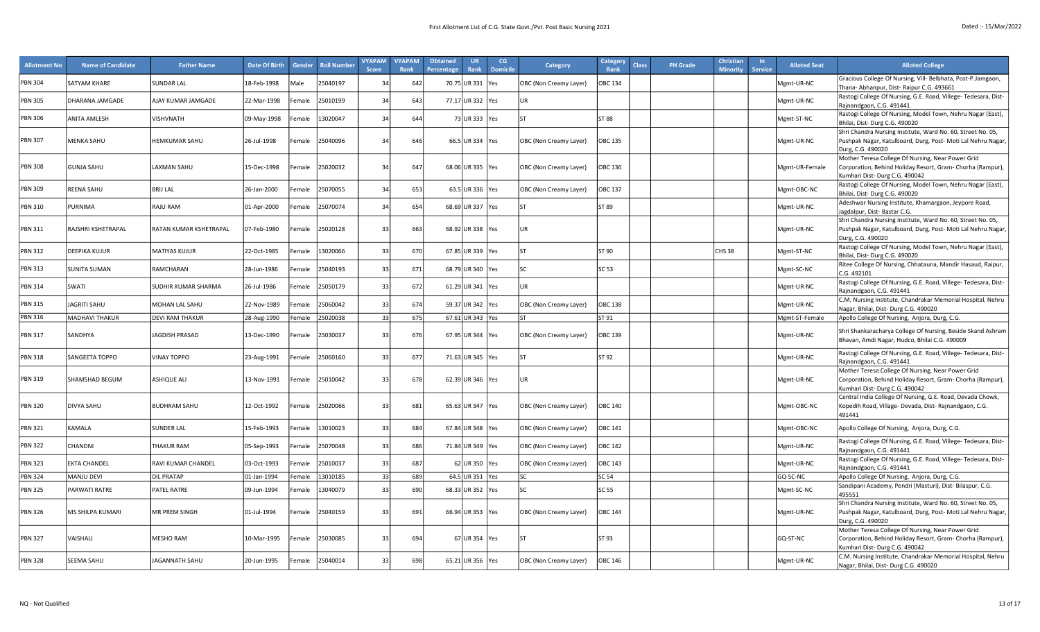| <b>Allotment No</b> | <b>Name of Candidate</b> | <b>Father Name</b>     | <b>Date Of Birth</b> | Gender             | <b>Roll Number</b> | <b>VYAPAM</b><br><b>Score</b> | <b>VYAPAM</b><br>Rank | <b>Obtained</b><br><b>Percentage</b> | <b>UR</b><br><b>Rank</b> | CG<br><b>Domicile</b> | <b>Category</b>        | <b>Category</b><br>Rank | <b>Class</b> | <b>PH Grade</b> | <b>Christian</b><br><b>Minority</b> | $\ln$<br><b>Service</b> | <b>Alloted Seat</b> | <b>Alloted College</b>                                                                                                      |
|---------------------|--------------------------|------------------------|----------------------|--------------------|--------------------|-------------------------------|-----------------------|--------------------------------------|--------------------------|-----------------------|------------------------|-------------------------|--------------|-----------------|-------------------------------------|-------------------------|---------------------|-----------------------------------------------------------------------------------------------------------------------------|
| <b>PBN 304</b>      | SATYAM KHARE             | <b>SUNDAR LAL</b>      | 18-Feb-1998          | Male               | 15040197           | 34                            | 642                   | 70.75 UR 331                         |                          | Yes                   | OBC (Non Creamy Layer) | OBC 134                 |              |                 |                                     |                         | Mgmt-UR-NC          | Gracious College Of Nursing, Vill- Belbhata, Post-P.Jamgaon,<br>Thana- Abhanpur, Dist- Raipur C.G. 493661                   |
| <b>PBN 305</b>      | DHARANA JAMGADE          | AJAY KUMAR JAMGADE     | 22-Mar-1998          | Female             | 25010199           | 34                            | 643                   | 77.17 UR 332                         |                          | <b>Yes</b>            | UR                     |                         |              |                 |                                     |                         | Mgmt-UR-NC          | Rastogi College Of Nursing, G.E. Road, Villege- Tedesara, Dist-                                                             |
|                     |                          |                        |                      |                    |                    |                               |                       |                                      |                          |                       |                        |                         |              |                 |                                     |                         |                     | Rajnandgaon, C.G. 491441<br>Rastogi College Of Nursing, Model Town, Nehru Nagar (East),                                     |
| <b>PBN 306</b>      | <b>ANITA AMLESH</b>      | <b>VISHVNATH</b>       | 09-May-1998          | emale <sup>:</sup> | 13020047           | 34                            | 644                   |                                      | 73 UR 333 Yes            |                       | <b>ST</b>              | ST 88                   |              |                 |                                     |                         | Mgmt-ST-NC          | Bhilai, Dist-Durg C.G. 490020                                                                                               |
|                     |                          |                        |                      |                    |                    |                               |                       |                                      |                          |                       |                        |                         |              |                 |                                     |                         |                     | Shri Chandra Nursing Institute, Ward No. 60, Street No. 05,                                                                 |
| <b>PBN 307</b>      | MENKA SAHU               | <b>HEMKUMAR SAHU</b>   | 26-Jul-1998          | Female             | 25040096           | 34                            | 646                   | 66.5 UR 334                          |                          | <b>Yes</b>            | OBC (Non Creamy Layer) | <b>OBC 135</b>          |              |                 |                                     |                         | Mgmt-UR-NC          | Pushpak Nagar, Katulboard, Durg, Post- Moti Lal Nehru Nagar,<br>Durg, C.G. 490020                                           |
|                     |                          |                        |                      |                    |                    |                               |                       |                                      |                          |                       |                        |                         |              |                 |                                     |                         |                     | Mother Teresa College Of Nursing, Near Power Grid                                                                           |
| <b>PBN 308</b>      | <b>GUNJA SAHU</b>        | <b>LAXMAN SAHU</b>     | 15-Dec-1998          | Female             | 25020032           | 34                            | 647                   | 68.06 UR 335 Yes                     |                          |                       | OBC (Non Creamy Layer) | OBC 136                 |              |                 |                                     |                         | Mgmt-UR-Female      | Corporation, Behind Holiday Resort, Gram- Chorha (Rampur),<br>Kumhari Dist-Durg C.G. 490042                                 |
| <b>PBN 309</b>      | REENA SAHU               | <b>BRIJ LAL</b>        | 26-Jan-2000          | emale <sup>:</sup> | 25070055           | 34                            | 653                   |                                      | 63.5 UR 336 Yes          |                       | OBC (Non Creamy Layer) | OBC 137                 |              |                 |                                     |                         | Mgmt-OBC-NC         | Rastogi College Of Nursing, Model Town, Nehru Nagar (East),                                                                 |
|                     |                          |                        |                      |                    |                    |                               |                       |                                      |                          |                       |                        |                         |              |                 |                                     |                         |                     | Bhilai, Dist-Durg C.G. 490020<br>Adeshwar Nursing Institute, Khamargaon, Jeypore Road,                                      |
| <b>PBN 310</b>      | PURNIMA                  | <b>RAJU RAM</b>        | 01-Apr-2000          | emale              | 25070074           | 34                            | 654                   | 68.69 UR 337                         |                          | <b>Yes</b>            |                        | ST 89                   |              |                 |                                     |                         | Mgmt-UR-NC          | Jagdalpur, Dist-Bastar C.G.                                                                                                 |
| <b>PBN 311</b>      | RAJSHRI KSHETRAPAL       | RATAN KUMAR KSHETRAPAL | 07-Feb-1980          | emale              | 25020128           | 33                            | 663                   | 68.92 UR 338                         |                          | <b>Yes</b>            | UR                     |                         |              |                 |                                     |                         | Mgmt-UR-NC          | Shri Chandra Nursing Institute, Ward No. 60, Street No. 05,<br>Pushpak Nagar, Katulboard, Durg, Post- Moti Lal Nehru Nagar, |
|                     |                          |                        |                      |                    |                    |                               |                       |                                      |                          |                       |                        |                         |              |                 |                                     |                         |                     | Durg, C.G. 490020                                                                                                           |
| <b>PBN 312</b>      | <b>DEEPIKA KUJUR</b>     | <b>MATIYAS KUJUR</b>   | 22-Oct-1985          | emale              | 13020066           | 33                            | 670                   | 67.85 UR 339                         |                          | <b>Yes</b>            | ST                     | ST 90                   |              |                 | CHS 38                              |                         | Mgmt-ST-NC          | Rastogi College Of Nursing, Model Town, Nehru Nagar (East),                                                                 |
|                     |                          |                        |                      |                    |                    |                               |                       |                                      |                          |                       |                        |                         |              |                 |                                     |                         |                     | Bhilai, Dist-Durg C.G. 490020<br>Ritee College Of Nursing, Chhatauna, Mandir Hasaud, Raipur,                                |
| <b>PBN 313</b>      | <b>SUNITA SUMAN</b>      | RAMCHARAN              | 28-Jun-1986          | emale <sup>:</sup> | 25040193           | 33                            | 671                   | 68.79 UR 340 Yes                     |                          |                       | SC                     | SC 53                   |              |                 |                                     |                         | Mgmt-SC-NC          | C.G. 492101                                                                                                                 |
| <b>PBN 314</b>      | SWATI                    | SUDHIR KUMAR SHARMA    | 26-Jul-1986          | Female             | 25050179           | 33                            | 672                   | 61.29 UR 341                         |                          | <b>Yes</b>            | <b>UR</b>              |                         |              |                 |                                     |                         | Mgmt-UR-NC          | Rastogi College Of Nursing, G.E. Road, Villege- Tedesara, Dist-<br>Rajnandgaon, C.G. 491441                                 |
| <b>PBN 315</b>      | <b>JAGRITI SAHU</b>      | <b>MOHAN LAL SAHU</b>  | 22-Nov-1989          | emale              | 15060042           | 33                            | 674                   | 59.37 UR 342                         |                          | Yes                   | OBC (Non Creamy Layer) | OBC 138                 |              |                 |                                     |                         | Mgmt-UR-NC          | C.M. Nursing Institute, Chandrakar Memorial Hospital, Nehru                                                                 |
| <b>PBN 316</b>      | <b>MADHAVI THAKUR</b>    | <b>DEVI RAM THAKUR</b> |                      | emale              | 25020038           | 33                            | 675                   | 67.61 UR 343                         |                          |                       | ςT                     | ST 91                   |              |                 |                                     |                         | Mgmt-ST-Female      | Nagar, Bhilai, Dist-Durg C.G. 490020                                                                                        |
|                     |                          |                        | 28-Aug-1990          |                    |                    |                               |                       |                                      |                          | <b>Yes</b>            |                        |                         |              |                 |                                     |                         |                     | Apollo College Of Nursing, Anjora, Durg, C.G.                                                                               |
| <b>PBN 317</b>      | SANDHYA                  | JAGDISH PRASAD         | 13-Dec-1990          | Female             | 25030037           | 33                            | 676                   | 67.95 UR 344 Yes                     |                          |                       | OBC (Non Creamy Layer) | OBC 139                 |              |                 |                                     |                         | Mgmt-UR-NC          | Shri Shankaracharya College Of Nursing, Beside Skand Ashram<br>Bhavan, Amdi Nagar, Hudco, Bhilai C.G. 490009                |
|                     |                          |                        |                      |                    |                    |                               |                       |                                      |                          |                       |                        |                         |              |                 |                                     |                         |                     | Rastogi College Of Nursing, G.E. Road, Villege- Tedesara, Dist-                                                             |
| <b>PBN 318</b>      | SANGEETA TOPPO           | <b>VINAY TOPPO</b>     | 23-Aug-1991          | emale              | 15060160           | 33                            | 677                   | 71.63 UR 345                         |                          | <b>Yes</b>            | SΤ                     | ST 92                   |              |                 |                                     |                         | Mgmt-UR-NC          | Rajnandgaon, C.G. 491441                                                                                                    |
| <b>PBN 319</b>      | SHAMSHAD BEGUM           | <b>ASHIQUE ALI</b>     | 13-Nov-1991          | Female             | 25010042           | 33                            | 678                   | 62.39 UR 346 Yes                     |                          |                       | UR                     |                         |              |                 |                                     |                         | Mgmt-UR-NC          | Mother Teresa College Of Nursing, Near Power Grid<br>Corporation, Behind Holiday Resort, Gram- Chorha (Rampur),             |
|                     |                          |                        |                      |                    |                    |                               |                       |                                      |                          |                       |                        |                         |              |                 |                                     |                         |                     | Kumhari Dist-Durg C.G. 490042                                                                                               |
|                     |                          |                        |                      |                    |                    |                               |                       |                                      |                          |                       |                        |                         |              |                 |                                     |                         |                     | Central India College Of Nursing, G.E. Road, Devada Chowk,                                                                  |
| <b>PBN 320</b>      | <b>DIVYA SAHU</b>        | <b>BUDHRAM SAHU</b>    | 12-Oct-1992          | Female             | 25020066           | 33                            | 681                   | 65.63 UR 347 Yes                     |                          |                       | OBC (Non Creamy Layer) | <b>OBC 140</b>          |              |                 |                                     |                         | Mgmt-OBC-NC         | Kopedih Road, Village- Devada, Dist- Rajnandgaon, C.G.<br>491441                                                            |
| <b>PBN 321</b>      | KAMALA                   | <b>SUNDER LAL</b>      | 15-Feb-1993          | emale              | 13010023           | 33                            | 684                   | 67.84 UR 348                         |                          | <b>Yes</b>            | OBC (Non Creamy Layer) | OBC 141                 |              |                 |                                     |                         | Mgmt-OBC-NC         | Apollo College Of Nursing, Anjora, Durg, C.G.                                                                               |
|                     |                          |                        |                      |                    |                    |                               |                       |                                      |                          |                       |                        |                         |              |                 |                                     |                         |                     | Rastogi College Of Nursing, G.E. Road, Villege- Tedesara, Dist-                                                             |
| <b>PBN 322</b>      | CHANDNI                  | <b>THAKUR RAM</b>      | 05-Sep-1993          | emale <sup>:</sup> | 25070048           | 33                            | 686                   | 71.84 UR 349                         |                          | <b>Yes</b>            | OBC (Non Creamy Layer) | OBC 142                 |              |                 |                                     |                         | Mgmt-UR-NC          | Rajnandgaon, C.G. 491441                                                                                                    |
| <b>PBN 323</b>      | EKTA CHANDEL             | RAVI KUMAR CHANDEL     | 03-Oct-1993          | Female             | 25010037           | 33                            | 687                   |                                      | 62 UR 350 Yes            |                       | OBC (Non Creamy Layer) | OBC 143                 |              |                 |                                     |                         | Mgmt-UR-NC          | Rastogi College Of Nursing, G.E. Road, Villege- Tedesara, Dist-<br>Rajnandgaon, C.G. 491441                                 |
| <b>PBN 324</b>      | <b>MANJU DEVI</b>        | <b>DIL PRATAP</b>      | 01-Jan-1994          | emale              | 13010185           | 33                            | 689                   |                                      | 64.5 UR 351 Yes          |                       | SC.                    | SC 54                   |              |                 |                                     |                         | GQ-SC-NC            | Apollo College Of Nursing, Anjora, Durg, C.G.                                                                               |
| <b>PBN 325</b>      | PARWATI RATRE            | PATEL RATRE            | 09-Jun-1994          | emale              | 13040079           | 33                            | 690                   | 68.33 UR 352                         |                          | <b>Yes</b>            | SC                     | SC <sub>55</sub>        |              |                 |                                     |                         | Mgmt-SC-NC          | Sandipani Academy, Pendri (Masturi), Dist- Bilaspur, C.G.<br>495551                                                         |
|                     |                          |                        |                      |                    |                    |                               |                       |                                      |                          |                       |                        |                         |              |                 |                                     |                         |                     | Shri Chandra Nursing Institute, Ward No. 60, Street No. 05,                                                                 |
| <b>PBN 326</b>      | MS SHILPA KUMARI         | MR PREM SINGH          | 01-Jul-1994          | Female             | 25040159           | 33                            | 691                   | 66.94 UR 353 Yes                     |                          |                       | OBC (Non Creamy Layer) | <b>OBC 144</b>          |              |                 |                                     |                         | Mgmt-UR-NC          | Pushpak Nagar, Katulboard, Durg, Post- Moti Lal Nehru Nagar,                                                                |
|                     |                          |                        |                      |                    |                    |                               |                       |                                      |                          |                       |                        |                         |              |                 |                                     |                         |                     | Durg, C.G. 490020<br>Mother Teresa College Of Nursing, Near Power Grid                                                      |
| <b>PBN 327</b>      | VAISHALI                 | <b>MESHO RAM</b>       | 10-Mar-1995          | emale              | 25030085           | 33                            | 694                   |                                      | 67 UR 354 Yes            |                       |                        | ST 93                   |              |                 |                                     |                         | GQ-ST-NC            | Corporation, Behind Holiday Resort, Gram- Chorha (Rampur),                                                                  |
|                     |                          |                        |                      |                    |                    |                               |                       |                                      |                          |                       |                        |                         |              |                 |                                     |                         |                     | Kumhari Dist-Durg C.G. 490042                                                                                               |
| <b>PBN 328</b>      | SEEMA SAHU               | JAGANNATH SAHU         | 20-Jun-1995          | Female             | 25040014           | 33                            | 698                   | 65.21 UR 356 Yes                     |                          |                       | OBC (Non Creamy Layer) | OBC 146                 |              |                 |                                     |                         | Mgmt-UR-NC          | C.M. Nursing Institute, Chandrakar Memorial Hospital, Nehru<br>Nagar, Bhilai, Dist-Durg C.G. 490020                         |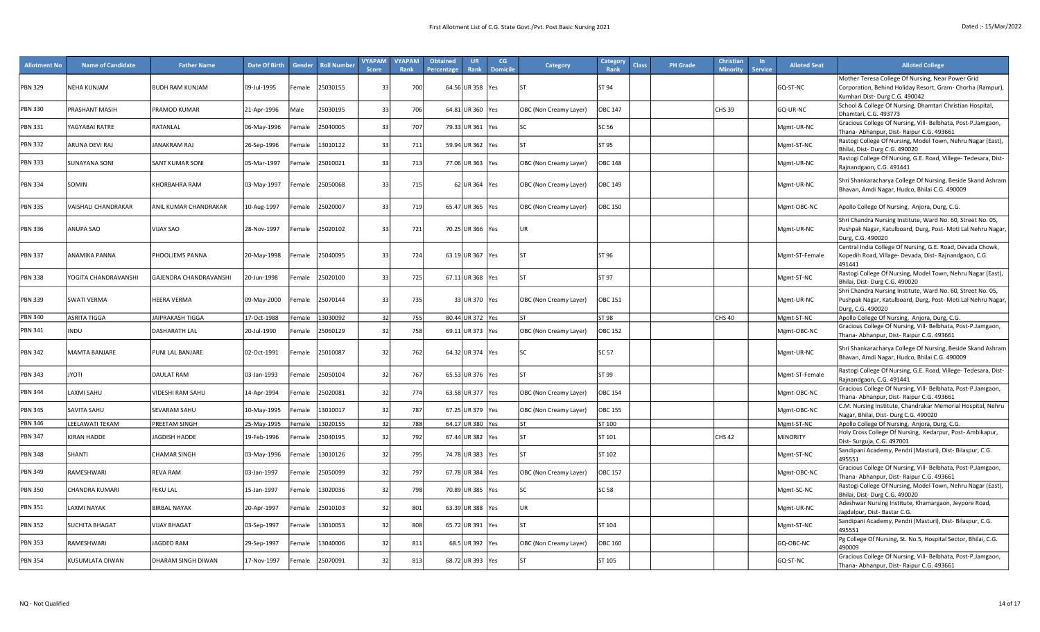| <b>Allotment No</b> | <b>Name of Candidate</b> | <b>Father Name</b>      | <b>Date Of Birth</b> | <b>Gender</b>      | <b>Roll Number</b> | <b>VYAPAM</b><br><b>Score</b> | <b>VYAPAM</b><br>Rank | <b>Obtained</b><br>Percentage | <b>UR</b><br>Rank  | CG<br><b>Domicile</b> | <b>Category</b>        | Category<br>Rank | Class | <b>PH</b> Grade | <b>Christian</b><br><b>Minority</b> | <b>Service</b> | <b>Alloted Seat</b> | <b>Alloted College</b>                                                                                                                            |
|---------------------|--------------------------|-------------------------|----------------------|--------------------|--------------------|-------------------------------|-----------------------|-------------------------------|--------------------|-----------------------|------------------------|------------------|-------|-----------------|-------------------------------------|----------------|---------------------|---------------------------------------------------------------------------------------------------------------------------------------------------|
| PBN 329             | <b>NEHA KUNJAM</b>       | <b>BUDH RAM KUNJAM</b>  | 09-Jul-1995          | Female             | 25030155           | 33                            | 700                   |                               | 64.56 UR 358   Yes |                       |                        | <b>ST 94</b>     |       |                 |                                     |                | GO-ST-NC            | Mother Teresa College Of Nursing, Near Power Grid<br>Corporation, Behind Holiday Resort, Gram- Chorha (Rampur),<br>Kumhari Dist- Durg C.G. 490042 |
| <b>PBN 330</b>      | PRASHANT MASIH           | PRAMOD KUMAR            | 21-Apr-1996          | Male               | 25030195           | 3 <sup>3</sup>                | 706                   |                               | 64.81 UR 360 Yes   |                       | OBC (Non Creamy Layer) | <b>OBC 147</b>   |       |                 | <b>CHS 39</b>                       |                | GQ-UR-NC            | School & College Of Nursing, Dhamtari Christian Hospital,<br>Dhamtari, C.G. 493773                                                                |
| <b>PBN 331</b>      | <b>AGYABAI RATRE</b>     | RATANLAL                | 06-May-1996          | Female             | 25040005           | 33                            | 707                   |                               | 79.33 UR 361 Yes   |                       |                        | SC 56            |       |                 |                                     |                | Mgmt-UR-NC          | Gracious College Of Nursing, Vill- Belbhata, Post-P.Jamgaon,<br>Thana- Abhanpur, Dist- Raipur C.G. 493661                                         |
| <b>PBN 332</b>      | ARUNA DEVI RAJ           | <b>JANAKRAM RAJ</b>     | 26-Sep-1996          | <sup>:</sup> emale | 13010122           | 33                            | 711                   |                               | 59.94 UR 362 Yes   |                       |                        | ST 95            |       |                 |                                     |                | Mgmt-ST-NC          | Rastogi College Of Nursing, Model Town, Nehru Nagar (East),<br>Bhilai, Dist-Durg C.G. 490020                                                      |
| <b>PBN 333</b>      | <b>SUNAYANA SONI</b>     | <b>SANT KUMAR SONI</b>  | 05-Mar-1997          | emale              | 25010021           | $\mathcal{R}$                 | 713                   |                               | 77.06 UR 363 Yes   |                       | OBC (Non Creamy Layer) | <b>OBC 148</b>   |       |                 |                                     |                | Mgmt-UR-NC          | Rastogi College Of Nursing, G.E. Road, Villege- Tedesara, Dist-<br>Rajnandgaon, C.G. 491441                                                       |
| <b>PBN 334</b>      | SOMIN                    | <b>KHORBAHRA RAM</b>    | 03-May-1997          | Female             | 25050068           | 33                            | 715                   |                               | 62 UR 364 Yes      |                       | OBC (Non Creamy Layer) | OBC 149          |       |                 |                                     |                | Mgmt-UR-NC          | Shri Shankaracharya College Of Nursing, Beside Skand Ashram<br>Bhavan, Amdi Nagar, Hudco, Bhilai C.G. 490009                                      |
| <b>PBN 335</b>      | VAISHALI CHANDRAKAR      | ANIL KUMAR CHANDRAKAR   | 10-Aug-1997          | Female             | 25020007           | 33                            | 719                   |                               | 65.47 UR 365 Yes   |                       | OBC (Non Creamy Layer) | <b>OBC 150</b>   |       |                 |                                     |                | Mgmt-OBC-NC         | Apollo College Of Nursing, Anjora, Durg, C.G.                                                                                                     |
| <b>PBN 336</b>      | ANUPA SAO                | VIJAY SAO               | 28-Nov-1997          | emale              | 25020102           | 33                            | 721                   |                               | 70.25 UR 366 Yes   |                       | lur.                   |                  |       |                 |                                     |                | Mgmt-UR-NC          | Shri Chandra Nursing Institute, Ward No. 60, Street No. 05,<br>Pushpak Nagar, Katulboard, Durg, Post- Moti Lal Nehru Nagar,<br>Durg, C.G. 490020  |
| <b>PBN 337</b>      | ANAMIKA PANNA            | PHOOLJEMS PANNA         | 20-May-1998          | Female             | 25040095           | 33                            | 724                   |                               | 63.19 UR 367 Yes   |                       | ls1                    | ST 96            |       |                 |                                     |                | Mgmt-ST-Female      | Central India College Of Nursing, G.E. Road, Devada Chowk,<br>Kopedih Road, Village- Devada, Dist- Rajnandgaon, C.G.<br>491441                    |
| <b>PBN 338</b>      | YOGITA CHANDRAVANSHI     | GAJENDRA CHANDRAVANSHI  | 0-Jun-1998           | <sup>:</sup> emale | 25020100           | 33                            | 725                   |                               | 67.11 UR 368 Yes   |                       | l۲                     | ST 97            |       |                 |                                     |                | Mgmt-ST-NC          | Rastogi College Of Nursing, Model Town, Nehru Nagar (East),<br>Bhilai, Dist-Durg C.G. 490020                                                      |
| PBN 339             | SWATI VERMA              | <b>HEERA VERMA</b>      | 09-May-2000          | Female             | 25070144           | 33                            | 735                   |                               | 33 UR 370 Yes      |                       | OBC (Non Creamy Layer) | OBC 151          |       |                 |                                     |                | Mgmt-UR-NC          | Shri Chandra Nursing Institute, Ward No. 60, Street No. 05,<br>Pushpak Nagar, Katulboard, Durg, Post- Moti Lal Nehru Nagar,<br>Durg, C.G. 490020  |
| <b>PBN 340</b>      | <b>ASRITA TIGGA</b>      | <b>JAIPRAKASH TIGGA</b> | 17-Oct-1988          | Female             | 13030092           | 32                            | 755                   |                               | 80.44 UR 372 Yes   |                       | lst                    | <b>ST 98</b>     |       |                 | <b>CHS 40</b>                       |                | Mgmt-ST-NC          | Apollo College Of Nursing, Anjora, Durg, C.G.                                                                                                     |
| <b>PBN 341</b>      | <b>INDU</b>              | <b>DASHARATH LAL</b>    | 20-Jul-1990          | Female             | 25060129           | 32                            | 758                   |                               | 69.11 UR 373   Yes |                       | OBC (Non Creamy Layer) | <b>OBC 152</b>   |       |                 |                                     |                | Mgmt-OBC-NC         | Gracious College Of Nursing, Vill- Belbhata, Post-P.Jamgaon,<br>Thana- Abhanpur, Dist- Raipur C.G. 493661                                         |
| <b>PBN 342</b>      | MAMTA BANJARE            | <b>PUNI LAL BANJARE</b> | 02-Oct-1991          | Female             | 25010087           | 32                            | 762                   |                               | 64.32 UR 374 Yes   |                       | lsc                    | <b>SC 57</b>     |       |                 |                                     |                | Mgmt-UR-NC          | Shri Shankaracharya College Of Nursing, Beside Skand Ashram<br>Bhavan, Amdi Nagar, Hudco, Bhilai C.G. 490009                                      |
| PBN 343             | <b>ITOYL</b>             | <b>DAULAT RAM</b>       | 03-Jan-1993          | <sup>:</sup> emale | 25050104           | 32                            | 767                   |                               | 65.53 UR 376   Yes |                       | st                     | ST 99            |       |                 |                                     |                | Mgmt-ST-Female      | Rastogi College Of Nursing, G.E. Road, Villege- Tedesara, Dist-<br>Rajnandgaon, C.G. 491441                                                       |
| <b>PBN 344</b>      | LAXMI SAHU               | VIDESHI RAM SAHU        | 14-Apr-1994          | <sup>:</sup> emale | 25020081           | $\overline{3}$                | 774                   |                               | 63.58 UR 377 Yes   |                       | OBC (Non Creamy Layer) | <b>OBC 154</b>   |       |                 |                                     |                | Mgmt-OBC-NC         | Gracious College Of Nursing, Vill- Belbhata, Post-P.Jamgaon,<br>Thana- Abhanpur, Dist- Raipur C.G. 493661                                         |
| <b>PBN 345</b>      | SAVITA SAHU              | SEVARAM SAHU            | 10-May-1995          | emale              | 13010017           | 32                            | 787                   |                               | 67.25 UR 379 Yes   |                       | OBC (Non Creamy Layer) | <b>OBC 155</b>   |       |                 |                                     |                | Mgmt-OBC-NC         | C.M. Nursing Institute, Chandrakar Memorial Hospital, Nehru<br>Nagar, Bhilai, Dist-Durg C.G. 490020                                               |
| <b>PBN 346</b>      | LEELAWATI TEKAM          | PREETAM SINGH           | 25-May-1995          | Female             | 13020155           | 32                            | 788                   |                               | 64.17 UR 380 Yes   |                       | lst                    | ST 100           |       |                 |                                     |                | Mgmt-ST-NC          | Apollo College Of Nursing, Anjora, Durg, C.G.                                                                                                     |
| <b>PBN 347</b>      | <b>KIRAN HADDE</b>       | <b>AGDISH HADDE</b>     | 19-Feb-1996          | <sup>:</sup> emale | 25040195           | $\overline{3}$                | 792                   |                               | 67.44 UR 382   Yes |                       | lsт                    | ST 101           |       |                 | <b>CHS 42</b>                       |                | <b>MINORITY</b>     | Holy Cross College Of Nursing, Kedarpur, Post- Ambikapur,<br>Dist- Surguja, C.G. 497001                                                           |
| <b>PBN 348</b>      | SHANTI                   | CHAMAR SINGH            | 03-May-1996          | Female             | 13010126           | 32                            | 795                   |                               | 74.78 UR 383 Yes   |                       |                        | ST 102           |       |                 |                                     |                | Mgmt-ST-NC          | Sandipani Academy, Pendri (Masturi), Dist- Bilaspur, C.G.<br>495551                                                                               |
| <b>PBN 349</b>      | RAMESHWARI               | <b>REVA RAM</b>         | 03-Jan-1997          | <sup>:</sup> emale | 25050099           | 32                            | 797                   |                               | 67.78 UR 384 Yes   |                       | OBC (Non Creamy Layer) | OBC 157          |       |                 |                                     |                | Mgmt-OBC-NC         | Gracious College Of Nursing, Vill- Belbhata, Post-P.Jamgaon,<br>Thana- Abhanpur, Dist- Raipur C.G. 493661                                         |
| <b>PBN 350</b>      | CHANDRA KUMARI           | FEKU LAL                | 15-Jan-1997          | Female             | 13020036           | 32                            | 798                   |                               | 70.89 UR 385 Yes   |                       | lsc                    | <b>SC 58</b>     |       |                 |                                     |                | Mgmt-SC-NC          | Rastogi College Of Nursing, Model Town, Nehru Nagar (East),<br>Bhilai, Dist-Durg C.G. 490020                                                      |
| <b>PBN 351</b>      | LAXMI NAYAK              | <b>BIRBAL NAYAK</b>     | 20-Apr-1997          | <sup>:</sup> emale | 25010103           | 32                            | 801                   |                               | 63.39 UR 388 Yes   |                       | <b>UR</b>              |                  |       |                 |                                     |                | Mgmt-UR-NC          | Adeshwar Nursing Institute, Khamargaon, Jeypore Road,<br>Jagdalpur, Dist-Bastar C.G.                                                              |
| <b>PBN 352</b>      | <b>SUCHITA BHAGAT</b>    | <b>VIJAY BHAGAT</b>     | 03-Sep-1997          | Female             | 13010053           | $\overline{3}$                | 808                   |                               | 65.72 UR 391   Yes |                       | lsт                    | ST 104           |       |                 |                                     |                | Mgmt-ST-NC          | Sandipani Academy, Pendri (Masturi), Dist- Bilaspur, C.G.<br>495551                                                                               |
| <b>PBN 353</b>      | RAMESHWARI               | AGDEO RAM               | 29-Sep-1997          | emale              | 13040006           | 32                            | 811                   |                               | 68.5 UR 392 Yes    |                       | OBC (Non Creamy Layer) | OBC 160          |       |                 |                                     |                | GQ-OBC-NC           | Pg College Of Nursing, St. No.5, Hospital Sector, Bhilai, C.G.<br>490009                                                                          |
| <b>PBN 354</b>      | KUSUMLATA DIWAN          | DHARAM SINGH DIWAN      | 17-Nov-1997          | Female             | 25070091           | 32                            | 813                   |                               | 68.72 UR 393 Yes   |                       |                        | ST 105           |       |                 |                                     |                | GQ-ST-NC            | Gracious College Of Nursing, Vill- Belbhata, Post-P.Jamgaon,<br>Thana- Abhanpur, Dist- Raipur C.G. 493661                                         |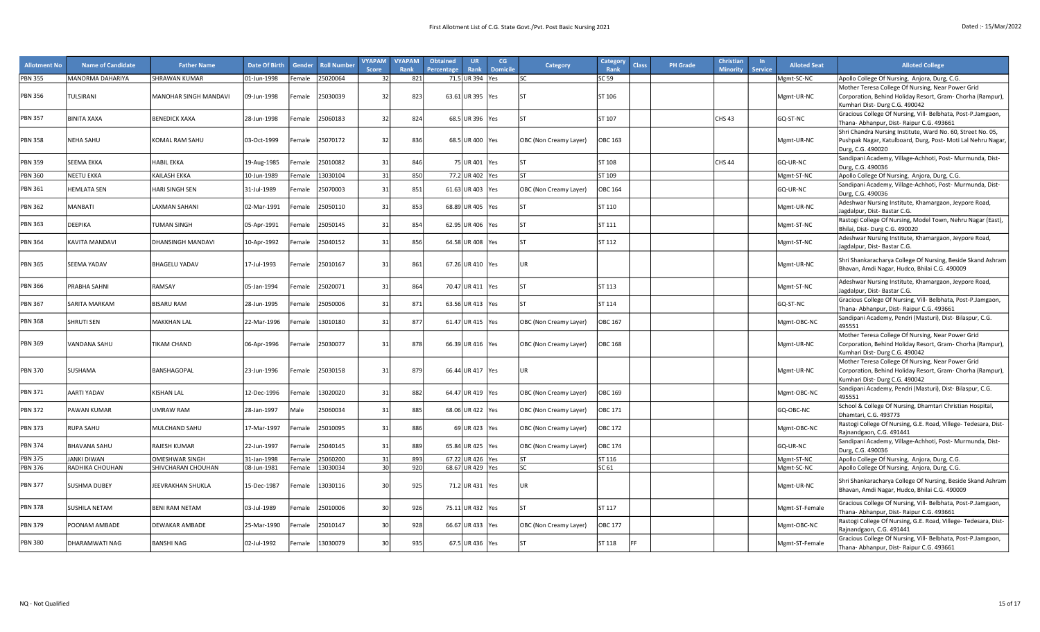| <b>PBN 355</b><br>MANORMA DAHARIYA<br>25020064<br>821<br>71.5 UR 394 Yes<br><b>SHRAWAN KUMAR</b><br>01-Jun-1998<br>32<br>SC 59<br>Mgmt-SC-NC<br>Apollo College Of Nursing, Anjora, Durg, C.G.<br>Female<br>lsc<br>Mother Teresa College Of Nursing, Near Power Grid<br><b>PBN 356</b><br>823<br>63.61 UR 395 Yes<br>ST 106<br>TULSIRANI<br>MANOHAR SINGH MANDAVI<br>09-Jun-1998<br>Female<br>25030039<br>32<br>lst<br>Mgmt-UR-NC<br>Corporation, Behind Holiday Resort, Gram- Chorha (Rampur),<br>Kumhari Dist- Durg C.G. 490042<br>Gracious College Of Nursing, Vill- Belbhata, Post-P.Jamgaon,<br><b>PBN 357</b><br>824<br><b>BINITA XAXA</b><br><b>BENEDICK XAXA</b><br>32<br>68.5 UR 396 Yes<br>SΤ<br>ST 107<br>CHS 43<br>GQ-ST-NC<br>28-Jun-1998<br>Female<br>25060183<br>Thana- Abhanpur, Dist- Raipur C.G. 493661<br>Shri Chandra Nursing Institute, Ward No. 60, Street No. 05,<br>836<br><b>PBN 358</b><br>NEHA SAHU<br>KOMAL RAM SAHU<br>03-Oct-1999<br>25070172<br>32<br>68.5 UR 400 Yes<br>OBC 163<br>Female<br>OBC (Non Creamy Layer)<br>Mgmt-UR-NC<br>Pushpak Nagar, Katulboard, Durg, Post- Moti Lal Nehru Nagar,<br>Durg, C.G. 490020<br>Sandipani Academy, Village-Achhoti, Post- Murmunda, Dist-<br><b>PBN 359</b><br><b>SEEMA EKKA</b><br><b>HABIL EKKA</b><br>25010082<br>846<br>75 UR 401 Yes<br>ST 108<br><b>CHS 44</b><br>GQ-UR-NC<br>19-Aug-1985<br>3 <sup>2</sup><br><sup>-</sup> emale<br>Durg, C.G. 490036<br><b>PBN 360</b><br><b>NEETU EKKA</b><br>KAILASH EKKA<br>13030104<br>31<br>850<br>77.2 UR 402<br><b>ST</b><br>ST 109<br>Mgmt-ST-NC<br>10-Jun-1989<br>Female<br><b>Yes</b><br>Apollo College Of Nursing, Anjora, Durg, C.G.<br>Sandipani Academy, Village-Achhoti, Post- Murmunda, Dist-<br><b>PBN 361</b><br>851<br><b>HEMLATA SEN</b><br>HARI SINGH SEN<br>61.63 UR 403<br><b>OBC 164</b><br>31-Jul-1989<br>25070003<br>$\mathbf{3}$<br>OBC (Non Creamy Layer)<br>GQ-UR-NC<br>emale <sup>:</sup><br><b>Yes</b><br>Durg, C.G. 490036<br>Adeshwar Nursing Institute, Khamargaon, Jeypore Road,<br>LAXMAN SAHANI<br>853<br>68.89 UR 405 Yes<br><b>PBN 362</b><br><b>MANBATI</b><br>02-Mar-1991<br>emale<br>25050110<br>3 <sup>2</sup><br><b>ST</b><br>ST 110<br>Mgmt-UR-NC<br>Jagdalpur, Dist-Bastar C.G.<br>Rastogi College Of Nursing, Model Town, Nehru Nagar (East),<br>854<br><b>PBN 363</b><br><b>DEEPIKA</b><br>25050145<br>62.95 UR 406 Yes<br>TUMAN SINGH<br>05-Apr-1991<br>emale <sup>:</sup><br>31<br>ST<br>ST 111<br>Mgmt-ST-NC<br>Bhilai, Dist- Durg C.G. 490020<br>Adeshwar Nursing Institute, Khamargaon, Jeypore Road,<br>856<br><b>PBN 364</b><br>64.58 UR 408   Yes<br>ST 112<br><b>KAVITA MANDAVI</b><br>DHANSINGH MANDAVI<br>10-Apr-1992<br>emale<br>25040152<br>3 <sup>2</sup><br>SΤ<br>Mgmt-ST-NC<br>Jagdalpur, Dist-Bastar C.G.<br>Shri Shankaracharya College Of Nursing, Beside Skand Ashram<br><b>PBN 365</b><br>SEEMA YADAV<br><b>BHAGELU YADAV</b><br>17-Jul-1993<br>25010167<br>31<br>861<br>67.26 UR 410 Yes<br>UR<br>Mgmt-UR-NC<br>Female<br>Bhavan, Amdi Nagar, Hudco, Bhilai C.G. 490009<br>Adeshwar Nursing Institute, Khamargaon, Jeypore Road,<br>864<br><b>PBN 366</b><br>Mgmt-ST-NC<br>PRABHA SAHNI<br>RAMSAY<br>05-Jan-1994<br>25020071<br>31<br>70.47 UR 411 Yes<br><b>ST</b><br>ST 113<br>emale <sup>:</sup><br>Jagdalpur, Dist-Bastar C.G.<br>Gracious College Of Nursing, Vill- Belbhata, Post-P.Jamgaon,<br>871<br><b>PBN 367</b><br>63.56 UR 413 Yes<br>GQ-ST-NC<br><b>BISARU RAM</b><br>28-Jun-1995<br>25050006<br>3 <sup>2</sup><br>SΤ<br>ST 114<br>SARITA MARKAM<br><sup>:</sup> emale<br>Thana- Abhanpur, Dist- Raipur C.G. 493661<br>Sandipani Academy, Pendri (Masturi), Dist- Bilaspur, C.G.<br><b>PBN 368</b><br>877<br><b>SHRUTI SEN</b><br><b>MAKKHAN LAL</b><br>22-Mar-1996<br>13010180<br>31<br>61.47 UR 415   Yes<br>OBC 167<br>Mgmt-OBC-NC<br><sup>:</sup> emale<br>OBC (Non Creamy Layer)<br>495551<br>Mother Teresa College Of Nursing, Near Power Grid<br>878<br><b>PBN 369</b><br><b>TIKAM CHAND</b><br>06-Apr-1996<br>25030077<br>31<br>66.39 UR 416 Yes<br><b>OBC 168</b><br>Corporation, Behind Holiday Resort, Gram- Chorha (Rampur),<br>VANDANA SAHU<br>Female<br>OBC (Non Creamy Layer)<br>Mgmt-UR-NC<br>Kumhari Dist-Durg C.G. 490042<br>Mother Teresa College Of Nursing, Near Power Grid<br>879<br>66.44 UR 417 Yes<br><b>PBN 370</b><br><b>SUSHAMA</b><br>BANSHAGOPAL<br>23-Jun-1996<br>25030158<br>31<br>Female<br>UR<br>Mgmt-UR-NC<br>Corporation, Behind Holiday Resort, Gram- Chorha (Rampur),<br>Kumhari Dist-Durg C.G. 490042<br>Sandipani Academy, Pendri (Masturi), Dist-Bilaspur, C.G.<br>882<br><b>AARTI YADAV</b><br><b>KISHAN LAL</b><br>64.47 UR 419 Yes<br><b>PBN 371</b><br>12-Dec-1996<br>Female<br>13020020<br>31<br>OBC (Non Creamy Layer)<br>OBC 169<br>Mgmt-OBC-NC<br>495551<br>School & College Of Nursing, Dhamtari Christian Hospital,<br>885<br><b>PBN 372</b><br>68.06 UR 422 Yes<br>PAWAN KUMAR<br><b>UMRAW RAM</b><br>28-Jan-1997<br>Male<br>25060034<br>$\mathbf{3}$<br>OBC 171<br>GQ-OBC-NC<br>OBC (Non Creamy Layer)<br>Dhamtari, C.G. 493773<br>Rastogi College Of Nursing, G.E. Road, Villege- Tedesara, Dist-<br>886<br><b>PBN 373</b><br><b>RUPA SAHU</b><br>MULCHAND SAHU<br>25010095<br>31<br>69 UR 423 Yes<br>OBC 172<br>Mgmt-OBC-NC<br>17-Mar-1997<br><sup>-</sup> emale<br>OBC (Non Creamy Layer)<br>Rajnandgaon, C.G. 491441<br>Sandipani Academy, Village-Achhoti, Post- Murmunda, Dist-<br><b>PBN 374</b><br>889<br><b>BHAVANA SAHU</b><br><b>RAJESH KUMAR</b><br>25040145<br>65.84 UR 425 Yes<br>OBC 174<br>GQ-UR-NC<br>22-Jun-1997<br>3 <sup>2</sup><br>OBC (Non Creamy Layer)<br><sup>=</sup> emale<br>Durg, C.G. 490036<br><b>PBN 375</b><br>25060200<br>31<br>893<br>67.22 UR 426 Yes<br>ST 116<br><b>OMESHWAR SINGH</b><br><b>ST</b><br>Mgmt-ST-NC<br>Apollo College Of Nursing, Anjora, Durg, C.G.<br><b>JANKI DIWAN</b><br>31-Jan-1998<br>Female<br>920<br><b>PBN 376</b><br>68.67 UR 429   Yes<br>30<br><b>SC</b><br>RADHIKA CHOUHAN<br>SHIVCHARAN CHOUHAN<br>08-Jun-1981<br>Female<br>13030034<br>SC 61<br>Mgmt-SC-NC<br>Apollo College Of Nursing, Anjora, Durg, C.G.<br>Shri Shankaracharya College Of Nursing, Beside Skand Ashram<br>925<br><b>PBN 377</b><br><b>SUSHMA DUBEY</b><br>15-Dec-1987<br>13030116<br>30<br>71.2 UR 431 Yes<br>UR<br>Mgmt-UR-NC<br>JEEVRAKHAN SHUKLA<br>Female<br>Bhavan, Amdi Nagar, Hudco, Bhilai C.G. 490009<br>Gracious College Of Nursing, Vill- Belbhata, Post-P.Jamgaon,<br><b>PBN 378</b><br>926<br><b>SUSHILA NETAM</b><br><b>BENI RAM NETAM</b><br>03-Jul-1989<br>25010006<br>30<br>75.11 UR 432   Yes<br>ST 117<br>Mgmt-ST-Female<br>Female<br>Thana- Abhanpur, Dist- Raipur C.G. 493661<br>Rastogi College Of Nursing, G.E. Road, Villege- Tedesara, Dist-<br>928<br><b>PBN 379</b><br>66.67 UR 433   Yes<br>OBC 177<br>POONAM AMBADE<br><b>DEWAKAR AMBADE</b><br>30<br>OBC (Non Creamy Layer)<br>Mgmt-OBC-NC<br>25-Mar-1990<br>Female<br>25010147<br>Rajnandgaon, C.G. 491441<br>Gracious College Of Nursing, Vill- Belbhata, Post-P.Jamgaon,<br><b>PBN 380</b><br>935<br>DHARAMWATI NAG<br><b>BANSHI NAG</b><br>02-Jul-1992<br>13030079<br>67.5 UR 436 Yes<br>ST 118<br>Mgmt-ST-Female<br>30<br>Female<br>Thana- Abhanpur, Dist- Raipur C.G. 493661 | <b>Allotment No</b> | <b>Name of Candidate</b> | <b>Father Name</b> | <b>Date Of Birth</b> | Gender | <b>Roll Number</b> | <b>VYAPAM</b><br><b>Score</b> | <b>VYAPAM</b><br>Rank | <b>Obtained</b><br>Percentage | UR<br>Rank | <b>CG</b><br><b>Domicile</b> | <b>Category</b> | Category<br>Rank | <b>Class</b> | <b>PH Grade</b> | Christiar<br><b>Minority</b> | <b>Service</b> | <b>Alloted Seat</b> | <b>Alloted College</b> |
|-------------------------------------------------------------------------------------------------------------------------------------------------------------------------------------------------------------------------------------------------------------------------------------------------------------------------------------------------------------------------------------------------------------------------------------------------------------------------------------------------------------------------------------------------------------------------------------------------------------------------------------------------------------------------------------------------------------------------------------------------------------------------------------------------------------------------------------------------------------------------------------------------------------------------------------------------------------------------------------------------------------------------------------------------------------------------------------------------------------------------------------------------------------------------------------------------------------------------------------------------------------------------------------------------------------------------------------------------------------------------------------------------------------------------------------------------------------------------------------------------------------------------------------------------------------------------------------------------------------------------------------------------------------------------------------------------------------------------------------------------------------------------------------------------------------------------------------------------------------------------------------------------------------------------------------------------------------------------------------------------------------------------------------------------------------------------------------------------------------------------------------------------------------------------------------------------------------------------------------------------------------------------------------------------------------------------------------------------------------------------------------------------------------------------------------------------------------------------------------------------------------------------------------------------------------------------------------------------------------------------------------------------------------------------------------------------------------------------------------------------------------------------------------------------------------------------------------------------------------------------------------------------------------------------------------------------------------------------------------------------------------------------------------------------------------------------------------------------------------------------------------------------------------------------------------------------------------------------------------------------------------------------------------------------------------------------------------------------------------------------------------------------------------------------------------------------------------------------------------------------------------------------------------------------------------------------------------------------------------------------------------------------------------------------------------------------------------------------------------------------------------------------------------------------------------------------------------------------------------------------------------------------------------------------------------------------------------------------------------------------------------------------------------------------------------------------------------------------------------------------------------------------------------------------------------------------------------------------------------------------------------------------------------------------------------------------------------------------------------------------------------------------------------------------------------------------------------------------------------------------------------------------------------------------------------------------------------------------------------------------------------------------------------------------------------------------------------------------------------------------------------------------------------------------------------------------------------------------------------------------------------------------------------------------------------------------------------------------------------------------------------------------------------------------------------------------------------------------------------------------------------------------------------------------------------------------------------------------------------------------------------------------------------------------------------------------------------------------------------------------------------------------------------------------------------------------------------------------------------------------------------------------------------------------------------------------------------------------------------------------------------------------------------------------------------------------------------------------------------------------------------------------------------------------------------------------------------------------------------------------------------------------------------------------------------------------------------------------------------------------------------------------------------------------------------------------------------------------------------------------------------------------------------------------------------------------------------------------------------------------------------------------------------------------------------------------------------------------------------------------------------------------------------------------------------------------------------------------------------------------------------------------------------------------------------------------------------------------------------------------------------------------------------------------------------------------------------------------------------------------------------------------------------------------------------------------------------------------------------------------------------------------------------------------------------------------------------------------------------------------------------------------------------------------------------------------------------------------------------------------------------------------------------------------------------------------------------------------------------------------------------------|---------------------|--------------------------|--------------------|----------------------|--------|--------------------|-------------------------------|-----------------------|-------------------------------|------------|------------------------------|-----------------|------------------|--------------|-----------------|------------------------------|----------------|---------------------|------------------------|
|                                                                                                                                                                                                                                                                                                                                                                                                                                                                                                                                                                                                                                                                                                                                                                                                                                                                                                                                                                                                                                                                                                                                                                                                                                                                                                                                                                                                                                                                                                                                                                                                                                                                                                                                                                                                                                                                                                                                                                                                                                                                                                                                                                                                                                                                                                                                                                                                                                                                                                                                                                                                                                                                                                                                                                                                                                                                                                                                                                                                                                                                                                                                                                                                                                                                                                                                                                                                                                                                                                                                                                                                                                                                                                                                                                                                                                                                                                                                                                                                                                                                                                                                                                                                                                                                                                                                                                                                                                                                                                                                                                                                                                                                                                                                                                                                                                                                                                                                                                                                                                                                                                                                                                                                                                                                                                                                                                                                                                                                                                                                                                                                                                                                                                                                                                                                                                                                                                                                                                                                                                                                                                                                                                                                                                                                                                                                                                                                                                                                                                                                                                                                                                                                                                                                                                                                                                                                                                                                                                                                                                                                                                                                                                                                                                                                   |                     |                          |                    |                      |        |                    |                               |                       |                               |            |                              |                 |                  |              |                 |                              |                |                     |                        |
|                                                                                                                                                                                                                                                                                                                                                                                                                                                                                                                                                                                                                                                                                                                                                                                                                                                                                                                                                                                                                                                                                                                                                                                                                                                                                                                                                                                                                                                                                                                                                                                                                                                                                                                                                                                                                                                                                                                                                                                                                                                                                                                                                                                                                                                                                                                                                                                                                                                                                                                                                                                                                                                                                                                                                                                                                                                                                                                                                                                                                                                                                                                                                                                                                                                                                                                                                                                                                                                                                                                                                                                                                                                                                                                                                                                                                                                                                                                                                                                                                                                                                                                                                                                                                                                                                                                                                                                                                                                                                                                                                                                                                                                                                                                                                                                                                                                                                                                                                                                                                                                                                                                                                                                                                                                                                                                                                                                                                                                                                                                                                                                                                                                                                                                                                                                                                                                                                                                                                                                                                                                                                                                                                                                                                                                                                                                                                                                                                                                                                                                                                                                                                                                                                                                                                                                                                                                                                                                                                                                                                                                                                                                                                                                                                                                                   |                     |                          |                    |                      |        |                    |                               |                       |                               |            |                              |                 |                  |              |                 |                              |                |                     |                        |
|                                                                                                                                                                                                                                                                                                                                                                                                                                                                                                                                                                                                                                                                                                                                                                                                                                                                                                                                                                                                                                                                                                                                                                                                                                                                                                                                                                                                                                                                                                                                                                                                                                                                                                                                                                                                                                                                                                                                                                                                                                                                                                                                                                                                                                                                                                                                                                                                                                                                                                                                                                                                                                                                                                                                                                                                                                                                                                                                                                                                                                                                                                                                                                                                                                                                                                                                                                                                                                                                                                                                                                                                                                                                                                                                                                                                                                                                                                                                                                                                                                                                                                                                                                                                                                                                                                                                                                                                                                                                                                                                                                                                                                                                                                                                                                                                                                                                                                                                                                                                                                                                                                                                                                                                                                                                                                                                                                                                                                                                                                                                                                                                                                                                                                                                                                                                                                                                                                                                                                                                                                                                                                                                                                                                                                                                                                                                                                                                                                                                                                                                                                                                                                                                                                                                                                                                                                                                                                                                                                                                                                                                                                                                                                                                                                                                   |                     |                          |                    |                      |        |                    |                               |                       |                               |            |                              |                 |                  |              |                 |                              |                |                     |                        |
|                                                                                                                                                                                                                                                                                                                                                                                                                                                                                                                                                                                                                                                                                                                                                                                                                                                                                                                                                                                                                                                                                                                                                                                                                                                                                                                                                                                                                                                                                                                                                                                                                                                                                                                                                                                                                                                                                                                                                                                                                                                                                                                                                                                                                                                                                                                                                                                                                                                                                                                                                                                                                                                                                                                                                                                                                                                                                                                                                                                                                                                                                                                                                                                                                                                                                                                                                                                                                                                                                                                                                                                                                                                                                                                                                                                                                                                                                                                                                                                                                                                                                                                                                                                                                                                                                                                                                                                                                                                                                                                                                                                                                                                                                                                                                                                                                                                                                                                                                                                                                                                                                                                                                                                                                                                                                                                                                                                                                                                                                                                                                                                                                                                                                                                                                                                                                                                                                                                                                                                                                                                                                                                                                                                                                                                                                                                                                                                                                                                                                                                                                                                                                                                                                                                                                                                                                                                                                                                                                                                                                                                                                                                                                                                                                                                                   |                     |                          |                    |                      |        |                    |                               |                       |                               |            |                              |                 |                  |              |                 |                              |                |                     |                        |
|                                                                                                                                                                                                                                                                                                                                                                                                                                                                                                                                                                                                                                                                                                                                                                                                                                                                                                                                                                                                                                                                                                                                                                                                                                                                                                                                                                                                                                                                                                                                                                                                                                                                                                                                                                                                                                                                                                                                                                                                                                                                                                                                                                                                                                                                                                                                                                                                                                                                                                                                                                                                                                                                                                                                                                                                                                                                                                                                                                                                                                                                                                                                                                                                                                                                                                                                                                                                                                                                                                                                                                                                                                                                                                                                                                                                                                                                                                                                                                                                                                                                                                                                                                                                                                                                                                                                                                                                                                                                                                                                                                                                                                                                                                                                                                                                                                                                                                                                                                                                                                                                                                                                                                                                                                                                                                                                                                                                                                                                                                                                                                                                                                                                                                                                                                                                                                                                                                                                                                                                                                                                                                                                                                                                                                                                                                                                                                                                                                                                                                                                                                                                                                                                                                                                                                                                                                                                                                                                                                                                                                                                                                                                                                                                                                                                   |                     |                          |                    |                      |        |                    |                               |                       |                               |            |                              |                 |                  |              |                 |                              |                |                     |                        |
|                                                                                                                                                                                                                                                                                                                                                                                                                                                                                                                                                                                                                                                                                                                                                                                                                                                                                                                                                                                                                                                                                                                                                                                                                                                                                                                                                                                                                                                                                                                                                                                                                                                                                                                                                                                                                                                                                                                                                                                                                                                                                                                                                                                                                                                                                                                                                                                                                                                                                                                                                                                                                                                                                                                                                                                                                                                                                                                                                                                                                                                                                                                                                                                                                                                                                                                                                                                                                                                                                                                                                                                                                                                                                                                                                                                                                                                                                                                                                                                                                                                                                                                                                                                                                                                                                                                                                                                                                                                                                                                                                                                                                                                                                                                                                                                                                                                                                                                                                                                                                                                                                                                                                                                                                                                                                                                                                                                                                                                                                                                                                                                                                                                                                                                                                                                                                                                                                                                                                                                                                                                                                                                                                                                                                                                                                                                                                                                                                                                                                                                                                                                                                                                                                                                                                                                                                                                                                                                                                                                                                                                                                                                                                                                                                                                                   |                     |                          |                    |                      |        |                    |                               |                       |                               |            |                              |                 |                  |              |                 |                              |                |                     |                        |
|                                                                                                                                                                                                                                                                                                                                                                                                                                                                                                                                                                                                                                                                                                                                                                                                                                                                                                                                                                                                                                                                                                                                                                                                                                                                                                                                                                                                                                                                                                                                                                                                                                                                                                                                                                                                                                                                                                                                                                                                                                                                                                                                                                                                                                                                                                                                                                                                                                                                                                                                                                                                                                                                                                                                                                                                                                                                                                                                                                                                                                                                                                                                                                                                                                                                                                                                                                                                                                                                                                                                                                                                                                                                                                                                                                                                                                                                                                                                                                                                                                                                                                                                                                                                                                                                                                                                                                                                                                                                                                                                                                                                                                                                                                                                                                                                                                                                                                                                                                                                                                                                                                                                                                                                                                                                                                                                                                                                                                                                                                                                                                                                                                                                                                                                                                                                                                                                                                                                                                                                                                                                                                                                                                                                                                                                                                                                                                                                                                                                                                                                                                                                                                                                                                                                                                                                                                                                                                                                                                                                                                                                                                                                                                                                                                                                   |                     |                          |                    |                      |        |                    |                               |                       |                               |            |                              |                 |                  |              |                 |                              |                |                     |                        |
|                                                                                                                                                                                                                                                                                                                                                                                                                                                                                                                                                                                                                                                                                                                                                                                                                                                                                                                                                                                                                                                                                                                                                                                                                                                                                                                                                                                                                                                                                                                                                                                                                                                                                                                                                                                                                                                                                                                                                                                                                                                                                                                                                                                                                                                                                                                                                                                                                                                                                                                                                                                                                                                                                                                                                                                                                                                                                                                                                                                                                                                                                                                                                                                                                                                                                                                                                                                                                                                                                                                                                                                                                                                                                                                                                                                                                                                                                                                                                                                                                                                                                                                                                                                                                                                                                                                                                                                                                                                                                                                                                                                                                                                                                                                                                                                                                                                                                                                                                                                                                                                                                                                                                                                                                                                                                                                                                                                                                                                                                                                                                                                                                                                                                                                                                                                                                                                                                                                                                                                                                                                                                                                                                                                                                                                                                                                                                                                                                                                                                                                                                                                                                                                                                                                                                                                                                                                                                                                                                                                                                                                                                                                                                                                                                                                                   |                     |                          |                    |                      |        |                    |                               |                       |                               |            |                              |                 |                  |              |                 |                              |                |                     |                        |
|                                                                                                                                                                                                                                                                                                                                                                                                                                                                                                                                                                                                                                                                                                                                                                                                                                                                                                                                                                                                                                                                                                                                                                                                                                                                                                                                                                                                                                                                                                                                                                                                                                                                                                                                                                                                                                                                                                                                                                                                                                                                                                                                                                                                                                                                                                                                                                                                                                                                                                                                                                                                                                                                                                                                                                                                                                                                                                                                                                                                                                                                                                                                                                                                                                                                                                                                                                                                                                                                                                                                                                                                                                                                                                                                                                                                                                                                                                                                                                                                                                                                                                                                                                                                                                                                                                                                                                                                                                                                                                                                                                                                                                                                                                                                                                                                                                                                                                                                                                                                                                                                                                                                                                                                                                                                                                                                                                                                                                                                                                                                                                                                                                                                                                                                                                                                                                                                                                                                                                                                                                                                                                                                                                                                                                                                                                                                                                                                                                                                                                                                                                                                                                                                                                                                                                                                                                                                                                                                                                                                                                                                                                                                                                                                                                                                   |                     |                          |                    |                      |        |                    |                               |                       |                               |            |                              |                 |                  |              |                 |                              |                |                     |                        |
|                                                                                                                                                                                                                                                                                                                                                                                                                                                                                                                                                                                                                                                                                                                                                                                                                                                                                                                                                                                                                                                                                                                                                                                                                                                                                                                                                                                                                                                                                                                                                                                                                                                                                                                                                                                                                                                                                                                                                                                                                                                                                                                                                                                                                                                                                                                                                                                                                                                                                                                                                                                                                                                                                                                                                                                                                                                                                                                                                                                                                                                                                                                                                                                                                                                                                                                                                                                                                                                                                                                                                                                                                                                                                                                                                                                                                                                                                                                                                                                                                                                                                                                                                                                                                                                                                                                                                                                                                                                                                                                                                                                                                                                                                                                                                                                                                                                                                                                                                                                                                                                                                                                                                                                                                                                                                                                                                                                                                                                                                                                                                                                                                                                                                                                                                                                                                                                                                                                                                                                                                                                                                                                                                                                                                                                                                                                                                                                                                                                                                                                                                                                                                                                                                                                                                                                                                                                                                                                                                                                                                                                                                                                                                                                                                                                                   |                     |                          |                    |                      |        |                    |                               |                       |                               |            |                              |                 |                  |              |                 |                              |                |                     |                        |
|                                                                                                                                                                                                                                                                                                                                                                                                                                                                                                                                                                                                                                                                                                                                                                                                                                                                                                                                                                                                                                                                                                                                                                                                                                                                                                                                                                                                                                                                                                                                                                                                                                                                                                                                                                                                                                                                                                                                                                                                                                                                                                                                                                                                                                                                                                                                                                                                                                                                                                                                                                                                                                                                                                                                                                                                                                                                                                                                                                                                                                                                                                                                                                                                                                                                                                                                                                                                                                                                                                                                                                                                                                                                                                                                                                                                                                                                                                                                                                                                                                                                                                                                                                                                                                                                                                                                                                                                                                                                                                                                                                                                                                                                                                                                                                                                                                                                                                                                                                                                                                                                                                                                                                                                                                                                                                                                                                                                                                                                                                                                                                                                                                                                                                                                                                                                                                                                                                                                                                                                                                                                                                                                                                                                                                                                                                                                                                                                                                                                                                                                                                                                                                                                                                                                                                                                                                                                                                                                                                                                                                                                                                                                                                                                                                                                   |                     |                          |                    |                      |        |                    |                               |                       |                               |            |                              |                 |                  |              |                 |                              |                |                     |                        |
|                                                                                                                                                                                                                                                                                                                                                                                                                                                                                                                                                                                                                                                                                                                                                                                                                                                                                                                                                                                                                                                                                                                                                                                                                                                                                                                                                                                                                                                                                                                                                                                                                                                                                                                                                                                                                                                                                                                                                                                                                                                                                                                                                                                                                                                                                                                                                                                                                                                                                                                                                                                                                                                                                                                                                                                                                                                                                                                                                                                                                                                                                                                                                                                                                                                                                                                                                                                                                                                                                                                                                                                                                                                                                                                                                                                                                                                                                                                                                                                                                                                                                                                                                                                                                                                                                                                                                                                                                                                                                                                                                                                                                                                                                                                                                                                                                                                                                                                                                                                                                                                                                                                                                                                                                                                                                                                                                                                                                                                                                                                                                                                                                                                                                                                                                                                                                                                                                                                                                                                                                                                                                                                                                                                                                                                                                                                                                                                                                                                                                                                                                                                                                                                                                                                                                                                                                                                                                                                                                                                                                                                                                                                                                                                                                                                                   |                     |                          |                    |                      |        |                    |                               |                       |                               |            |                              |                 |                  |              |                 |                              |                |                     |                        |
|                                                                                                                                                                                                                                                                                                                                                                                                                                                                                                                                                                                                                                                                                                                                                                                                                                                                                                                                                                                                                                                                                                                                                                                                                                                                                                                                                                                                                                                                                                                                                                                                                                                                                                                                                                                                                                                                                                                                                                                                                                                                                                                                                                                                                                                                                                                                                                                                                                                                                                                                                                                                                                                                                                                                                                                                                                                                                                                                                                                                                                                                                                                                                                                                                                                                                                                                                                                                                                                                                                                                                                                                                                                                                                                                                                                                                                                                                                                                                                                                                                                                                                                                                                                                                                                                                                                                                                                                                                                                                                                                                                                                                                                                                                                                                                                                                                                                                                                                                                                                                                                                                                                                                                                                                                                                                                                                                                                                                                                                                                                                                                                                                                                                                                                                                                                                                                                                                                                                                                                                                                                                                                                                                                                                                                                                                                                                                                                                                                                                                                                                                                                                                                                                                                                                                                                                                                                                                                                                                                                                                                                                                                                                                                                                                                                                   |                     |                          |                    |                      |        |                    |                               |                       |                               |            |                              |                 |                  |              |                 |                              |                |                     |                        |
|                                                                                                                                                                                                                                                                                                                                                                                                                                                                                                                                                                                                                                                                                                                                                                                                                                                                                                                                                                                                                                                                                                                                                                                                                                                                                                                                                                                                                                                                                                                                                                                                                                                                                                                                                                                                                                                                                                                                                                                                                                                                                                                                                                                                                                                                                                                                                                                                                                                                                                                                                                                                                                                                                                                                                                                                                                                                                                                                                                                                                                                                                                                                                                                                                                                                                                                                                                                                                                                                                                                                                                                                                                                                                                                                                                                                                                                                                                                                                                                                                                                                                                                                                                                                                                                                                                                                                                                                                                                                                                                                                                                                                                                                                                                                                                                                                                                                                                                                                                                                                                                                                                                                                                                                                                                                                                                                                                                                                                                                                                                                                                                                                                                                                                                                                                                                                                                                                                                                                                                                                                                                                                                                                                                                                                                                                                                                                                                                                                                                                                                                                                                                                                                                                                                                                                                                                                                                                                                                                                                                                                                                                                                                                                                                                                                                   |                     |                          |                    |                      |        |                    |                               |                       |                               |            |                              |                 |                  |              |                 |                              |                |                     |                        |
|                                                                                                                                                                                                                                                                                                                                                                                                                                                                                                                                                                                                                                                                                                                                                                                                                                                                                                                                                                                                                                                                                                                                                                                                                                                                                                                                                                                                                                                                                                                                                                                                                                                                                                                                                                                                                                                                                                                                                                                                                                                                                                                                                                                                                                                                                                                                                                                                                                                                                                                                                                                                                                                                                                                                                                                                                                                                                                                                                                                                                                                                                                                                                                                                                                                                                                                                                                                                                                                                                                                                                                                                                                                                                                                                                                                                                                                                                                                                                                                                                                                                                                                                                                                                                                                                                                                                                                                                                                                                                                                                                                                                                                                                                                                                                                                                                                                                                                                                                                                                                                                                                                                                                                                                                                                                                                                                                                                                                                                                                                                                                                                                                                                                                                                                                                                                                                                                                                                                                                                                                                                                                                                                                                                                                                                                                                                                                                                                                                                                                                                                                                                                                                                                                                                                                                                                                                                                                                                                                                                                                                                                                                                                                                                                                                                                   |                     |                          |                    |                      |        |                    |                               |                       |                               |            |                              |                 |                  |              |                 |                              |                |                     |                        |
|                                                                                                                                                                                                                                                                                                                                                                                                                                                                                                                                                                                                                                                                                                                                                                                                                                                                                                                                                                                                                                                                                                                                                                                                                                                                                                                                                                                                                                                                                                                                                                                                                                                                                                                                                                                                                                                                                                                                                                                                                                                                                                                                                                                                                                                                                                                                                                                                                                                                                                                                                                                                                                                                                                                                                                                                                                                                                                                                                                                                                                                                                                                                                                                                                                                                                                                                                                                                                                                                                                                                                                                                                                                                                                                                                                                                                                                                                                                                                                                                                                                                                                                                                                                                                                                                                                                                                                                                                                                                                                                                                                                                                                                                                                                                                                                                                                                                                                                                                                                                                                                                                                                                                                                                                                                                                                                                                                                                                                                                                                                                                                                                                                                                                                                                                                                                                                                                                                                                                                                                                                                                                                                                                                                                                                                                                                                                                                                                                                                                                                                                                                                                                                                                                                                                                                                                                                                                                                                                                                                                                                                                                                                                                                                                                                                                   |                     |                          |                    |                      |        |                    |                               |                       |                               |            |                              |                 |                  |              |                 |                              |                |                     |                        |
|                                                                                                                                                                                                                                                                                                                                                                                                                                                                                                                                                                                                                                                                                                                                                                                                                                                                                                                                                                                                                                                                                                                                                                                                                                                                                                                                                                                                                                                                                                                                                                                                                                                                                                                                                                                                                                                                                                                                                                                                                                                                                                                                                                                                                                                                                                                                                                                                                                                                                                                                                                                                                                                                                                                                                                                                                                                                                                                                                                                                                                                                                                                                                                                                                                                                                                                                                                                                                                                                                                                                                                                                                                                                                                                                                                                                                                                                                                                                                                                                                                                                                                                                                                                                                                                                                                                                                                                                                                                                                                                                                                                                                                                                                                                                                                                                                                                                                                                                                                                                                                                                                                                                                                                                                                                                                                                                                                                                                                                                                                                                                                                                                                                                                                                                                                                                                                                                                                                                                                                                                                                                                                                                                                                                                                                                                                                                                                                                                                                                                                                                                                                                                                                                                                                                                                                                                                                                                                                                                                                                                                                                                                                                                                                                                                                                   |                     |                          |                    |                      |        |                    |                               |                       |                               |            |                              |                 |                  |              |                 |                              |                |                     |                        |
|                                                                                                                                                                                                                                                                                                                                                                                                                                                                                                                                                                                                                                                                                                                                                                                                                                                                                                                                                                                                                                                                                                                                                                                                                                                                                                                                                                                                                                                                                                                                                                                                                                                                                                                                                                                                                                                                                                                                                                                                                                                                                                                                                                                                                                                                                                                                                                                                                                                                                                                                                                                                                                                                                                                                                                                                                                                                                                                                                                                                                                                                                                                                                                                                                                                                                                                                                                                                                                                                                                                                                                                                                                                                                                                                                                                                                                                                                                                                                                                                                                                                                                                                                                                                                                                                                                                                                                                                                                                                                                                                                                                                                                                                                                                                                                                                                                                                                                                                                                                                                                                                                                                                                                                                                                                                                                                                                                                                                                                                                                                                                                                                                                                                                                                                                                                                                                                                                                                                                                                                                                                                                                                                                                                                                                                                                                                                                                                                                                                                                                                                                                                                                                                                                                                                                                                                                                                                                                                                                                                                                                                                                                                                                                                                                                                                   |                     |                          |                    |                      |        |                    |                               |                       |                               |            |                              |                 |                  |              |                 |                              |                |                     |                        |
|                                                                                                                                                                                                                                                                                                                                                                                                                                                                                                                                                                                                                                                                                                                                                                                                                                                                                                                                                                                                                                                                                                                                                                                                                                                                                                                                                                                                                                                                                                                                                                                                                                                                                                                                                                                                                                                                                                                                                                                                                                                                                                                                                                                                                                                                                                                                                                                                                                                                                                                                                                                                                                                                                                                                                                                                                                                                                                                                                                                                                                                                                                                                                                                                                                                                                                                                                                                                                                                                                                                                                                                                                                                                                                                                                                                                                                                                                                                                                                                                                                                                                                                                                                                                                                                                                                                                                                                                                                                                                                                                                                                                                                                                                                                                                                                                                                                                                                                                                                                                                                                                                                                                                                                                                                                                                                                                                                                                                                                                                                                                                                                                                                                                                                                                                                                                                                                                                                                                                                                                                                                                                                                                                                                                                                                                                                                                                                                                                                                                                                                                                                                                                                                                                                                                                                                                                                                                                                                                                                                                                                                                                                                                                                                                                                                                   |                     |                          |                    |                      |        |                    |                               |                       |                               |            |                              |                 |                  |              |                 |                              |                |                     |                        |
|                                                                                                                                                                                                                                                                                                                                                                                                                                                                                                                                                                                                                                                                                                                                                                                                                                                                                                                                                                                                                                                                                                                                                                                                                                                                                                                                                                                                                                                                                                                                                                                                                                                                                                                                                                                                                                                                                                                                                                                                                                                                                                                                                                                                                                                                                                                                                                                                                                                                                                                                                                                                                                                                                                                                                                                                                                                                                                                                                                                                                                                                                                                                                                                                                                                                                                                                                                                                                                                                                                                                                                                                                                                                                                                                                                                                                                                                                                                                                                                                                                                                                                                                                                                                                                                                                                                                                                                                                                                                                                                                                                                                                                                                                                                                                                                                                                                                                                                                                                                                                                                                                                                                                                                                                                                                                                                                                                                                                                                                                                                                                                                                                                                                                                                                                                                                                                                                                                                                                                                                                                                                                                                                                                                                                                                                                                                                                                                                                                                                                                                                                                                                                                                                                                                                                                                                                                                                                                                                                                                                                                                                                                                                                                                                                                                                   |                     |                          |                    |                      |        |                    |                               |                       |                               |            |                              |                 |                  |              |                 |                              |                |                     |                        |
|                                                                                                                                                                                                                                                                                                                                                                                                                                                                                                                                                                                                                                                                                                                                                                                                                                                                                                                                                                                                                                                                                                                                                                                                                                                                                                                                                                                                                                                                                                                                                                                                                                                                                                                                                                                                                                                                                                                                                                                                                                                                                                                                                                                                                                                                                                                                                                                                                                                                                                                                                                                                                                                                                                                                                                                                                                                                                                                                                                                                                                                                                                                                                                                                                                                                                                                                                                                                                                                                                                                                                                                                                                                                                                                                                                                                                                                                                                                                                                                                                                                                                                                                                                                                                                                                                                                                                                                                                                                                                                                                                                                                                                                                                                                                                                                                                                                                                                                                                                                                                                                                                                                                                                                                                                                                                                                                                                                                                                                                                                                                                                                                                                                                                                                                                                                                                                                                                                                                                                                                                                                                                                                                                                                                                                                                                                                                                                                                                                                                                                                                                                                                                                                                                                                                                                                                                                                                                                                                                                                                                                                                                                                                                                                                                                                                   |                     |                          |                    |                      |        |                    |                               |                       |                               |            |                              |                 |                  |              |                 |                              |                |                     |                        |
|                                                                                                                                                                                                                                                                                                                                                                                                                                                                                                                                                                                                                                                                                                                                                                                                                                                                                                                                                                                                                                                                                                                                                                                                                                                                                                                                                                                                                                                                                                                                                                                                                                                                                                                                                                                                                                                                                                                                                                                                                                                                                                                                                                                                                                                                                                                                                                                                                                                                                                                                                                                                                                                                                                                                                                                                                                                                                                                                                                                                                                                                                                                                                                                                                                                                                                                                                                                                                                                                                                                                                                                                                                                                                                                                                                                                                                                                                                                                                                                                                                                                                                                                                                                                                                                                                                                                                                                                                                                                                                                                                                                                                                                                                                                                                                                                                                                                                                                                                                                                                                                                                                                                                                                                                                                                                                                                                                                                                                                                                                                                                                                                                                                                                                                                                                                                                                                                                                                                                                                                                                                                                                                                                                                                                                                                                                                                                                                                                                                                                                                                                                                                                                                                                                                                                                                                                                                                                                                                                                                                                                                                                                                                                                                                                                                                   |                     |                          |                    |                      |        |                    |                               |                       |                               |            |                              |                 |                  |              |                 |                              |                |                     |                        |
|                                                                                                                                                                                                                                                                                                                                                                                                                                                                                                                                                                                                                                                                                                                                                                                                                                                                                                                                                                                                                                                                                                                                                                                                                                                                                                                                                                                                                                                                                                                                                                                                                                                                                                                                                                                                                                                                                                                                                                                                                                                                                                                                                                                                                                                                                                                                                                                                                                                                                                                                                                                                                                                                                                                                                                                                                                                                                                                                                                                                                                                                                                                                                                                                                                                                                                                                                                                                                                                                                                                                                                                                                                                                                                                                                                                                                                                                                                                                                                                                                                                                                                                                                                                                                                                                                                                                                                                                                                                                                                                                                                                                                                                                                                                                                                                                                                                                                                                                                                                                                                                                                                                                                                                                                                                                                                                                                                                                                                                                                                                                                                                                                                                                                                                                                                                                                                                                                                                                                                                                                                                                                                                                                                                                                                                                                                                                                                                                                                                                                                                                                                                                                                                                                                                                                                                                                                                                                                                                                                                                                                                                                                                                                                                                                                                                   |                     |                          |                    |                      |        |                    |                               |                       |                               |            |                              |                 |                  |              |                 |                              |                |                     |                        |
|                                                                                                                                                                                                                                                                                                                                                                                                                                                                                                                                                                                                                                                                                                                                                                                                                                                                                                                                                                                                                                                                                                                                                                                                                                                                                                                                                                                                                                                                                                                                                                                                                                                                                                                                                                                                                                                                                                                                                                                                                                                                                                                                                                                                                                                                                                                                                                                                                                                                                                                                                                                                                                                                                                                                                                                                                                                                                                                                                                                                                                                                                                                                                                                                                                                                                                                                                                                                                                                                                                                                                                                                                                                                                                                                                                                                                                                                                                                                                                                                                                                                                                                                                                                                                                                                                                                                                                                                                                                                                                                                                                                                                                                                                                                                                                                                                                                                                                                                                                                                                                                                                                                                                                                                                                                                                                                                                                                                                                                                                                                                                                                                                                                                                                                                                                                                                                                                                                                                                                                                                                                                                                                                                                                                                                                                                                                                                                                                                                                                                                                                                                                                                                                                                                                                                                                                                                                                                                                                                                                                                                                                                                                                                                                                                                                                   |                     |                          |                    |                      |        |                    |                               |                       |                               |            |                              |                 |                  |              |                 |                              |                |                     |                        |
|                                                                                                                                                                                                                                                                                                                                                                                                                                                                                                                                                                                                                                                                                                                                                                                                                                                                                                                                                                                                                                                                                                                                                                                                                                                                                                                                                                                                                                                                                                                                                                                                                                                                                                                                                                                                                                                                                                                                                                                                                                                                                                                                                                                                                                                                                                                                                                                                                                                                                                                                                                                                                                                                                                                                                                                                                                                                                                                                                                                                                                                                                                                                                                                                                                                                                                                                                                                                                                                                                                                                                                                                                                                                                                                                                                                                                                                                                                                                                                                                                                                                                                                                                                                                                                                                                                                                                                                                                                                                                                                                                                                                                                                                                                                                                                                                                                                                                                                                                                                                                                                                                                                                                                                                                                                                                                                                                                                                                                                                                                                                                                                                                                                                                                                                                                                                                                                                                                                                                                                                                                                                                                                                                                                                                                                                                                                                                                                                                                                                                                                                                                                                                                                                                                                                                                                                                                                                                                                                                                                                                                                                                                                                                                                                                                                                   |                     |                          |                    |                      |        |                    |                               |                       |                               |            |                              |                 |                  |              |                 |                              |                |                     |                        |
|                                                                                                                                                                                                                                                                                                                                                                                                                                                                                                                                                                                                                                                                                                                                                                                                                                                                                                                                                                                                                                                                                                                                                                                                                                                                                                                                                                                                                                                                                                                                                                                                                                                                                                                                                                                                                                                                                                                                                                                                                                                                                                                                                                                                                                                                                                                                                                                                                                                                                                                                                                                                                                                                                                                                                                                                                                                                                                                                                                                                                                                                                                                                                                                                                                                                                                                                                                                                                                                                                                                                                                                                                                                                                                                                                                                                                                                                                                                                                                                                                                                                                                                                                                                                                                                                                                                                                                                                                                                                                                                                                                                                                                                                                                                                                                                                                                                                                                                                                                                                                                                                                                                                                                                                                                                                                                                                                                                                                                                                                                                                                                                                                                                                                                                                                                                                                                                                                                                                                                                                                                                                                                                                                                                                                                                                                                                                                                                                                                                                                                                                                                                                                                                                                                                                                                                                                                                                                                                                                                                                                                                                                                                                                                                                                                                                   |                     |                          |                    |                      |        |                    |                               |                       |                               |            |                              |                 |                  |              |                 |                              |                |                     |                        |
|                                                                                                                                                                                                                                                                                                                                                                                                                                                                                                                                                                                                                                                                                                                                                                                                                                                                                                                                                                                                                                                                                                                                                                                                                                                                                                                                                                                                                                                                                                                                                                                                                                                                                                                                                                                                                                                                                                                                                                                                                                                                                                                                                                                                                                                                                                                                                                                                                                                                                                                                                                                                                                                                                                                                                                                                                                                                                                                                                                                                                                                                                                                                                                                                                                                                                                                                                                                                                                                                                                                                                                                                                                                                                                                                                                                                                                                                                                                                                                                                                                                                                                                                                                                                                                                                                                                                                                                                                                                                                                                                                                                                                                                                                                                                                                                                                                                                                                                                                                                                                                                                                                                                                                                                                                                                                                                                                                                                                                                                                                                                                                                                                                                                                                                                                                                                                                                                                                                                                                                                                                                                                                                                                                                                                                                                                                                                                                                                                                                                                                                                                                                                                                                                                                                                                                                                                                                                                                                                                                                                                                                                                                                                                                                                                                                                   |                     |                          |                    |                      |        |                    |                               |                       |                               |            |                              |                 |                  |              |                 |                              |                |                     |                        |
|                                                                                                                                                                                                                                                                                                                                                                                                                                                                                                                                                                                                                                                                                                                                                                                                                                                                                                                                                                                                                                                                                                                                                                                                                                                                                                                                                                                                                                                                                                                                                                                                                                                                                                                                                                                                                                                                                                                                                                                                                                                                                                                                                                                                                                                                                                                                                                                                                                                                                                                                                                                                                                                                                                                                                                                                                                                                                                                                                                                                                                                                                                                                                                                                                                                                                                                                                                                                                                                                                                                                                                                                                                                                                                                                                                                                                                                                                                                                                                                                                                                                                                                                                                                                                                                                                                                                                                                                                                                                                                                                                                                                                                                                                                                                                                                                                                                                                                                                                                                                                                                                                                                                                                                                                                                                                                                                                                                                                                                                                                                                                                                                                                                                                                                                                                                                                                                                                                                                                                                                                                                                                                                                                                                                                                                                                                                                                                                                                                                                                                                                                                                                                                                                                                                                                                                                                                                                                                                                                                                                                                                                                                                                                                                                                                                                   |                     |                          |                    |                      |        |                    |                               |                       |                               |            |                              |                 |                  |              |                 |                              |                |                     |                        |
|                                                                                                                                                                                                                                                                                                                                                                                                                                                                                                                                                                                                                                                                                                                                                                                                                                                                                                                                                                                                                                                                                                                                                                                                                                                                                                                                                                                                                                                                                                                                                                                                                                                                                                                                                                                                                                                                                                                                                                                                                                                                                                                                                                                                                                                                                                                                                                                                                                                                                                                                                                                                                                                                                                                                                                                                                                                                                                                                                                                                                                                                                                                                                                                                                                                                                                                                                                                                                                                                                                                                                                                                                                                                                                                                                                                                                                                                                                                                                                                                                                                                                                                                                                                                                                                                                                                                                                                                                                                                                                                                                                                                                                                                                                                                                                                                                                                                                                                                                                                                                                                                                                                                                                                                                                                                                                                                                                                                                                                                                                                                                                                                                                                                                                                                                                                                                                                                                                                                                                                                                                                                                                                                                                                                                                                                                                                                                                                                                                                                                                                                                                                                                                                                                                                                                                                                                                                                                                                                                                                                                                                                                                                                                                                                                                                                   |                     |                          |                    |                      |        |                    |                               |                       |                               |            |                              |                 |                  |              |                 |                              |                |                     |                        |
|                                                                                                                                                                                                                                                                                                                                                                                                                                                                                                                                                                                                                                                                                                                                                                                                                                                                                                                                                                                                                                                                                                                                                                                                                                                                                                                                                                                                                                                                                                                                                                                                                                                                                                                                                                                                                                                                                                                                                                                                                                                                                                                                                                                                                                                                                                                                                                                                                                                                                                                                                                                                                                                                                                                                                                                                                                                                                                                                                                                                                                                                                                                                                                                                                                                                                                                                                                                                                                                                                                                                                                                                                                                                                                                                                                                                                                                                                                                                                                                                                                                                                                                                                                                                                                                                                                                                                                                                                                                                                                                                                                                                                                                                                                                                                                                                                                                                                                                                                                                                                                                                                                                                                                                                                                                                                                                                                                                                                                                                                                                                                                                                                                                                                                                                                                                                                                                                                                                                                                                                                                                                                                                                                                                                                                                                                                                                                                                                                                                                                                                                                                                                                                                                                                                                                                                                                                                                                                                                                                                                                                                                                                                                                                                                                                                                   |                     |                          |                    |                      |        |                    |                               |                       |                               |            |                              |                 |                  |              |                 |                              |                |                     |                        |
|                                                                                                                                                                                                                                                                                                                                                                                                                                                                                                                                                                                                                                                                                                                                                                                                                                                                                                                                                                                                                                                                                                                                                                                                                                                                                                                                                                                                                                                                                                                                                                                                                                                                                                                                                                                                                                                                                                                                                                                                                                                                                                                                                                                                                                                                                                                                                                                                                                                                                                                                                                                                                                                                                                                                                                                                                                                                                                                                                                                                                                                                                                                                                                                                                                                                                                                                                                                                                                                                                                                                                                                                                                                                                                                                                                                                                                                                                                                                                                                                                                                                                                                                                                                                                                                                                                                                                                                                                                                                                                                                                                                                                                                                                                                                                                                                                                                                                                                                                                                                                                                                                                                                                                                                                                                                                                                                                                                                                                                                                                                                                                                                                                                                                                                                                                                                                                                                                                                                                                                                                                                                                                                                                                                                                                                                                                                                                                                                                                                                                                                                                                                                                                                                                                                                                                                                                                                                                                                                                                                                                                                                                                                                                                                                                                                                   |                     |                          |                    |                      |        |                    |                               |                       |                               |            |                              |                 |                  |              |                 |                              |                |                     |                        |
|                                                                                                                                                                                                                                                                                                                                                                                                                                                                                                                                                                                                                                                                                                                                                                                                                                                                                                                                                                                                                                                                                                                                                                                                                                                                                                                                                                                                                                                                                                                                                                                                                                                                                                                                                                                                                                                                                                                                                                                                                                                                                                                                                                                                                                                                                                                                                                                                                                                                                                                                                                                                                                                                                                                                                                                                                                                                                                                                                                                                                                                                                                                                                                                                                                                                                                                                                                                                                                                                                                                                                                                                                                                                                                                                                                                                                                                                                                                                                                                                                                                                                                                                                                                                                                                                                                                                                                                                                                                                                                                                                                                                                                                                                                                                                                                                                                                                                                                                                                                                                                                                                                                                                                                                                                                                                                                                                                                                                                                                                                                                                                                                                                                                                                                                                                                                                                                                                                                                                                                                                                                                                                                                                                                                                                                                                                                                                                                                                                                                                                                                                                                                                                                                                                                                                                                                                                                                                                                                                                                                                                                                                                                                                                                                                                                                   |                     |                          |                    |                      |        |                    |                               |                       |                               |            |                              |                 |                  |              |                 |                              |                |                     |                        |
|                                                                                                                                                                                                                                                                                                                                                                                                                                                                                                                                                                                                                                                                                                                                                                                                                                                                                                                                                                                                                                                                                                                                                                                                                                                                                                                                                                                                                                                                                                                                                                                                                                                                                                                                                                                                                                                                                                                                                                                                                                                                                                                                                                                                                                                                                                                                                                                                                                                                                                                                                                                                                                                                                                                                                                                                                                                                                                                                                                                                                                                                                                                                                                                                                                                                                                                                                                                                                                                                                                                                                                                                                                                                                                                                                                                                                                                                                                                                                                                                                                                                                                                                                                                                                                                                                                                                                                                                                                                                                                                                                                                                                                                                                                                                                                                                                                                                                                                                                                                                                                                                                                                                                                                                                                                                                                                                                                                                                                                                                                                                                                                                                                                                                                                                                                                                                                                                                                                                                                                                                                                                                                                                                                                                                                                                                                                                                                                                                                                                                                                                                                                                                                                                                                                                                                                                                                                                                                                                                                                                                                                                                                                                                                                                                                                                   |                     |                          |                    |                      |        |                    |                               |                       |                               |            |                              |                 |                  |              |                 |                              |                |                     |                        |
|                                                                                                                                                                                                                                                                                                                                                                                                                                                                                                                                                                                                                                                                                                                                                                                                                                                                                                                                                                                                                                                                                                                                                                                                                                                                                                                                                                                                                                                                                                                                                                                                                                                                                                                                                                                                                                                                                                                                                                                                                                                                                                                                                                                                                                                                                                                                                                                                                                                                                                                                                                                                                                                                                                                                                                                                                                                                                                                                                                                                                                                                                                                                                                                                                                                                                                                                                                                                                                                                                                                                                                                                                                                                                                                                                                                                                                                                                                                                                                                                                                                                                                                                                                                                                                                                                                                                                                                                                                                                                                                                                                                                                                                                                                                                                                                                                                                                                                                                                                                                                                                                                                                                                                                                                                                                                                                                                                                                                                                                                                                                                                                                                                                                                                                                                                                                                                                                                                                                                                                                                                                                                                                                                                                                                                                                                                                                                                                                                                                                                                                                                                                                                                                                                                                                                                                                                                                                                                                                                                                                                                                                                                                                                                                                                                                                   |                     |                          |                    |                      |        |                    |                               |                       |                               |            |                              |                 |                  |              |                 |                              |                |                     |                        |
|                                                                                                                                                                                                                                                                                                                                                                                                                                                                                                                                                                                                                                                                                                                                                                                                                                                                                                                                                                                                                                                                                                                                                                                                                                                                                                                                                                                                                                                                                                                                                                                                                                                                                                                                                                                                                                                                                                                                                                                                                                                                                                                                                                                                                                                                                                                                                                                                                                                                                                                                                                                                                                                                                                                                                                                                                                                                                                                                                                                                                                                                                                                                                                                                                                                                                                                                                                                                                                                                                                                                                                                                                                                                                                                                                                                                                                                                                                                                                                                                                                                                                                                                                                                                                                                                                                                                                                                                                                                                                                                                                                                                                                                                                                                                                                                                                                                                                                                                                                                                                                                                                                                                                                                                                                                                                                                                                                                                                                                                                                                                                                                                                                                                                                                                                                                                                                                                                                                                                                                                                                                                                                                                                                                                                                                                                                                                                                                                                                                                                                                                                                                                                                                                                                                                                                                                                                                                                                                                                                                                                                                                                                                                                                                                                                                                   |                     |                          |                    |                      |        |                    |                               |                       |                               |            |                              |                 |                  |              |                 |                              |                |                     |                        |
|                                                                                                                                                                                                                                                                                                                                                                                                                                                                                                                                                                                                                                                                                                                                                                                                                                                                                                                                                                                                                                                                                                                                                                                                                                                                                                                                                                                                                                                                                                                                                                                                                                                                                                                                                                                                                                                                                                                                                                                                                                                                                                                                                                                                                                                                                                                                                                                                                                                                                                                                                                                                                                                                                                                                                                                                                                                                                                                                                                                                                                                                                                                                                                                                                                                                                                                                                                                                                                                                                                                                                                                                                                                                                                                                                                                                                                                                                                                                                                                                                                                                                                                                                                                                                                                                                                                                                                                                                                                                                                                                                                                                                                                                                                                                                                                                                                                                                                                                                                                                                                                                                                                                                                                                                                                                                                                                                                                                                                                                                                                                                                                                                                                                                                                                                                                                                                                                                                                                                                                                                                                                                                                                                                                                                                                                                                                                                                                                                                                                                                                                                                                                                                                                                                                                                                                                                                                                                                                                                                                                                                                                                                                                                                                                                                                                   |                     |                          |                    |                      |        |                    |                               |                       |                               |            |                              |                 |                  |              |                 |                              |                |                     |                        |
|                                                                                                                                                                                                                                                                                                                                                                                                                                                                                                                                                                                                                                                                                                                                                                                                                                                                                                                                                                                                                                                                                                                                                                                                                                                                                                                                                                                                                                                                                                                                                                                                                                                                                                                                                                                                                                                                                                                                                                                                                                                                                                                                                                                                                                                                                                                                                                                                                                                                                                                                                                                                                                                                                                                                                                                                                                                                                                                                                                                                                                                                                                                                                                                                                                                                                                                                                                                                                                                                                                                                                                                                                                                                                                                                                                                                                                                                                                                                                                                                                                                                                                                                                                                                                                                                                                                                                                                                                                                                                                                                                                                                                                                                                                                                                                                                                                                                                                                                                                                                                                                                                                                                                                                                                                                                                                                                                                                                                                                                                                                                                                                                                                                                                                                                                                                                                                                                                                                                                                                                                                                                                                                                                                                                                                                                                                                                                                                                                                                                                                                                                                                                                                                                                                                                                                                                                                                                                                                                                                                                                                                                                                                                                                                                                                                                   |                     |                          |                    |                      |        |                    |                               |                       |                               |            |                              |                 |                  |              |                 |                              |                |                     |                        |
|                                                                                                                                                                                                                                                                                                                                                                                                                                                                                                                                                                                                                                                                                                                                                                                                                                                                                                                                                                                                                                                                                                                                                                                                                                                                                                                                                                                                                                                                                                                                                                                                                                                                                                                                                                                                                                                                                                                                                                                                                                                                                                                                                                                                                                                                                                                                                                                                                                                                                                                                                                                                                                                                                                                                                                                                                                                                                                                                                                                                                                                                                                                                                                                                                                                                                                                                                                                                                                                                                                                                                                                                                                                                                                                                                                                                                                                                                                                                                                                                                                                                                                                                                                                                                                                                                                                                                                                                                                                                                                                                                                                                                                                                                                                                                                                                                                                                                                                                                                                                                                                                                                                                                                                                                                                                                                                                                                                                                                                                                                                                                                                                                                                                                                                                                                                                                                                                                                                                                                                                                                                                                                                                                                                                                                                                                                                                                                                                                                                                                                                                                                                                                                                                                                                                                                                                                                                                                                                                                                                                                                                                                                                                                                                                                                                                   |                     |                          |                    |                      |        |                    |                               |                       |                               |            |                              |                 |                  |              |                 |                              |                |                     |                        |
|                                                                                                                                                                                                                                                                                                                                                                                                                                                                                                                                                                                                                                                                                                                                                                                                                                                                                                                                                                                                                                                                                                                                                                                                                                                                                                                                                                                                                                                                                                                                                                                                                                                                                                                                                                                                                                                                                                                                                                                                                                                                                                                                                                                                                                                                                                                                                                                                                                                                                                                                                                                                                                                                                                                                                                                                                                                                                                                                                                                                                                                                                                                                                                                                                                                                                                                                                                                                                                                                                                                                                                                                                                                                                                                                                                                                                                                                                                                                                                                                                                                                                                                                                                                                                                                                                                                                                                                                                                                                                                                                                                                                                                                                                                                                                                                                                                                                                                                                                                                                                                                                                                                                                                                                                                                                                                                                                                                                                                                                                                                                                                                                                                                                                                                                                                                                                                                                                                                                                                                                                                                                                                                                                                                                                                                                                                                                                                                                                                                                                                                                                                                                                                                                                                                                                                                                                                                                                                                                                                                                                                                                                                                                                                                                                                                                   |                     |                          |                    |                      |        |                    |                               |                       |                               |            |                              |                 |                  |              |                 |                              |                |                     |                        |
|                                                                                                                                                                                                                                                                                                                                                                                                                                                                                                                                                                                                                                                                                                                                                                                                                                                                                                                                                                                                                                                                                                                                                                                                                                                                                                                                                                                                                                                                                                                                                                                                                                                                                                                                                                                                                                                                                                                                                                                                                                                                                                                                                                                                                                                                                                                                                                                                                                                                                                                                                                                                                                                                                                                                                                                                                                                                                                                                                                                                                                                                                                                                                                                                                                                                                                                                                                                                                                                                                                                                                                                                                                                                                                                                                                                                                                                                                                                                                                                                                                                                                                                                                                                                                                                                                                                                                                                                                                                                                                                                                                                                                                                                                                                                                                                                                                                                                                                                                                                                                                                                                                                                                                                                                                                                                                                                                                                                                                                                                                                                                                                                                                                                                                                                                                                                                                                                                                                                                                                                                                                                                                                                                                                                                                                                                                                                                                                                                                                                                                                                                                                                                                                                                                                                                                                                                                                                                                                                                                                                                                                                                                                                                                                                                                                                   |                     |                          |                    |                      |        |                    |                               |                       |                               |            |                              |                 |                  |              |                 |                              |                |                     |                        |
|                                                                                                                                                                                                                                                                                                                                                                                                                                                                                                                                                                                                                                                                                                                                                                                                                                                                                                                                                                                                                                                                                                                                                                                                                                                                                                                                                                                                                                                                                                                                                                                                                                                                                                                                                                                                                                                                                                                                                                                                                                                                                                                                                                                                                                                                                                                                                                                                                                                                                                                                                                                                                                                                                                                                                                                                                                                                                                                                                                                                                                                                                                                                                                                                                                                                                                                                                                                                                                                                                                                                                                                                                                                                                                                                                                                                                                                                                                                                                                                                                                                                                                                                                                                                                                                                                                                                                                                                                                                                                                                                                                                                                                                                                                                                                                                                                                                                                                                                                                                                                                                                                                                                                                                                                                                                                                                                                                                                                                                                                                                                                                                                                                                                                                                                                                                                                                                                                                                                                                                                                                                                                                                                                                                                                                                                                                                                                                                                                                                                                                                                                                                                                                                                                                                                                                                                                                                                                                                                                                                                                                                                                                                                                                                                                                                                   |                     |                          |                    |                      |        |                    |                               |                       |                               |            |                              |                 |                  |              |                 |                              |                |                     |                        |
|                                                                                                                                                                                                                                                                                                                                                                                                                                                                                                                                                                                                                                                                                                                                                                                                                                                                                                                                                                                                                                                                                                                                                                                                                                                                                                                                                                                                                                                                                                                                                                                                                                                                                                                                                                                                                                                                                                                                                                                                                                                                                                                                                                                                                                                                                                                                                                                                                                                                                                                                                                                                                                                                                                                                                                                                                                                                                                                                                                                                                                                                                                                                                                                                                                                                                                                                                                                                                                                                                                                                                                                                                                                                                                                                                                                                                                                                                                                                                                                                                                                                                                                                                                                                                                                                                                                                                                                                                                                                                                                                                                                                                                                                                                                                                                                                                                                                                                                                                                                                                                                                                                                                                                                                                                                                                                                                                                                                                                                                                                                                                                                                                                                                                                                                                                                                                                                                                                                                                                                                                                                                                                                                                                                                                                                                                                                                                                                                                                                                                                                                                                                                                                                                                                                                                                                                                                                                                                                                                                                                                                                                                                                                                                                                                                                                   |                     |                          |                    |                      |        |                    |                               |                       |                               |            |                              |                 |                  |              |                 |                              |                |                     |                        |
|                                                                                                                                                                                                                                                                                                                                                                                                                                                                                                                                                                                                                                                                                                                                                                                                                                                                                                                                                                                                                                                                                                                                                                                                                                                                                                                                                                                                                                                                                                                                                                                                                                                                                                                                                                                                                                                                                                                                                                                                                                                                                                                                                                                                                                                                                                                                                                                                                                                                                                                                                                                                                                                                                                                                                                                                                                                                                                                                                                                                                                                                                                                                                                                                                                                                                                                                                                                                                                                                                                                                                                                                                                                                                                                                                                                                                                                                                                                                                                                                                                                                                                                                                                                                                                                                                                                                                                                                                                                                                                                                                                                                                                                                                                                                                                                                                                                                                                                                                                                                                                                                                                                                                                                                                                                                                                                                                                                                                                                                                                                                                                                                                                                                                                                                                                                                                                                                                                                                                                                                                                                                                                                                                                                                                                                                                                                                                                                                                                                                                                                                                                                                                                                                                                                                                                                                                                                                                                                                                                                                                                                                                                                                                                                                                                                                   |                     |                          |                    |                      |        |                    |                               |                       |                               |            |                              |                 |                  |              |                 |                              |                |                     |                        |
|                                                                                                                                                                                                                                                                                                                                                                                                                                                                                                                                                                                                                                                                                                                                                                                                                                                                                                                                                                                                                                                                                                                                                                                                                                                                                                                                                                                                                                                                                                                                                                                                                                                                                                                                                                                                                                                                                                                                                                                                                                                                                                                                                                                                                                                                                                                                                                                                                                                                                                                                                                                                                                                                                                                                                                                                                                                                                                                                                                                                                                                                                                                                                                                                                                                                                                                                                                                                                                                                                                                                                                                                                                                                                                                                                                                                                                                                                                                                                                                                                                                                                                                                                                                                                                                                                                                                                                                                                                                                                                                                                                                                                                                                                                                                                                                                                                                                                                                                                                                                                                                                                                                                                                                                                                                                                                                                                                                                                                                                                                                                                                                                                                                                                                                                                                                                                                                                                                                                                                                                                                                                                                                                                                                                                                                                                                                                                                                                                                                                                                                                                                                                                                                                                                                                                                                                                                                                                                                                                                                                                                                                                                                                                                                                                                                                   |                     |                          |                    |                      |        |                    |                               |                       |                               |            |                              |                 |                  |              |                 |                              |                |                     |                        |
|                                                                                                                                                                                                                                                                                                                                                                                                                                                                                                                                                                                                                                                                                                                                                                                                                                                                                                                                                                                                                                                                                                                                                                                                                                                                                                                                                                                                                                                                                                                                                                                                                                                                                                                                                                                                                                                                                                                                                                                                                                                                                                                                                                                                                                                                                                                                                                                                                                                                                                                                                                                                                                                                                                                                                                                                                                                                                                                                                                                                                                                                                                                                                                                                                                                                                                                                                                                                                                                                                                                                                                                                                                                                                                                                                                                                                                                                                                                                                                                                                                                                                                                                                                                                                                                                                                                                                                                                                                                                                                                                                                                                                                                                                                                                                                                                                                                                                                                                                                                                                                                                                                                                                                                                                                                                                                                                                                                                                                                                                                                                                                                                                                                                                                                                                                                                                                                                                                                                                                                                                                                                                                                                                                                                                                                                                                                                                                                                                                                                                                                                                                                                                                                                                                                                                                                                                                                                                                                                                                                                                                                                                                                                                                                                                                                                   |                     |                          |                    |                      |        |                    |                               |                       |                               |            |                              |                 |                  |              |                 |                              |                |                     |                        |
|                                                                                                                                                                                                                                                                                                                                                                                                                                                                                                                                                                                                                                                                                                                                                                                                                                                                                                                                                                                                                                                                                                                                                                                                                                                                                                                                                                                                                                                                                                                                                                                                                                                                                                                                                                                                                                                                                                                                                                                                                                                                                                                                                                                                                                                                                                                                                                                                                                                                                                                                                                                                                                                                                                                                                                                                                                                                                                                                                                                                                                                                                                                                                                                                                                                                                                                                                                                                                                                                                                                                                                                                                                                                                                                                                                                                                                                                                                                                                                                                                                                                                                                                                                                                                                                                                                                                                                                                                                                                                                                                                                                                                                                                                                                                                                                                                                                                                                                                                                                                                                                                                                                                                                                                                                                                                                                                                                                                                                                                                                                                                                                                                                                                                                                                                                                                                                                                                                                                                                                                                                                                                                                                                                                                                                                                                                                                                                                                                                                                                                                                                                                                                                                                                                                                                                                                                                                                                                                                                                                                                                                                                                                                                                                                                                                                   |                     |                          |                    |                      |        |                    |                               |                       |                               |            |                              |                 |                  |              |                 |                              |                |                     |                        |
|                                                                                                                                                                                                                                                                                                                                                                                                                                                                                                                                                                                                                                                                                                                                                                                                                                                                                                                                                                                                                                                                                                                                                                                                                                                                                                                                                                                                                                                                                                                                                                                                                                                                                                                                                                                                                                                                                                                                                                                                                                                                                                                                                                                                                                                                                                                                                                                                                                                                                                                                                                                                                                                                                                                                                                                                                                                                                                                                                                                                                                                                                                                                                                                                                                                                                                                                                                                                                                                                                                                                                                                                                                                                                                                                                                                                                                                                                                                                                                                                                                                                                                                                                                                                                                                                                                                                                                                                                                                                                                                                                                                                                                                                                                                                                                                                                                                                                                                                                                                                                                                                                                                                                                                                                                                                                                                                                                                                                                                                                                                                                                                                                                                                                                                                                                                                                                                                                                                                                                                                                                                                                                                                                                                                                                                                                                                                                                                                                                                                                                                                                                                                                                                                                                                                                                                                                                                                                                                                                                                                                                                                                                                                                                                                                                                                   |                     |                          |                    |                      |        |                    |                               |                       |                               |            |                              |                 |                  |              |                 |                              |                |                     |                        |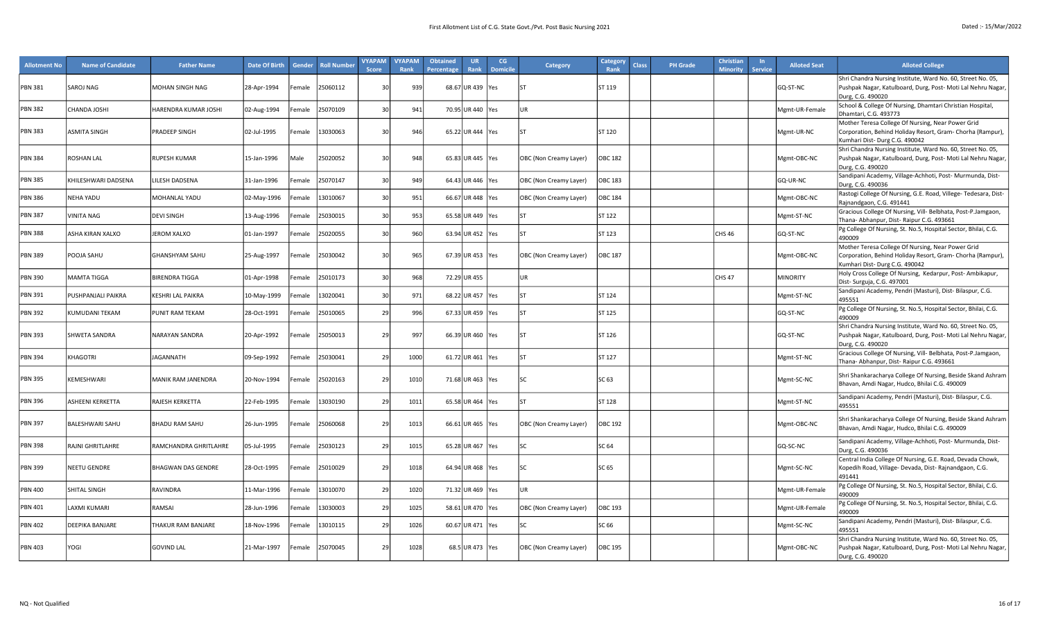| <b>Allotment No</b> | <b>Name of Candidate</b> | <b>Father Name</b>        | Date Of Birth | Gender      | <b>Roll Number</b> | <b>VYAPAM</b><br>Score | <b>VYAPAM</b><br>Rank | <b>Obtained</b><br>Percentage | UR<br>Rank         | CG<br><b>Domicile</b> | Category               | Category<br>Rank | <b>Class</b> | <b>PH Grade</b> | Christiar<br><b>Minority</b> | <b>Service</b> | <b>Alloted Seat</b> | <b>Alloted College</b>                                                                                                                           |
|---------------------|--------------------------|---------------------------|---------------|-------------|--------------------|------------------------|-----------------------|-------------------------------|--------------------|-----------------------|------------------------|------------------|--------------|-----------------|------------------------------|----------------|---------------------|--------------------------------------------------------------------------------------------------------------------------------------------------|
| <b>PBN 381</b>      | SAROJ NAG                | MOHAN SINGH NAG           | 28-Apr-1994   | Female      | 25060112           | 30                     | 939                   |                               | 68.67 UR 439 Yes   |                       | l۲                     | ST 119           |              |                 |                              |                | GQ-ST-NC            | Shri Chandra Nursing Institute, Ward No. 60, Street No. 05,<br>Pushpak Nagar, Katulboard, Durg, Post- Moti Lal Nehru Nagar,<br>Durg, C.G. 490020 |
| <b>PBN 382</b>      | <b>CHANDA JOSHI</b>      | HARENDRA KUMAR JOSHI      | 02-Aug-1994   | emale       | 25070109           | $\overline{3}$         | 941                   |                               | 70.95 UR 440 Yes   |                       | <b>UR</b>              |                  |              |                 |                              |                | Mgmt-UR-Female      | School & College Of Nursing, Dhamtari Christian Hospital,<br>Dhamtari, C.G. 493773                                                               |
| <b>PBN 383</b>      | <b>ASMITA SINGH</b>      | PRADEEP SINGH             | 02-Jul-1995   | Female      | 13030063           | 30                     | 946                   |                               | 65.22 UR 444 Yes   |                       | ST                     | ST 120           |              |                 |                              |                | Mgmt-UR-NC          | Mother Teresa College Of Nursing, Near Power Grid<br>Corporation, Behind Holiday Resort, Gram- Chorha (Rampur),<br>Kumhari Dist-Durg C.G. 490042 |
| <b>PBN 384</b>      | <b>ROSHAN LAL</b>        | <b>RUPESH KUMAR</b>       | 15-Jan-1996   | <b>Male</b> | 25020052           | 30                     | 948                   |                               | 65.83 UR 445 Yes   |                       | OBC (Non Creamy Layer) | <b>OBC 182</b>   |              |                 |                              |                | Mgmt-OBC-NC         | Shri Chandra Nursing Institute, Ward No. 60, Street No. 05,<br>Pushpak Nagar, Katulboard, Durg, Post- Moti Lal Nehru Nagar<br>Durg, C.G. 490020  |
| PBN 385             | KHILESHWARI DADSENA      | <b>ILESH DADSENA</b>      | 31-Jan-1996   | emale       | 25070147           | 30                     | 949                   |                               | 64.43 UR 446 Yes   |                       | OBC (Non Creamy Layer) | OBC 183          |              |                 |                              |                | GQ-UR-NC            | Sandipani Academy, Village-Achhoti, Post- Murmunda, Dist-<br>Durg, C.G. 490036                                                                   |
| <b>PBN 386</b>      | <b>NEHA YADU</b>         | MOHANLAL YADU             | 02-May-1996   | emale       | 13010067           | $\overline{3}$         | 951                   |                               | 66.67 UR 448 Yes   |                       | OBC (Non Creamy Layer) | <b>OBC 184</b>   |              |                 |                              |                | Mgmt-OBC-NC         | Rastogi College Of Nursing, G.E. Road, Villege- Tedesara, Dist-<br>Rajnandgaon, C.G. 491441                                                      |
| <b>PBN 387</b>      | VINITA NAG               | <b>DEVI SINGH</b>         | 13-Aug-1996   | Female      | 25030015           | 30                     | 953                   |                               | 65.58 UR 449 Yes   |                       | ST                     | ST 122           |              |                 |                              |                | Mgmt-ST-NC          | Gracious College Of Nursing, Vill- Belbhata, Post-P.Jamgaon,<br>Thana- Abhanpur, Dist- Raipur C.G. 493661                                        |
| <b>PBN 388</b>      | ASHA KIRAN XALXO         | <b>JEROM XALXO</b>        | 01-Jan-1997   | emale       | 25020055           | $\overline{3}$         | 960                   |                               | 63.94 UR 452 Yes   |                       | SΤ                     | ST 123           |              |                 | CHS 46                       |                | GQ-ST-NC            | Pg College Of Nursing, St. No.5, Hospital Sector, Bhilai, C.G.<br>490009                                                                         |
| PBN 389             | POOJA SAHU               | <b>GHANSHYAM SAHU</b>     | 25-Aug-1997   | Female      | 25030042           | 30                     | 965                   |                               | 67.39 UR 453 Yes   |                       | OBC (Non Creamy Layer) | OBC 187          |              |                 |                              |                | Mgmt-OBC-NC         | Mother Teresa College Of Nursing, Near Power Grid<br>Corporation, Behind Holiday Resort, Gram- Chorha (Rampur),<br>Kumhari Dist-Durg C.G. 490042 |
| <b>PBN 390</b>      | <b>MAMTA TIGGA</b>       | <b>BIRENDRA TIGGA</b>     | 01-Apr-1998   | Female      | 25010173           | $\overline{3}$         | 968                   |                               | 72.29 UR 455       |                       | <b>UR</b>              |                  |              |                 | <b>CHS 47</b>                |                | <b>MINORITY</b>     | Holy Cross College Of Nursing, Kedarpur, Post-Ambikapur,<br>Dist-Surguja, C.G. 497001                                                            |
| <b>PBN 391</b>      | PUSHPANJALI PAIKRA       | <b>KESHRI LAL PAIKRA</b>  | 10-May-1999   | emale       | 13020041           | 30                     | 971                   |                               | 68.22 UR 457 Yes   |                       | lst                    | ST 124           |              |                 |                              |                | Mgmt-ST-NC          | Sandipani Academy, Pendri (Masturi), Dist- Bilaspur, C.G.<br>495551                                                                              |
| <b>PBN 392</b>      | KUMUDANI TEKAM           | <b>PUNIT RAM TEKAM</b>    | 28-Oct-1991   | emale       | 25010065           | 2 <sup>0</sup>         | 996                   |                               | 67.33 UR 459   Yes |                       | ST                     | ST 125           |              |                 |                              |                | GQ-ST-NC            | Pg College Of Nursing, St. No.5, Hospital Sector, Bhilai, C.G.<br>490009                                                                         |
| PBN 393             | SHWETA SANDRA            | <b>NARAYAN SANDRA</b>     | 20-Apr-1992   | Female      | 25050013           | 29                     | 997                   |                               | 66.39 UR 460 Yes   |                       | lst                    | ST 126           |              |                 |                              |                | GQ-ST-NC            | Shri Chandra Nursing Institute, Ward No. 60, Street No. 05,<br>Pushpak Nagar, Katulboard, Durg, Post- Moti Lal Nehru Nagar,<br>Durg, C.G. 490020 |
| <b>PBN 394</b>      | KHAGOTRI                 | <b>JAGANNATH</b>          | 09-Sep-1992   | Female      | 25030041           | 2 <sup>0</sup>         | 1000                  |                               | 61.72 UR 461 Yes   |                       | ST                     | ST 127           |              |                 |                              |                | Mgmt-ST-NC          | Gracious College Of Nursing, Vill- Belbhata, Post-P.Jamgaon,<br>Thana- Abhanpur, Dist- Raipur C.G. 493661                                        |
| PBN 395             | KEMESHWARI               | MANIK RAM JANENDRA        | 20-Nov-1994   | Female      | 25020163           | 29                     | 1010                  |                               | 71.68 UR 463 Yes   |                       | $\mathsf{c}$           | SC 63            |              |                 |                              |                | Mgmt-SC-NC          | Shri Shankaracharya College Of Nursing, Beside Skand Ashram<br>Bhavan, Amdi Nagar, Hudco, Bhilai C.G. 490009                                     |
| PBN 396             | ASHEENI KERKETTA         | RAJESH KERKETTA           | 22-Feb-1995   | emale       | 13030190           | 2 <sup>0</sup>         | 1011                  |                               | 65.58 UR 464   Yes |                       | ST                     | ST 128           |              |                 |                              |                | Mgmt-ST-NC          | Sandipani Academy, Pendri (Masturi), Dist-Bilaspur, C.G.<br>495551                                                                               |
| <b>PBN 397</b>      | <b>BALESHWARI SAHU</b>   | <b>BHADU RAM SAHU</b>     | 26-Jun-1995   | Female      | 25060068           | 29                     | 1013                  |                               | 66.61 UR 465 Yes   |                       | OBC (Non Creamy Layer) | <b>OBC 192</b>   |              |                 |                              |                | Mgmt-OBC-NC         | Shri Shankaracharya College Of Nursing, Beside Skand Ashram<br>Bhavan, Amdi Nagar, Hudco, Bhilai C.G. 490009                                     |
| PBN 398             | RAJNI GHRITLAHRE         | RAMCHANDRA GHRITLAHRE     | 05-Jul-1995   | Female      | 25030123           | 2 <sup>0</sup>         | 1015                  |                               | 65.28 UR 467   Yes |                       | ۲C                     | SC 64            |              |                 |                              |                | GQ-SC-NC            | Sandipani Academy, Village-Achhoti, Post- Murmunda, Dist-<br>Durg, C.G. 490036                                                                   |
| <b>PBN 399</b>      | NEETU GENDRE             | <b>BHAGWAN DAS GENDRE</b> | 28-Oct-1995   | Female      | 25010029           | 29                     | 1018                  |                               | 64.94 UR 468 Yes   |                       | SC.                    | SC 65            |              |                 |                              |                | Mgmt-SC-NC          | Central India College Of Nursing, G.E. Road, Devada Chowk,<br>Kopedih Road, Village- Devada, Dist- Rajnandgaon, C.G.<br>491441                   |
| PBN 400             | SHITAL SINGH             | <b>RAVINDRA</b>           | 11-Mar-1996   | emale       | 13010070           | 2 <sup>0</sup>         | 1020                  |                               | 71.32 UR 469 Yes   |                       | UR.                    |                  |              |                 |                              |                | Mgmt-UR-Female      | Pg College Of Nursing, St. No.5, Hospital Sector, Bhilai, C.G.<br>490009                                                                         |
| PBN 401             | <b>LAXMI KUMARI</b>      | RAMSAI                    | 28-Jun-1996   | emale       | 13030003           | 2 <sup>0</sup>         | 1025                  |                               | 58.61 UR 470   Yes |                       | OBC (Non Creamy Layer) | OBC 193          |              |                 |                              |                | Mgmt-UR-Female      | Pg College Of Nursing, St. No.5, Hospital Sector, Bhilai, C.G.<br>490009                                                                         |
| <b>PBN 402</b>      | DEEPIKA BANJARE          | THAKUR RAM BANJARE        | 18-Nov-1996   | emale       | 13010115           | 2 <sup>0</sup>         | 1026                  |                               | 60.67 UR 471   Yes |                       | SC.                    | SC 66            |              |                 |                              |                | Mgmt-SC-NC          | Sandipani Academy, Pendri (Masturi), Dist-Bilaspur, C.G.<br>495551                                                                               |
| <b>PBN 403</b>      | YOGI                     | <b>GOVIND LAL</b>         | 21-Mar-1997   | Female      | 25070045           | 29                     | 1028                  |                               | 68.5 UR 473 Yes    |                       | OBC (Non Creamy Layer) | OBC 195          |              |                 |                              |                | Mgmt-OBC-NC         | Shri Chandra Nursing Institute, Ward No. 60, Street No. 05,<br>Pushpak Nagar, Katulboard, Durg, Post- Moti Lal Nehru Nagar,<br>Durg, C.G. 490020 |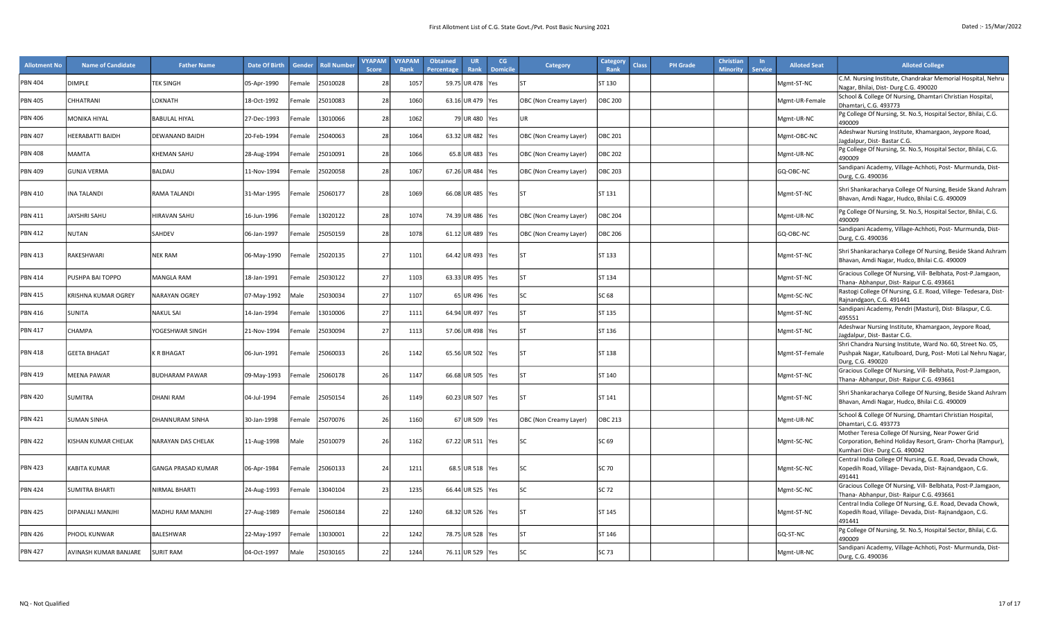| <b>Allotment No</b> | <b>Name of Candidate</b>   | <b>Father Name</b>        | Date Of Birth | Gender | <b>Roll Number</b> | <b>VYAPAM</b><br><b>Score</b> | <b>VYAPAM</b><br>Rank | <b>Obtained</b><br>Percentage | <b>UR</b><br>Rank  | CG<br><b>Domicile</b> | <b>Category</b>        | Category<br><b>Class</b><br>Rank | <b>PH Grade</b> | <b>Christian</b><br><b>Minority</b> | <b>Service</b> | <b>Alloted Seat</b> | <b>Alloted College</b>                                                                                                                           |
|---------------------|----------------------------|---------------------------|---------------|--------|--------------------|-------------------------------|-----------------------|-------------------------------|--------------------|-----------------------|------------------------|----------------------------------|-----------------|-------------------------------------|----------------|---------------------|--------------------------------------------------------------------------------------------------------------------------------------------------|
| <b>PBN 404</b>      | DIMPLE                     | <b>TEK SINGH</b>          | 05-Apr-1990   | Female | 25010028           | 28                            | 1057                  |                               | 59.75 UR 478       | Yes                   |                        | ST 130                           |                 |                                     |                | Mgmt-ST-NC          | C.M. Nursing Institute, Chandrakar Memorial Hospital, Nehru<br>Nagar, Bhilai, Dist-Durg C.G. 490020                                              |
| <b>PBN 405</b>      | CHHATRANI                  | LOKNATH                   | 18-Oct-1992   | Female | 25010083           | 28                            | 1060                  |                               | 63.16 UR 479 Yes   |                       | OBC (Non Creamy Layer) | <b>OBC 200</b>                   |                 |                                     |                | Mgmt-UR-Female      | School & College Of Nursing, Dhamtari Christian Hospital,<br>Dhamtari, C.G. 493773                                                               |
| <b>PBN 406</b>      | <b>MONIKA HIYAL</b>        | BABULAL HIYAL             | 27-Dec-1993   | Female | 13010066           | 28                            | 1062                  |                               | 79 UR 480 Yes      |                       | <b>UR</b>              |                                  |                 |                                     |                | Mgmt-UR-NC          | Pg College Of Nursing, St. No.5, Hospital Sector, Bhilai, C.G.<br>490009                                                                         |
| <b>PBN 407</b>      | HEERABATTI BAIDH           | <b>DEWANAND BAIDH</b>     | 20-Feb-1994   | Female | 25040063           | 28                            | 1064                  |                               | 63.32 UR 482 Yes   |                       | OBC (Non Creamy Layer) | <b>OBC 201</b>                   |                 |                                     |                | Mgmt-OBC-NC         | Adeshwar Nursing Institute, Khamargaon, Jeypore Road,<br>Jagdalpur, Dist-Bastar C.G.                                                             |
| <b>PBN 408</b>      | <b>MAMTA</b>               | <b>KHEMAN SAHU</b>        | 28-Aug-1994   | emale  | 25010091           | 25                            | 1066                  |                               | 65.8 UR 483 Yes    |                       | OBC (Non Creamy Layer) | <b>OBC 202</b>                   |                 |                                     |                | Mgmt-UR-NC          | Pg College Of Nursing, St. No.5, Hospital Sector, Bhilai, C.G.<br>490009                                                                         |
| <b>PBN 409</b>      | <b>GUNJA VERMA</b>         | <b>BALDAU</b>             | 11-Nov-1994   | Female | 25020058           | 28                            | 1067                  |                               | 67.26 UR 484   Yes |                       | OBC (Non Creamy Layer) | <b>OBC 203</b>                   |                 |                                     |                | GQ-OBC-NC           | Sandipani Academy, Village-Achhoti, Post- Murmunda, Dist-<br>Durg, C.G. 490036                                                                   |
| <b>PBN 410</b>      | <b>INA TALANDI</b>         | RAMA TALANDI              | 31-Mar-1995   | Female | 25060177           | 28                            | 1069                  |                               | 66.08 UR 485 Yes   |                       | <b>ST</b>              | ST 131                           |                 |                                     |                | Mgmt-ST-NC          | Shri Shankaracharya College Of Nursing, Beside Skand Ashram<br>Bhavan, Amdi Nagar, Hudco, Bhilai C.G. 490009                                     |
| <b>PBN 411</b>      | JAYSHRI SAHU               | HIRAVAN SAHU              | 16-Jun-1996   | Female | 13020122           | 28                            | 1074                  |                               | 74.39 UR 486   Yes |                       | OBC (Non Creamy Layer) | OBC 204                          |                 |                                     |                | Mgmt-UR-NC          | Pg College Of Nursing, St. No.5, Hospital Sector, Bhilai, C.G.<br>490009                                                                         |
| <b>PBN 412</b>      | <b>NUTAN</b>               | SAHDEV                    | 06-Jan-1997   | Female | 25050159           | 28                            | 1078                  |                               | 61.12 UR 489 Yes   |                       | OBC (Non Creamy Layer) | <b>OBC 206</b>                   |                 |                                     |                | GQ-OBC-NC           | Sandipani Academy, Village-Achhoti, Post- Murmunda, Dist-<br>Durg, C.G. 490036                                                                   |
| <b>PBN 413</b>      | RAKESHWARI                 | <b>NEK RAM</b>            | 06-May-1990   | Female | 25020135           | 27                            | 1101                  |                               | 64.42 UR 493   Yes |                       | lst                    | ST 133                           |                 |                                     |                | Mgmt-ST-NC          | Shri Shankaracharya College Of Nursing, Beside Skand Ashram<br>Bhavan, Amdi Nagar, Hudco, Bhilai C.G. 490009                                     |
| <b>PBN 414</b>      | PUSHPA BAI TOPPO           | <b>MANGLA RAM</b>         | 18-Jan-1991   | Female | 25030122           | 27                            | 1103                  |                               | 63.33 UR 495       | res                   | lsт                    | ST 134                           |                 |                                     |                | Mgmt-ST-NC          | Gracious College Of Nursing, Vill- Belbhata, Post-P.Jamgaon,<br>Thana- Abhanpur, Dist- Raipur C.G. 493661                                        |
| <b>PBN 415</b>      | <b>KRISHNA KUMAR OGREY</b> | <b>NARAYAN OGREY</b>      | 07-May-1992   | Male   | 25030034           | 27                            | 1107                  |                               | 65 UR 496 Yes      |                       | <b>SC</b>              | SC 68                            |                 |                                     |                | Mgmt-SC-NC          | Rastogi College Of Nursing, G.E. Road, Villege- Tedesara, Dist-<br>Rajnandgaon, C.G. 491441                                                      |
| PBN 416             | <b>SUNITA</b>              | NAKUL SAI                 | 14-Jan-1994   | Female | 13010006           | 27                            | 1111                  |                               | 64.94 UR497        | <b>Yes</b>            | lst                    | ST 135                           |                 |                                     |                | Mgmt-ST-NC          | Sandipani Academy, Pendri (Masturi), Dist- Bilaspur, C.G.<br>495551                                                                              |
| <b>PBN 417</b>      | <b>CHAMPA</b>              | YOGESHWAR SINGH           | 21-Nov-1994   | Female | 25030094           | 27                            | 1113                  |                               | 57.06 UR 498 Yes   |                       | lст                    | ST 136                           |                 |                                     |                | Mgmt-ST-NC          | Adeshwar Nursing Institute, Khamargaon, Jeypore Road,<br>Jagdalpur, Dist-Bastar C.G.                                                             |
| <b>PBN 418</b>      | <b>GEETA BHAGAT</b>        | K R BHAGAT                | 06-Jun-1991   | Female | 25060033           | 26                            | 1142                  |                               | 65.56 UR 502 Yes   |                       | <b>ST</b>              | ST 138                           |                 |                                     |                | Mgmt-ST-Female      | Shri Chandra Nursing Institute, Ward No. 60, Street No. 05,<br>Pushpak Nagar, Katulboard, Durg, Post- Moti Lal Nehru Nagar,<br>Durg, C.G. 490020 |
| <b>PBN 419</b>      | <b>MEENA PAWAR</b>         | <b>BUDHARAM PAWAR</b>     | 09-May-1993   | Female | 25060178           | 26                            | 1147                  |                               | 66.68 UR 505 Yes   |                       | lst                    | ST 140                           |                 |                                     |                | Mgmt-ST-NC          | Gracious College Of Nursing, Vill- Belbhata, Post-P.Jamgaon,<br>Thana- Abhanpur, Dist- Raipur C.G. 493661                                        |
| <b>PBN 420</b>      | <b>SUMITRA</b>             | DHANI RAM                 | 04-Jul-1994   | Female | 25050154           | 26                            | 1149                  |                               | 60.23 UR 507   Yes |                       | lst                    | ST 141                           |                 |                                     |                | Mgmt-ST-NC          | Shri Shankaracharya College Of Nursing, Beside Skand Ashram<br>Bhavan, Amdi Nagar, Hudco, Bhilai C.G. 490009                                     |
| <b>PBN 421</b>      | <b>SUMAN SINHA</b>         | DHANNURAM SINHA           | 30-Jan-1998   | emale  | 25070076           | 26                            | 1160                  |                               | 67 UR 509          | es:                   | OBC (Non Creamy Layer) | <b>OBC 213</b>                   |                 |                                     |                | Mgmt-UR-NC          | School & College Of Nursing, Dhamtari Christian Hospital,<br>Dhamtari, C.G. 493773                                                               |
| <b>PBN 422</b>      | KISHAN KUMAR CHELAK        | <b>VARAYAN DAS CHELAK</b> | 11-Aug-1998   | Male   | 25010079           | 26                            | 1162                  |                               | 67.22 UR 511 Yes   |                       | lsc                    | SC 69                            |                 |                                     |                | Mgmt-SC-NC          | Mother Teresa College Of Nursing, Near Power Grid<br>Corporation, Behind Holiday Resort, Gram- Chorha (Rampur),<br>Kumhari Dist-Durg C.G. 490042 |
| <b>PBN 423</b>      | KABITA KUMAR               | GANGA PRASAD KUMAR        | 06-Apr-1984   | Female | 25060133           | 24                            | 1211                  |                               | 68.5 UR 518 Yes    |                       | lsc                    | SC 70                            |                 |                                     |                | Mgmt-SC-NC          | Central India College Of Nursing, G.E. Road, Devada Chowk,<br>Kopedih Road, Village- Devada, Dist- Rajnandgaon, C.G.<br>491441                   |
| <b>PBN 424</b>      | <b>SUMITRA BHARTI</b>      | NIRMAL BHARTI             | 24-Aug-1993   | Female | 13040104           | 2:                            | 1235                  |                               | 66.44 UR 525 Yes   |                       | <b>SC</b>              | SC 72                            |                 |                                     |                | Mgmt-SC-NC          | Gracious College Of Nursing, Vill- Belbhata, Post-P.Jamgaon,<br>Thana- Abhanpur, Dist- Raipur C.G. 493661                                        |
| <b>PBN 425</b>      | DIPANJALI MANJHI           | MADHU RAM MANJHI          | 27-Aug-1989   | Female | 25060184           | 22                            | 1240                  |                               | 68.32 UR 526 Yes   |                       | l۲                     | ST 145                           |                 |                                     |                | Mgmt-ST-NC          | Central India College Of Nursing, G.E. Road, Devada Chowk,<br>Kopedih Road, Village- Devada, Dist- Rajnandgaon, C.G.<br>491441                   |
| <b>PBN 426</b>      | PHOOL KUNWAR               | BALESHWAR                 | 22-May-1997   | emale  | 13030001           | 22                            | 1242                  |                               | 78.75 UR 528   Yes |                       | <b>ST</b>              | ST 146                           |                 |                                     |                | GQ-ST-NC            | Pg College Of Nursing, St. No.5, Hospital Sector, Bhilai, C.G.<br>490009                                                                         |
| <b>PBN 427</b>      | AVINASH KUMAR BANJARE      | <b>SURIT RAM</b>          | 04-Oct-1997   | Male   | 25030165           | 22                            | 1244                  |                               | 76.11 UR 529 Yes   |                       | lsc.                   | SC 73                            |                 |                                     |                | Mgmt-UR-NC          | Sandipani Academy, Village-Achhoti, Post- Murmunda, Dist-<br>Durg, C.G. 490036                                                                   |